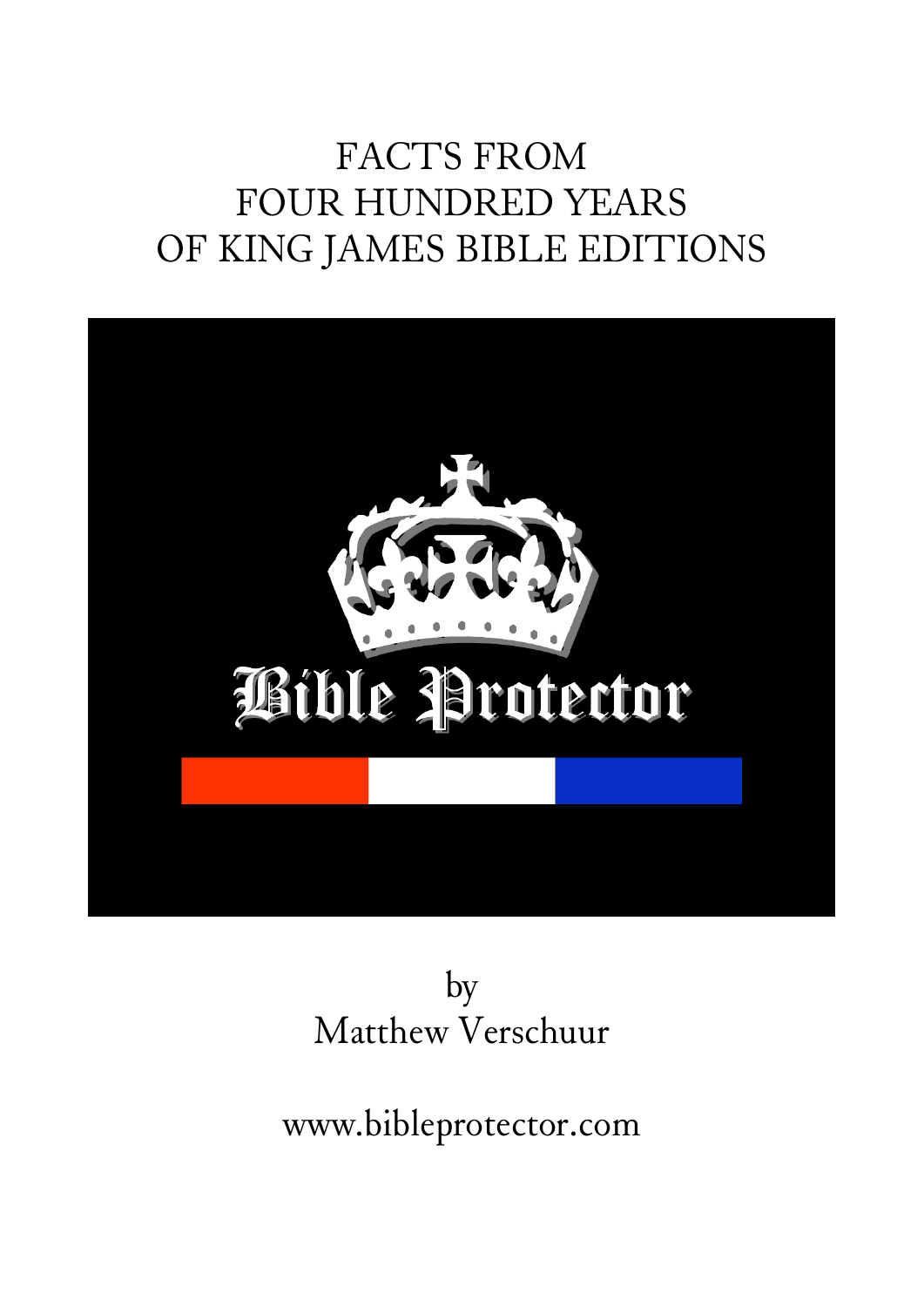## FACTS FROM FOUR HUNDRED YEARS OF KING JAMES BIBLE EDITIONS





www.bibleprotector.com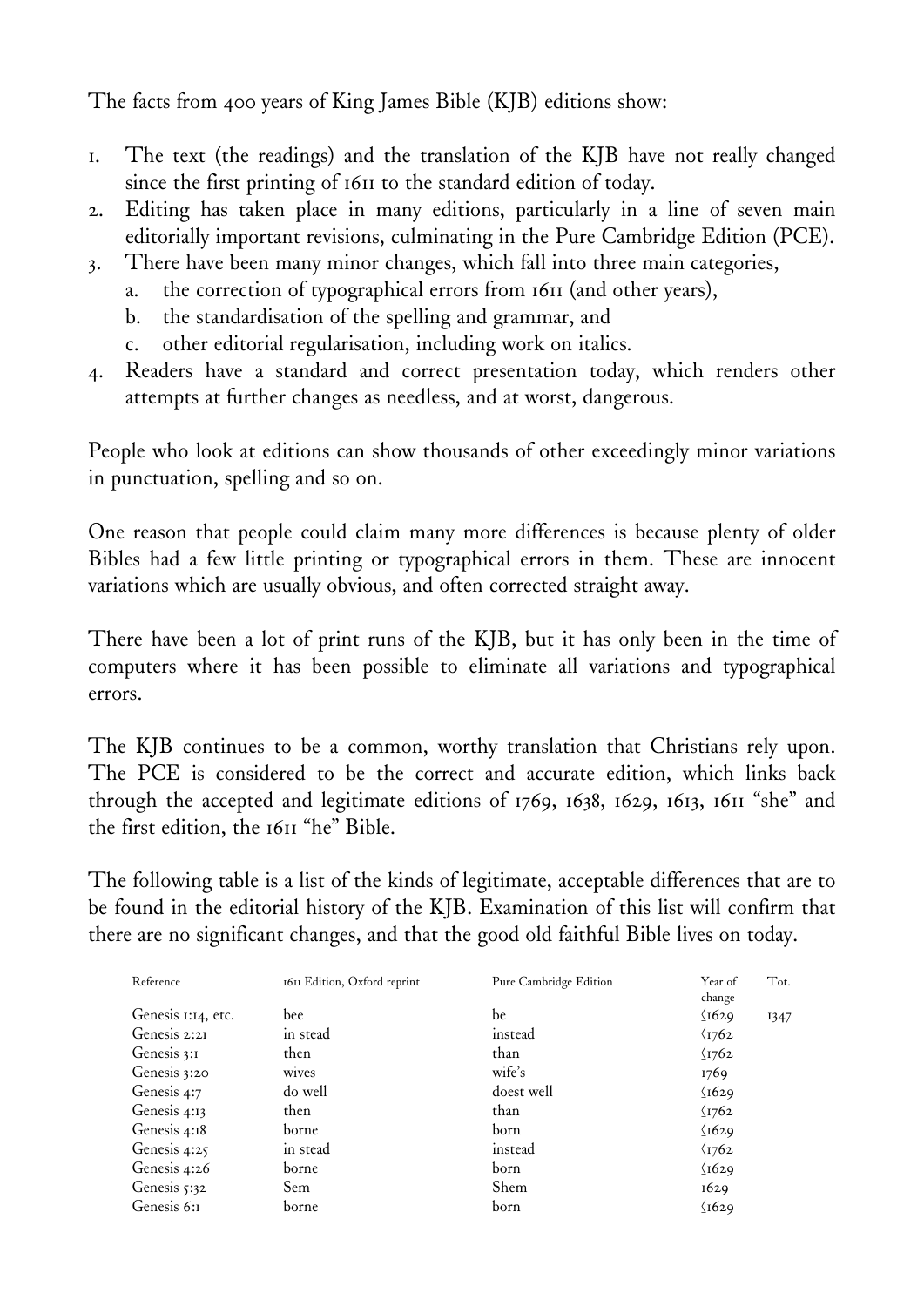The facts from 400 years of King James Bible (KJB) editions show:

- 1. The text (the readings) and the translation of the KJB have not really changed since the first printing of 1611 to the standard edition of today.
- 2. Editing has taken place in many editions, particularly in a line of seven main editorially important revisions, culminating in the Pure Cambridge Edition (PCE).
- 3. There have been many minor changes, which fall into three main categories,
	- a. the correction of typographical errors from 1611 (and other years),
	- b. the standardisation of the spelling and grammar, and
	- c. other editorial regularisation, including work on italics.
- 4. Readers have a standard and correct presentation today, which renders other attempts at further changes as needless, and at worst, dangerous.

People who look at editions can show thousands of other exceedingly minor variations in punctuation, spelling and so on.

One reason that people could claim many more differences is because plenty of older Bibles had a few little printing or typographical errors in them. These are innocent variations which are usually obvious, and often corrected straight away.

There have been a lot of print runs of the KJB, but it has only been in the time of computers where it has been possible to eliminate all variations and typographical errors.

The KJB continues to be a common, worthy translation that Christians rely upon. The PCE is considered to be the correct and accurate edition, which links back through the accepted and legitimate editions of 1769, 1638, 1629, 1613, 1611 "she" and the first edition, the 1611 "he" Bible.

The following table is a list of the kinds of legitimate, acceptable differences that are to be found in the editorial history of the KJB. Examination of this list will confirm that there are no significant changes, and that the good old faithful Bible lives on today.

| Reference          | 1611 Edition, Oxford reprint | Pure Cambridge Edition | Year of<br>change | Tot. |
|--------------------|------------------------------|------------------------|-------------------|------|
| Genesis 1:14, etc. | <b>bee</b>                   | be                     | (1629)            | 1347 |
| Genesis 2:21       | in stead                     | instead                | $\sqrt{1762}$     |      |
| Genesis 3:1        | then                         | than                   | $\sqrt{1762}$     |      |
| Genesis 3:20       | wives                        | wife's                 | 1769              |      |
| Genesis 4:7        | do well                      | doest well             | $\sqrt{1629}$     |      |
| Genesis 4:13       | then                         | than                   | $\sqrt{1762}$     |      |
| Genesis 4:18       | borne                        | born                   | $\sqrt{1629}$     |      |
| Genesis 4:25       | in stead                     | instead                | $\sqrt{1762}$     |      |
| Genesis 4:26       | borne                        | born                   | $\sqrt{1629}$     |      |
| Genesis 5:32       | Sem                          | <b>Shem</b>            | 1629              |      |
| Genesis 6:1        | borne                        | born                   | (1629)            |      |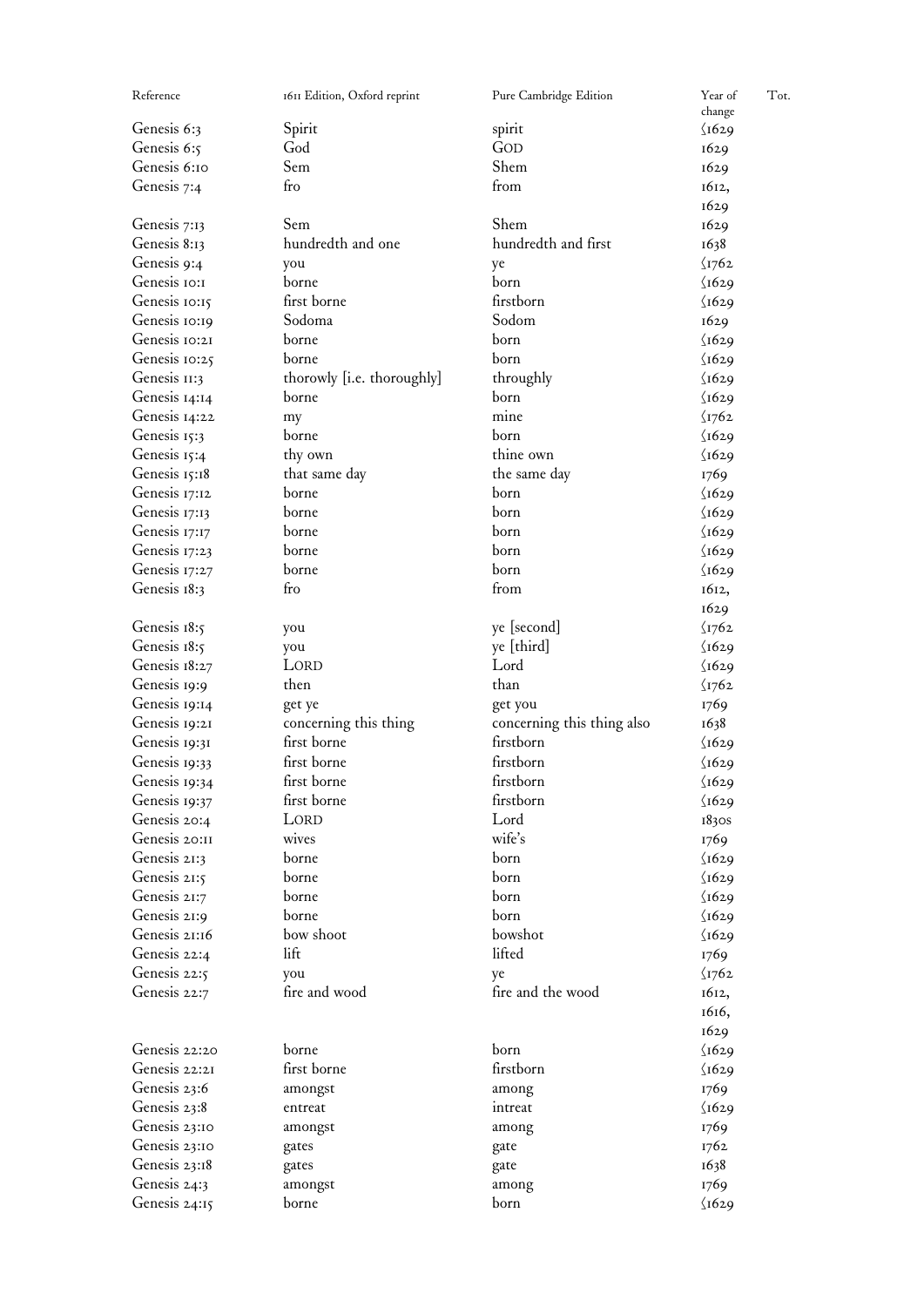| Reference     | 1611 Edition, Oxford reprint | Pure Cambridge Edition     | Year of<br>Tot.<br>change      |  |
|---------------|------------------------------|----------------------------|--------------------------------|--|
| Genesis 6:3   | Spirit                       | spirit                     | $\sqrt{1629}$                  |  |
| Genesis 6:5   | God                          | GOD                        | 1629                           |  |
| Genesis 6:10  | Sem                          | Shem                       |                                |  |
|               | fro                          | from                       | 1629                           |  |
| Genesis 7:4   |                              |                            | 1612,                          |  |
|               |                              |                            | 1629                           |  |
| Genesis 7:13  | Sem                          | Shem                       | 1629                           |  |
| Genesis 8:13  | hundredth and one            | hundredth and first        | 1638                           |  |
| Genesis 9:4   | you                          | ye                         | $\frac{1762}{2}$               |  |
| Genesis IO:I  | borne                        | born                       | $\sqrt{1629}$                  |  |
| Genesis 10:15 | first borne                  | firstborn                  | $\sqrt{1629}$                  |  |
| Genesis 10:19 | Sodoma                       | Sodom                      | 1629                           |  |
| Genesis IO:2I | borne                        | born                       | $\sqrt{1629}$                  |  |
| Genesis 10:25 | borne                        | born                       | $\sqrt{1629}$                  |  |
| Genesis II:3  | thorowly [i.e. thoroughly]   | throughly                  | $\sqrt{1629}$                  |  |
| Genesis 14:14 | borne                        | born                       | $\sqrt{1629}$                  |  |
| Genesis 14:22 | my                           | mine                       | $\sqrt{1762}$                  |  |
| Genesis 15:3  | borne                        | born                       | $\sqrt{1629}$                  |  |
| Genesis 15:4  | thy own                      | thine own                  | $\sqrt{1629}$                  |  |
| Genesis 15:18 | that same day                | the same day               | 1769                           |  |
| Genesis 17:12 | borne                        | born                       | $\sqrt{1629}$                  |  |
| Genesis 17:13 | borne                        | born                       | $\sqrt{1629}$                  |  |
| Genesis 17:17 | borne                        | born                       | $\sqrt{1629}$                  |  |
| Genesis 17:23 | borne                        | born                       | $\sqrt{1629}$                  |  |
| Genesis 17:27 | borne                        | born                       | $\sqrt{1629}$                  |  |
| Genesis 18:3  | fro                          | from                       | 1612,                          |  |
|               |                              |                            | 1629                           |  |
| Genesis 18:5  | you                          | ye [second]                | $\frac{1762}{2}$               |  |
| Genesis 18:5  | you                          | ye [third]                 | $\sqrt{1629}$                  |  |
| Genesis 18:27 | LORD                         | Lord                       | $\sqrt{1629}$                  |  |
| Genesis 19:9  | then                         | than                       | $\sqrt{1762}$                  |  |
| Genesis 19:14 | get ye                       | get you                    | 1769                           |  |
| Genesis 19:21 | concerning this thing        | concerning this thing also | 1638                           |  |
| Genesis 19:31 | first borne                  | firstborn                  | $\sqrt{1629}$                  |  |
| Genesis 19:33 | first borne                  | firstborn                  | $\sqrt{1629}$                  |  |
| Genesis 19:34 | first borne                  | firstborn                  |                                |  |
| Genesis 19:37 | first borne                  | firstborn                  | $\sqrt{1629}$<br>$\sqrt{1629}$ |  |
| Genesis 20:4  | LORD                         | Lord                       | $183$ os                       |  |
| Genesis 20:II | wives                        | wife's                     |                                |  |
|               |                              | born                       | 1769                           |  |
| Genesis 21:3  | borne                        | born                       | $\sqrt{1629}$                  |  |
| Genesis 21:5  | borne                        |                            | $\sqrt{1629}$                  |  |
| Genesis 21:7  | borne                        | born                       | $\sqrt{1629}$                  |  |
| Genesis 21:9  | borne                        | born                       | $\sqrt{1629}$                  |  |
| Genesis 21:16 | bow shoot                    | bowshot<br>lifted          | $\sqrt{1629}$                  |  |
| Genesis 22:4  | lift                         |                            | 1769                           |  |
| Genesis 22:5  | you                          | ye                         | $\langle$ 1762                 |  |
| Genesis 22:7  | fire and wood                | fire and the wood          | 1612,                          |  |
|               |                              |                            | 1616,                          |  |
|               |                              |                            | 1629                           |  |
| Genesis 22:20 | borne                        | born                       | $\sqrt{1629}$                  |  |
| Genesis 22:21 | first borne                  | firstborn                  | $\sqrt{1629}$                  |  |
| Genesis 23:6  | amongst                      | among                      | 1769                           |  |
| Genesis 23:8  | entreat                      | intreat                    | $\sqrt{1629}$                  |  |
| Genesis 23:10 | amongst                      | among                      | 1769                           |  |
| Genesis 23:10 | gates                        | gate                       | 1762                           |  |
| Genesis 23:18 | gates                        | gate                       | 1638                           |  |
| Genesis 24:3  | amongst                      | among                      | 1769                           |  |
| Genesis 24:15 | borne                        | born                       | $\sqrt{1629}$                  |  |
|               |                              |                            |                                |  |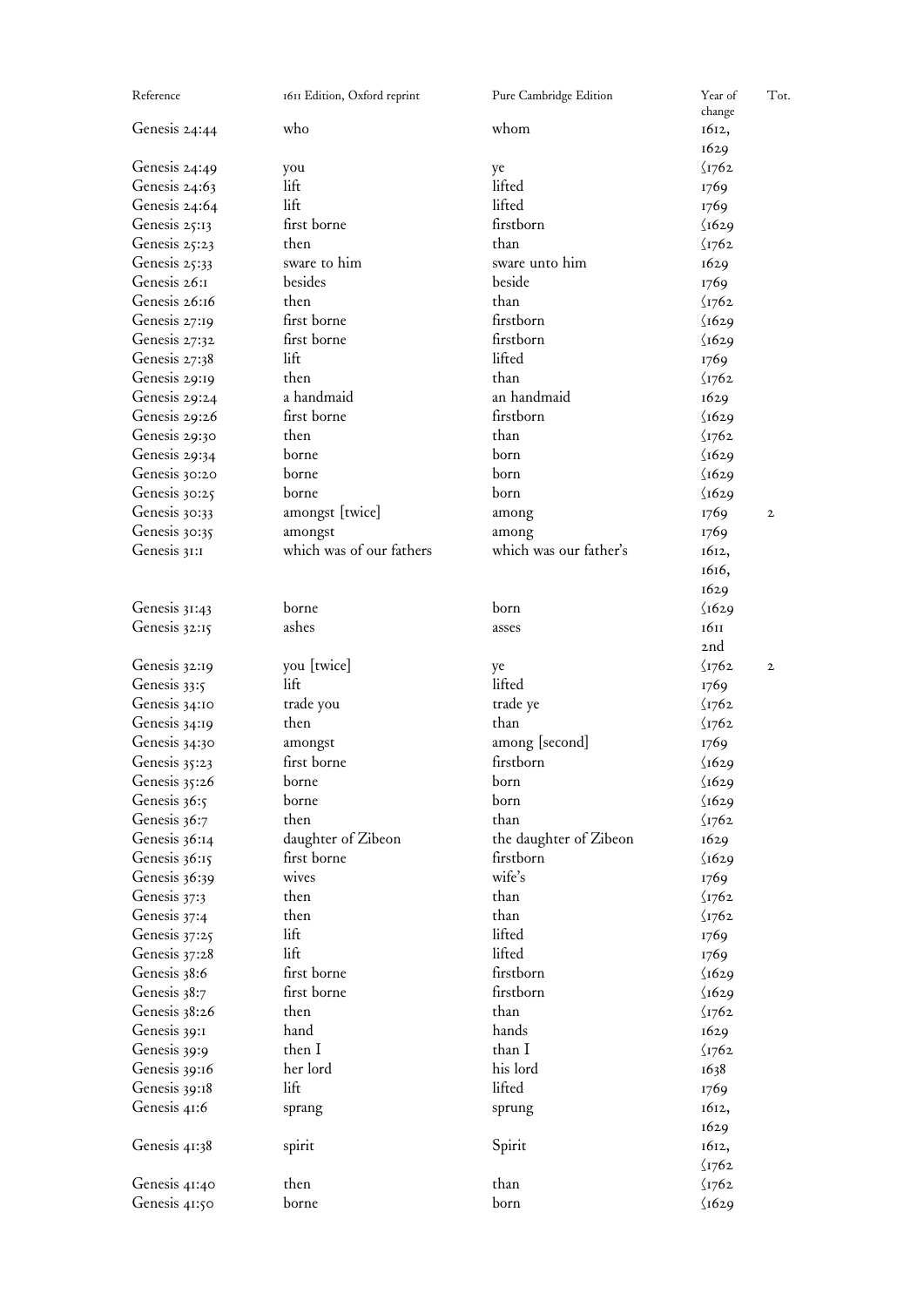| Reference     | 1611 Edition, Oxford reprint | Pure Cambridge Edition | Year of<br>change | Tot.         |
|---------------|------------------------------|------------------------|-------------------|--------------|
| Genesis 24:44 | who                          | whom                   | 1612,             |              |
|               |                              |                        |                   |              |
|               |                              |                        | 1629              |              |
| Genesis 24:49 | you                          | ye                     | $\sqrt{1762}$     |              |
| Genesis 24:63 | lift                         | lifted                 | 1769              |              |
| Genesis 24:64 | lift                         | lifted                 | 1769              |              |
| Genesis 25:13 | first borne                  | firstborn              | $\sqrt{1629}$     |              |
| Genesis 25:23 | then                         | than                   | $\sqrt{1762}$     |              |
| Genesis 25:33 | sware to him                 | sware unto him         | 1629              |              |
| Genesis 26:1  | besides                      | beside                 | 1769              |              |
| Genesis 26:16 | then                         | than                   | $\sqrt{1762}$     |              |
| Genesis 27:19 | first borne                  | firstborn              | $\sqrt{1629}$     |              |
| Genesis 27:32 | first borne                  | firstborn              | $\sqrt{1629}$     |              |
| Genesis 27:38 | lift                         | lifted                 | 1769              |              |
| Genesis 29:19 | then                         | than                   | $\sqrt{1762}$     |              |
| Genesis 29:24 | a handmaid                   | an handmaid            | 1629              |              |
| Genesis 29:26 | first borne                  | firstborn              | $\sqrt{1629}$     |              |
| Genesis 29:30 | then                         | than                   | $\sqrt{1762}$     |              |
|               | borne                        | born                   | $\sqrt{1629}$     |              |
| Genesis 29:34 |                              |                        |                   |              |
| Genesis 30:20 | borne                        | born                   | $\sqrt{1629}$     |              |
| Genesis 30:25 | borne                        | born                   | $\sqrt{1629}$     |              |
| Genesis 30:33 | amongst [twice]              | among                  | 1769              | $\mathbf{2}$ |
| Genesis 30:35 | amongst                      | among                  | 1769              |              |
| Genesis 31:1  | which was of our fathers     | which was our father's | 1612,             |              |
|               |                              |                        | 1616,             |              |
|               |                              |                        | 1629              |              |
| Genesis 31:43 | borne                        | born                   | $\sqrt{1629}$     |              |
| Genesis 32:15 | ashes                        | asses                  | 1611              |              |
|               |                              |                        | 2nd               |              |
| Genesis 32:19 | you [twice]                  | ye                     | $\sqrt{1762}$     | $\mathbf{2}$ |
| Genesis 33:5  | lift                         | lifted                 | 1769              |              |
| Genesis 34:10 | trade you                    | trade ye               | $\sqrt{1762}$     |              |
| Genesis 34:19 | then                         | than                   | $\sqrt{1762}$     |              |
|               |                              |                        |                   |              |
| Genesis 34:30 | amongst                      | among [second]         | 1769              |              |
| Genesis 35:23 | first borne                  | firstborn              | $\sqrt{1629}$     |              |
| Genesis 35:26 | borne                        | born                   | $\sqrt{1629}$     |              |
| Genesis 36:5  | borne                        | born                   | $\sqrt{1629}$     |              |
| Genesis 36:7  | then                         | than                   | $\sqrt{1762}$     |              |
| Genesis 36:14 | daughter of Zibeon           | the daughter of Zibeon | 1629              |              |
| Genesis 36:15 | first borne                  | firstborn              | $\sqrt{1629}$     |              |
| Genesis 36:39 | wives                        | wife's                 | 1769              |              |
| Genesis 37:3  | then                         | than                   | $\langle$ 1762    |              |
| Genesis 37:4  | then                         | than                   | $\sqrt{1762}$     |              |
| Genesis 37:25 | lift                         | lifted                 | 1769              |              |
| Genesis 37:28 | lift                         | lifted                 | 1769              |              |
| Genesis 38:6  | first borne                  | firstborn              | $\sqrt{1629}$     |              |
| Genesis 38:7  | first borne                  | firstborn              | $\sqrt{1629}$     |              |
| Genesis 38:26 | then                         | than                   | $\sqrt{1762}$     |              |
| Genesis 39:1  | hand                         | hands                  | 1629              |              |
|               |                              |                        |                   |              |
| Genesis 39:9  | then I                       | than I                 | $\sqrt{1762}$     |              |
| Genesis 39:16 | her lord                     | his lord               | 1638              |              |
| Genesis 39:18 | lift                         | lifted                 | 1769              |              |
| Genesis 41:6  | sprang                       | sprung                 | 1612,             |              |
|               |                              |                        | 1629              |              |
| Genesis 41:38 | spirit                       | Spirit                 | 1612,             |              |
|               |                              |                        | $\sqrt{1762}$     |              |
| Genesis 41:40 | then                         | than                   | $\sqrt{1762}$     |              |
| Genesis 41:50 | borne                        | born                   | $\sqrt{1629}$     |              |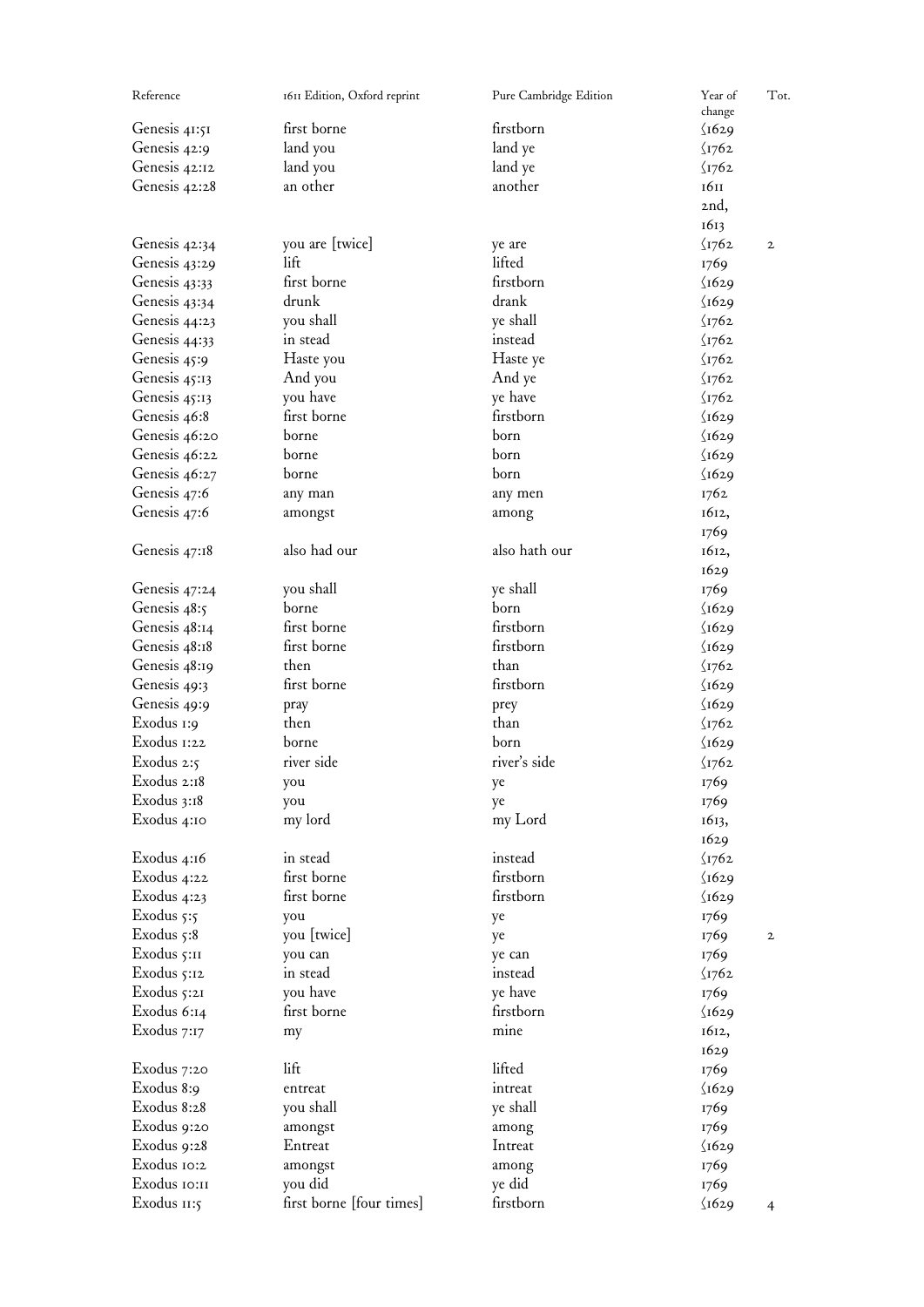| Reference     | 1611 Edition, Oxford reprint | Pure Cambridge Edition | Year of<br>change      | Tot.         |
|---------------|------------------------------|------------------------|------------------------|--------------|
| Genesis 41:51 | first borne                  | firstborn              | $\sqrt{1629}$          |              |
| Genesis 42:9  | land you                     | land ye                | $\sqrt{1762}$          |              |
| Genesis 42:12 | land you                     | land ye                | $\frac{1762}{2}$       |              |
| Genesis 42:28 | an other                     | another                | 1611                   |              |
|               |                              |                        | 2nd,                   |              |
|               |                              |                        | 1613                   |              |
| Genesis 42:34 | you are [twice]              | ye are                 | $\langle$ 1762         | $\mathbf{2}$ |
| Genesis 43:29 | lift                         | lifted                 | 1769                   |              |
| Genesis 43:33 | first borne                  | firstborn              | $\sqrt{1629}$          |              |
|               | drunk                        | drank                  |                        |              |
| Genesis 43:34 |                              |                        | $\sqrt{1629}$          |              |
| Genesis 44:23 | you shall                    | ye shall               | $\sqrt{1762}$          |              |
| Genesis 44:33 | in stead                     | instead                | $\sqrt{1762}$          |              |
| Genesis 45:9  | Haste you                    | Haste ye               | $\sqrt{1762}$          |              |
| Genesis 45:13 | And you                      | And ye                 | $\sqrt{1762}$          |              |
| Genesis 45:13 | you have                     | ye have                | $\sqrt{1762}$          |              |
| Genesis 46:8  | first borne                  | firstborn              | $\sqrt{1629}$          |              |
| Genesis 46:20 | borne                        | born                   | $\sqrt{1629}$          |              |
| Genesis 46:22 | borne                        | born                   | $\sqrt{1629}$          |              |
| Genesis 46:27 | borne                        | born                   | $\sqrt{1629}$          |              |
| Genesis 47:6  | any man                      | any men                | 1762                   |              |
| Genesis 47:6  | amongst                      | among                  | 1612,                  |              |
|               |                              |                        | 1769                   |              |
| Genesis 47:18 | also had our                 | also hath our          | 1612,                  |              |
|               |                              |                        | 1629                   |              |
| Genesis 47:24 | you shall                    | ye shall               | 1769                   |              |
| Genesis 48:5  | borne                        | born                   | $\sqrt{1629}$          |              |
| Genesis 48:14 | first borne                  | firstborn              | $\sqrt{1629}$          |              |
| Genesis 48:18 | first borne                  | firstborn              | $\sqrt{1629}$          |              |
| Genesis 48:19 | then                         | than                   | $\sqrt{1762}$          |              |
| Genesis 49:3  | first borne                  | firstborn              | $\sqrt{1629}$          |              |
| Genesis 49:9  | pray                         | prey                   | $\sqrt{1629}$          |              |
| Exodus 1:9    | then                         | than                   | $\sqrt{1762}$          |              |
| Exodus 1:22   | borne                        | born                   | $\sqrt{1629}$          |              |
| Exodus $2:5$  | river side                   | river's side           | $\sqrt{1762}$          |              |
| Exodus 2:18   |                              |                        | 1769                   |              |
| Exodus 3:18   | you                          | ye                     | 1769                   |              |
| Exodus 4:10   | you<br>my lord               | ye<br>my Lord          | 1613,                  |              |
|               |                              |                        |                        |              |
|               | in stead                     | instead                | 1629<br>$\langle$ 1762 |              |
| Exodus $4:16$ | first borne                  | firstborn              |                        |              |
| Exodus 4:22   | first borne                  | firstborn              | $\sqrt{1629}$          |              |
| Exodus $4:23$ |                              |                        | $\sqrt{1629}$          |              |
| Exodus $5:5$  | you                          | ye                     | 1769                   |              |
| Exodus $5:8$  | you [twice]                  | ye                     | 1769                   | $\mathbf{2}$ |
| Exodus 5:11   | you can                      | ye can                 | 1769                   |              |
| Exodus 5:12   | in stead                     | instead                | $\sqrt{1762}$          |              |
| Exodus 5:21   | you have                     | ye have                | 1769                   |              |
| Exodus 6:14   | first borne                  | firstborn              | $\sqrt{1629}$          |              |
| Exodus 7:17   | my                           | mine                   | 1612,                  |              |
|               |                              |                        | 1629                   |              |
| Exodus 7:20   | lift                         | lifted                 | 1769                   |              |
| Exodus 8:9    | entreat                      | intreat                | $\sqrt{1629}$          |              |
| Exodus 8:28   | you shall                    | ye shall               | 1769                   |              |
| Exodus 9:20   | amongst                      | among                  | 1769                   |              |
| Exodus 9:28   | Entreat                      | Intreat                | $\sqrt{1629}$          |              |
| Exodus 10:2   | amongst                      | among                  | 1769                   |              |
| Exodus IO:II  | you did                      | ye did                 | 1769                   |              |
| Exodus II:5   | first borne [four times]     | firstborn              | $\sqrt{1629}$          | 4            |
|               |                              |                        |                        |              |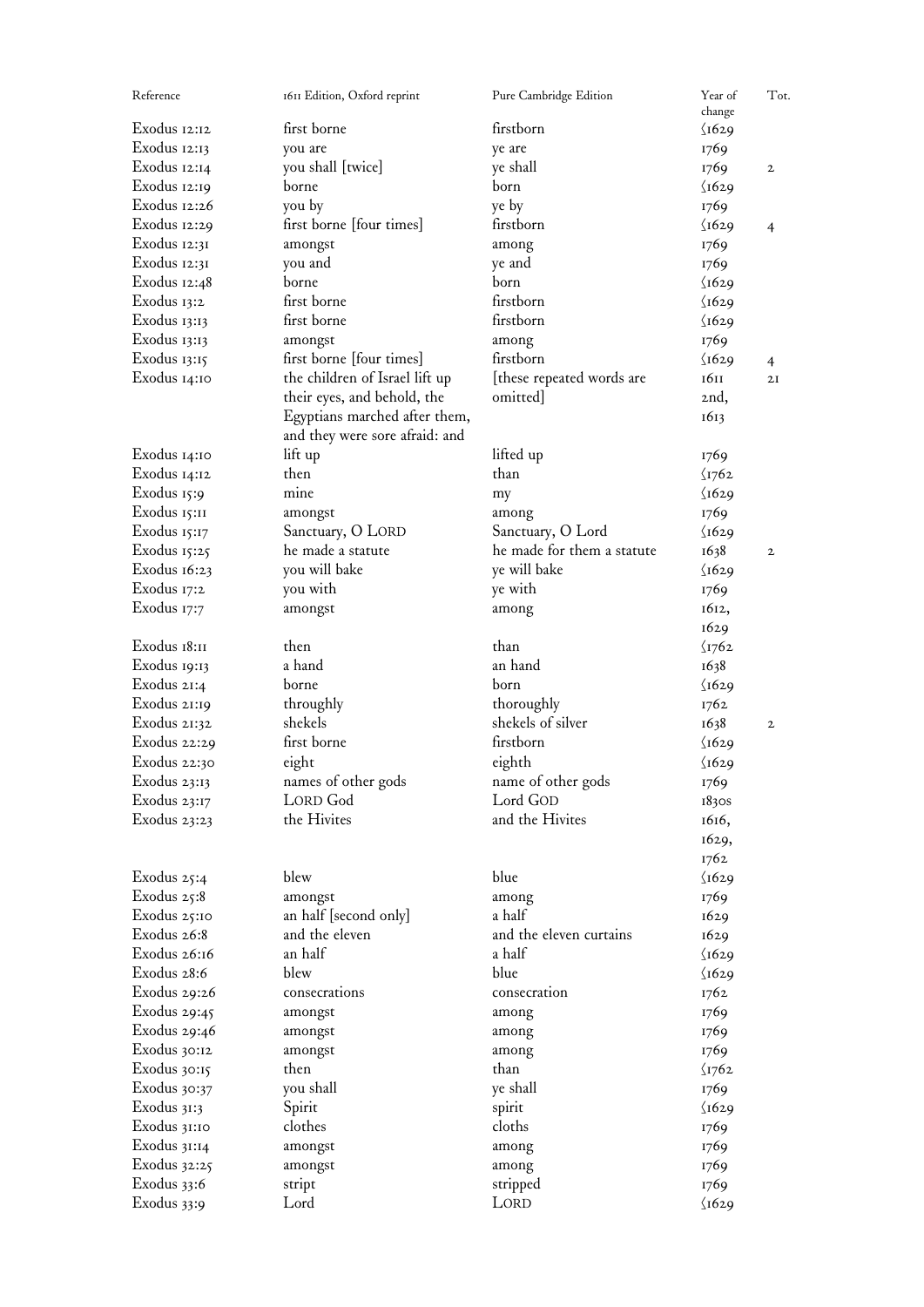| Reference                        | 1611 Edition, Oxford reprint                                    | Pure Cambridge Edition     | Year of<br>change      | Tot.           |
|----------------------------------|-----------------------------------------------------------------|----------------------------|------------------------|----------------|
| Exodus 12:12                     | first borne                                                     | firstborn                  | $\sqrt{1629}$          |                |
| Exodus $12:13$                   | you are                                                         | ye are                     | 1769                   |                |
| Exodus 12:14                     | you shall [twice]                                               | ye shall                   | 1769                   | $\mathfrak{2}$ |
| Exodus 12:19                     | borne                                                           | born                       | $\sqrt{1629}$          |                |
| Exodus $12:26$                   | you by                                                          | ye by                      | 1769                   |                |
| Exodus $12:29$                   | first borne [four times]                                        | firstborn                  | $\sqrt{1629}$          | $\overline{4}$ |
| Exodus 12:31                     | amongst                                                         | among                      | 1769                   |                |
| Exodus 12:31                     | you and                                                         | ye and                     | 1769                   |                |
| Exodus 12:48                     | borne                                                           | born                       | $\sqrt{1629}$          |                |
| Exodus 13:2                      | first borne                                                     | firstborn                  | $\sqrt{1629}$          |                |
| Exodus 13:13                     | first borne                                                     | firstborn                  | $\sqrt{1629}$          |                |
| Exodus 13:13                     | amongst                                                         | among                      | 1769                   |                |
| Exodus $13:15$                   | first borne [four times]                                        | firstborn                  | $\sqrt{1629}$          | 4              |
| Exodus 14:10                     | the children of Israel lift up                                  | [these repeated words are  | 1611                   | 2I             |
|                                  | their eyes, and behold, the                                     | omitted                    | 2nd,                   |                |
|                                  | Egyptians marched after them,<br>and they were sore afraid: and |                            | 1613                   |                |
| Exodus 14:10                     | lift up                                                         | lifted up                  |                        |                |
| Exodus 14:12                     | then                                                            | than                       | 1769<br>$\langle$ 1762 |                |
|                                  | mine                                                            |                            |                        |                |
| Exodus 15:9                      |                                                                 | my                         | $\sqrt{1629}$          |                |
| Exodus 15:11                     | amongst                                                         | among                      | 1769                   |                |
| Exodus 15:17                     | Sanctuary, O LORD                                               | Sanctuary, O Lord          | $\sqrt{1629}$          |                |
| Exodus $15:25$                   | he made a statute                                               | he made for them a statute | 1638                   | $\mathbf{2}$   |
| Exodus $16:23$                   | you will bake                                                   | ye will bake               | $\sqrt{1629}$          |                |
| Exodus 17:2                      | you with                                                        | ye with                    | 1769                   |                |
| Exodus 17:7                      | amongst                                                         | among                      | 1612,                  |                |
|                                  |                                                                 | than                       | 1629                   |                |
| Exodus 18:11                     | then<br>a hand                                                  | an hand                    | $\frac{1762}{2}$       |                |
| Exodus 19:13                     |                                                                 |                            | 1638                   |                |
| Exodus 21:4                      | borne                                                           | born<br>thoroughly         | $\sqrt{1629}$          |                |
| Exodus 21:19                     | throughly<br>shekels                                            | shekels of silver          | 1762                   |                |
| Exodus 21:32<br>Exodus 22:29     | first borne                                                     | firstborn                  | 1638                   | $\mathbf{2}$   |
| Exodus 22:30                     | eight                                                           | eighth                     | $\sqrt{1629}$          |                |
|                                  | names of other gods                                             | name of other gods         | $\sqrt{1629}$          |                |
| Exodus $23:13$                   | LORD God                                                        | Lord GOD                   | 1769                   |                |
| Exodus $23:17$<br>Exodus $23:23$ | the Hivites                                                     | and the Hivites            | $183$ os<br>1616,      |                |
|                                  |                                                                 |                            |                        |                |
|                                  |                                                                 |                            | 1629,                  |                |
| Exodus $25:4$                    | blew                                                            | blue                       | 1762<br>$\sqrt{1629}$  |                |
| Exodus $25:8$                    | amongst                                                         | among                      | 1769                   |                |
| Exodus 25:10                     | an half [second only]                                           | a half                     | 1629                   |                |
| Exodus 26:8                      | and the eleven                                                  | and the eleven curtains    | 1629                   |                |
| Exodus 26:16                     | an half                                                         | a half                     | $\sqrt{1629}$          |                |
| Exodus 28:6                      | blew                                                            | blue                       | $\sqrt{1629}$          |                |
| Exodus 29:26                     | consecrations                                                   | consecration               | 1762                   |                |
| Exodus $29:45$                   | amongst                                                         | among                      | 1769                   |                |
| Exodus 29:46                     | amongst                                                         | among                      | 1769                   |                |
| Exodus 30:12                     | amongst                                                         | among                      | 1769                   |                |
| Exodus 30:15                     | then                                                            | than                       | $\sqrt{1762}$          |                |
| Exodus $30:37$                   | you shall                                                       | ye shall                   | 1769                   |                |
| Exodus 31:3                      | Spirit                                                          | spirit                     | $\sqrt{1629}$          |                |
| Exodus 31:10                     | clothes                                                         | cloths                     | 1769                   |                |
| Exodus $31:14$                   | amongst                                                         | among                      | 1769                   |                |
| Exodus $32:25$                   | amongst                                                         | among                      | 1769                   |                |
| Exodus 33:6                      | stript                                                          | stripped                   | 1769                   |                |
| Exodus 33:9                      | Lord                                                            | LORD                       | $\sqrt{1629}$          |                |
|                                  |                                                                 |                            |                        |                |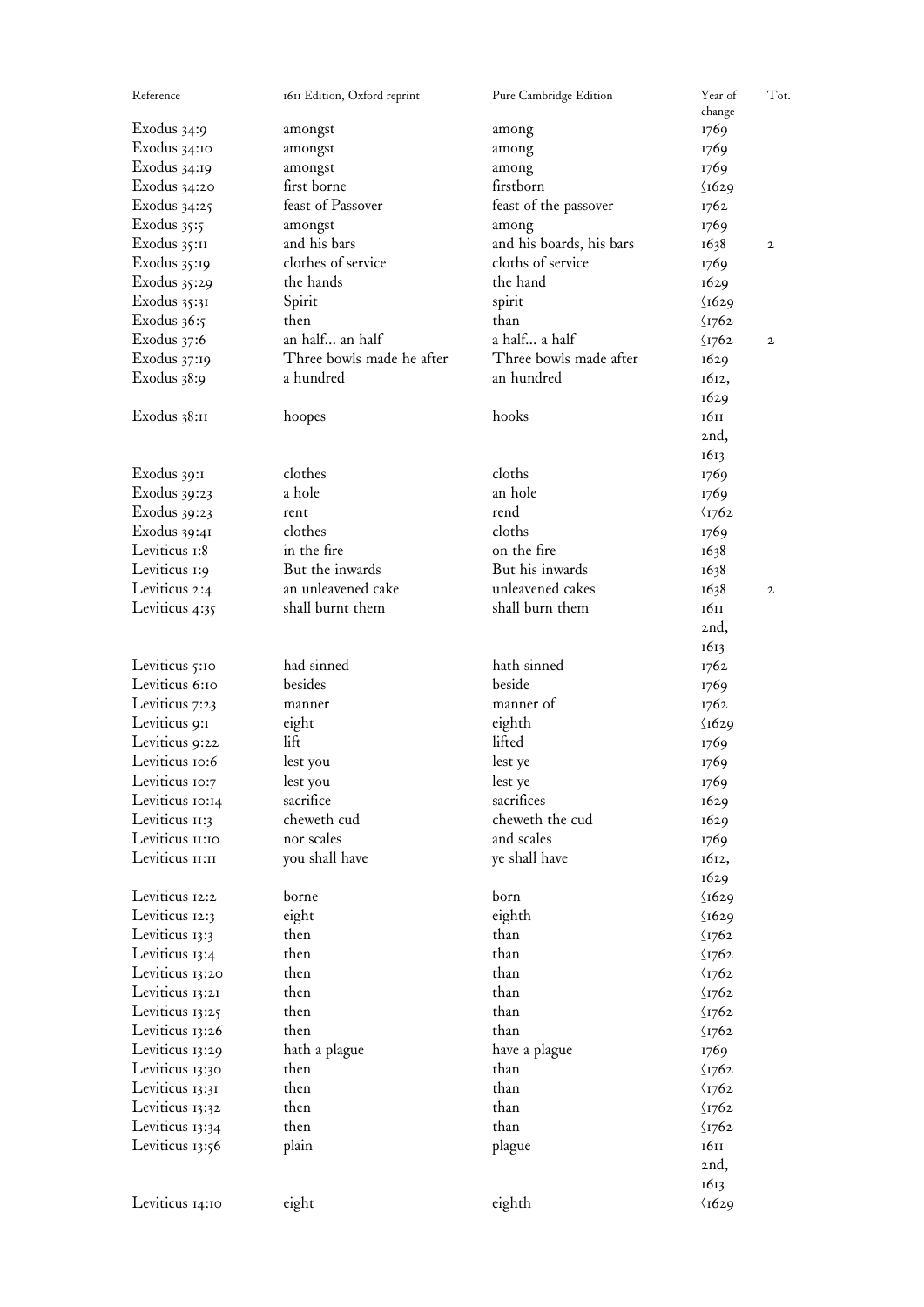| Reference       | 1611 Edition, Oxford reprint | Pure Cambridge Edition   | Year of<br>change | Tot.         |
|-----------------|------------------------------|--------------------------|-------------------|--------------|
| Exodus $34:9$   | amongst                      | among                    | 1769              |              |
| Exodus 34:10    | amongst                      | among                    | 1769              |              |
| Exodus $34:19$  | amongst                      | among                    | 1769              |              |
| Exodus $34:20$  | first borne                  | firstborn                | $\sqrt{1629}$     |              |
| Exodus $34:25$  | feast of Passover            | feast of the passover    | 1762              |              |
| Exodus 35:5     | amongst                      | among                    | 1769              |              |
| Exodus 35:11    | and his bars                 | and his boards, his bars | 1638              | $\mathbf{2}$ |
| Exodus $35:19$  | clothes of service           | cloths of service        | 1769              |              |
| Exodus $35:29$  | the hands                    | the hand                 | 1629              |              |
| Exodus 35:31    | Spirit                       | spirit                   | $\sqrt{1629}$     |              |
| Exodus $36:5$   | then                         | than.                    | $\sqrt{1762}$     |              |
|                 | an half an half              | a half a half            |                   |              |
| Exodus 37:6     |                              | Three bowls made after   | $\frac{1762}{2}$  | $\mathbf{2}$ |
| Exodus $37:19$  | Three bowls made he after    |                          | 1629              |              |
| Exodus 38:9     | a hundred                    | an hundred               | 1612,             |              |
|                 |                              |                          | 1629              |              |
| Exodus 38:11    | hoopes                       | hooks                    | 1611              |              |
|                 |                              |                          | 2nd,              |              |
|                 |                              |                          | 1613              |              |
| Exodus 39:1     | clothes                      | cloths                   | 1769              |              |
| Exodus $39:23$  | a hole                       | an hole                  | 1769              |              |
| Exodus $39:23$  | rent                         | rend                     | $\sqrt{1762}$     |              |
| Exodus 39:41    | clothes                      | cloths                   | 1769              |              |
| Leviticus 1:8   | in the fire                  | on the fire              | 1638              |              |
| Leviticus 1:9   | But the inwards              | But his inwards          | 1638              |              |
| Leviticus 2:4   | an unleavened cake           | unleavened cakes         | 1638              | $\mathbf{2}$ |
| Leviticus 4:35  | shall burnt them             | shall burn them          | 1611              |              |
|                 |                              |                          | 2nd,              |              |
|                 |                              |                          | 1613              |              |
| Leviticus 5:10  | had sinned                   | hath sinned              | 1762              |              |
| Leviticus 6:10  | besides                      | beside                   | 1769              |              |
| Leviticus 7:23  | manner                       | manner of                | 1762              |              |
| Leviticus 9:1   | eight                        | eighth                   | $\sqrt{1629}$     |              |
| Leviticus 9:22  | lift                         | lifted                   | 1769              |              |
| Leviticus 10:6  | lest you                     | lest ye                  | 1769              |              |
| Leviticus 10:7  | lest you                     | lest ye                  | 1769              |              |
| Leviticus 10:14 | sacrifice                    | sacrifices               | 1629              |              |
| Leviticus II:3  | cheweth cud                  | cheweth the cud          | 1629              |              |
| Leviticus II:10 | nor scales                   | and scales               | 1769              |              |
| Leviticus II:II | you shall have               | ye shall have            | 1612,             |              |
|                 |                              |                          | 1629              |              |
| Leviticus 12:2  | borne                        | born                     | $\sqrt{1629}$     |              |
| Leviticus 12:3  | eight                        | eighth                   | $\sqrt{1629}$     |              |
| Leviticus 13:3  | then                         | than                     | $\sqrt{1762}$     |              |
| Leviticus 13:4  | then                         | than                     | $\sqrt{1762}$     |              |
| Leviticus 13:20 | then                         | than                     | $\sqrt{1762}$     |              |
| Leviticus 13:21 | then                         | than                     | $\sqrt{1762}$     |              |
| Leviticus 13:25 | then                         | than                     | $\sqrt{1762}$     |              |
| Leviticus 13:26 | then                         | than                     | $\zeta$ I762      |              |
| Leviticus 13:29 |                              |                          | 1769              |              |
| Leviticus 13:30 | hath a plague<br>then        | have a plague<br>than    | $\sqrt{1762}$     |              |
| Leviticus 13:31 | then                         | than                     |                   |              |
|                 | then                         | than                     | $\langle$ 1762    |              |
| Leviticus 13:32 |                              |                          | $\langle$ 1762    |              |
| Leviticus 13:34 | then                         | than                     | $\langle$ 1762    |              |
| Leviticus 13:56 | plain                        | plague                   | 1611              |              |
|                 |                              |                          | 2nd,              |              |
|                 |                              |                          | 1613              |              |
| Leviticus 14:10 | eight                        | eighth                   | $\sqrt{1629}$     |              |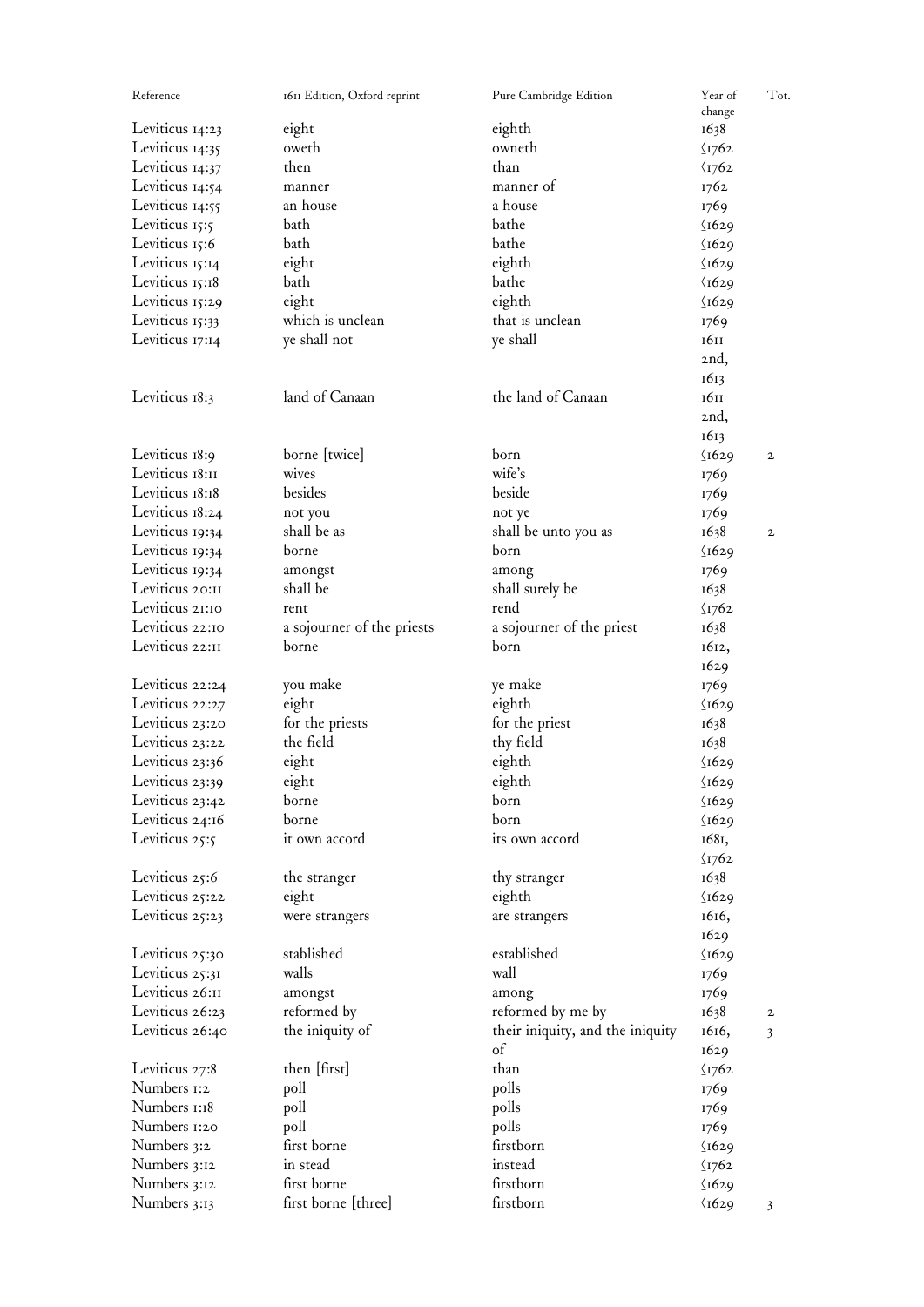| Reference       | 1611 Edition, Oxford reprint        | Pure Cambridge Edition            | Year of<br>change | Tot.         |
|-----------------|-------------------------------------|-----------------------------------|-------------------|--------------|
| Leviticus 14:23 | eight                               | eighth                            | 1638              |              |
| Leviticus 14:35 | oweth                               | owneth                            | $\sqrt{1762}$     |              |
| Leviticus 14:37 | then                                | than                              | $\sqrt{1762}$     |              |
| Leviticus 14:54 | manner                              | manner of                         | 1762              |              |
|                 | an house                            | a house                           |                   |              |
| Leviticus 14:55 |                                     |                                   | 1769              |              |
| Leviticus 15:5  | bath                                | bathe                             | $\sqrt{1629}$     |              |
| Leviticus 15:6  | bath                                | bathe                             | $\sqrt{1629}$     |              |
| Leviticus 15:14 | eight                               | eighth                            | $\sqrt{1629}$     |              |
| Leviticus 15:18 | bath                                | bathe                             | $\sqrt{1629}$     |              |
| Leviticus 15:29 | eight                               | eighth                            | $\sqrt{1629}$     |              |
| Leviticus 15:33 | which is unclean                    | that is unclean                   | 1769              |              |
| Leviticus 17:14 | ye shall not                        | ye shall                          | 1611              |              |
|                 |                                     |                                   | 2nd,              |              |
|                 |                                     |                                   | 1613              |              |
| Leviticus 18:3  | land of Canaan                      | the land of Canaan                | 1611              |              |
|                 |                                     |                                   | 2nd,              |              |
|                 |                                     |                                   | 1613              |              |
| Leviticus 18:9  | borne [twice]                       | born                              | $\sqrt{1629}$     | $\mathbf{2}$ |
| Leviticus 18:11 | wives                               | wife's                            | 1769              |              |
| Leviticus 18:18 | besides                             | beside                            | 1769              |              |
| Leviticus 18:24 | not you                             | not ye                            | 1769              |              |
| Leviticus 19:34 | shall be as                         | shall be unto you as              | 1638              | $\mathbf{2}$ |
| Leviticus 19:34 | borne                               | born                              | $\sqrt{1629}$     |              |
| Leviticus 19:34 | amongst                             | among                             | 1769              |              |
| Leviticus 20:II | shall be                            | shall surely be                   | 1638              |              |
| Leviticus 21:10 | rent                                | rend                              | $\frac{1762}{ }$  |              |
| Leviticus 22:10 |                                     |                                   |                   |              |
| Leviticus 22:II | a sojourner of the priests<br>borne | a sojourner of the priest<br>born | 1638              |              |
|                 |                                     |                                   | 1612,             |              |
|                 |                                     |                                   | 1629              |              |
| Leviticus 22:24 | you make                            | ye make                           | 1769              |              |
| Leviticus 22:27 | eight                               | eighth                            | $\sqrt{1629}$     |              |
| Leviticus 23:20 | for the priests                     | for the priest                    | 1638              |              |
| Leviticus 23:22 | the field                           | thy field                         | 1638              |              |
| Leviticus 23:36 | eight                               | eighth                            | $\sqrt{1629}$     |              |
| Leviticus 23:39 | eight                               | eighth                            | $\sqrt{1629}$     |              |
| Leviticus 23:42 | borne                               | born                              | $\sqrt{1629}$     |              |
| Leviticus 24:16 | borne                               | born                              | $\sqrt{1629}$     |              |
| Leviticus 25:5  | it own accord                       | its own accord                    | 1681,             |              |
|                 |                                     |                                   | $\sqrt{1762}$     |              |
| Leviticus 25:6  | the stranger                        | thy stranger                      | 1638              |              |
| Leviticus 25:22 | eight                               | eighth                            | $\sqrt{1629}$     |              |
| Leviticus 25:23 | were strangers                      | are strangers                     | 1616,             |              |
|                 |                                     |                                   | 1629              |              |
| Leviticus 25:30 | stablished                          | established                       | $\sqrt{1629}$     |              |
| Leviticus 25:31 | walls                               | wall                              | 1769              |              |
| Leviticus 26:11 | amongst                             | among                             | 1769              |              |
| Leviticus 26:23 | reformed by                         | reformed by me by                 | 1638              | $\mathbf{2}$ |
| Leviticus 26:40 | the iniquity of                     | their iniquity, and the iniquity  | 1616,             | 3            |
|                 |                                     | of                                | 1629              |              |
| Leviticus 27:8  | then [first]                        | than                              | $\langle$ I762    |              |
| Numbers 1:2     | poll                                | polls                             | 1769              |              |
| Numbers 1:18    | poll                                | polls                             | 1769              |              |
| Numbers 1:20    | poll                                | polls                             |                   |              |
|                 | first borne                         | firstborn                         | 1769              |              |
| Numbers 3:2     |                                     |                                   | $\sqrt{1629}$     |              |
| Numbers 3:12    | in stead                            | instead                           | $\sqrt{1762}$     |              |
| Numbers 3:12    | first borne                         | firstborn                         | $\sqrt{1629}$     |              |
| Numbers 3:13    | first borne [three]                 | firstborn                         | $\sqrt{1629}$     | 3            |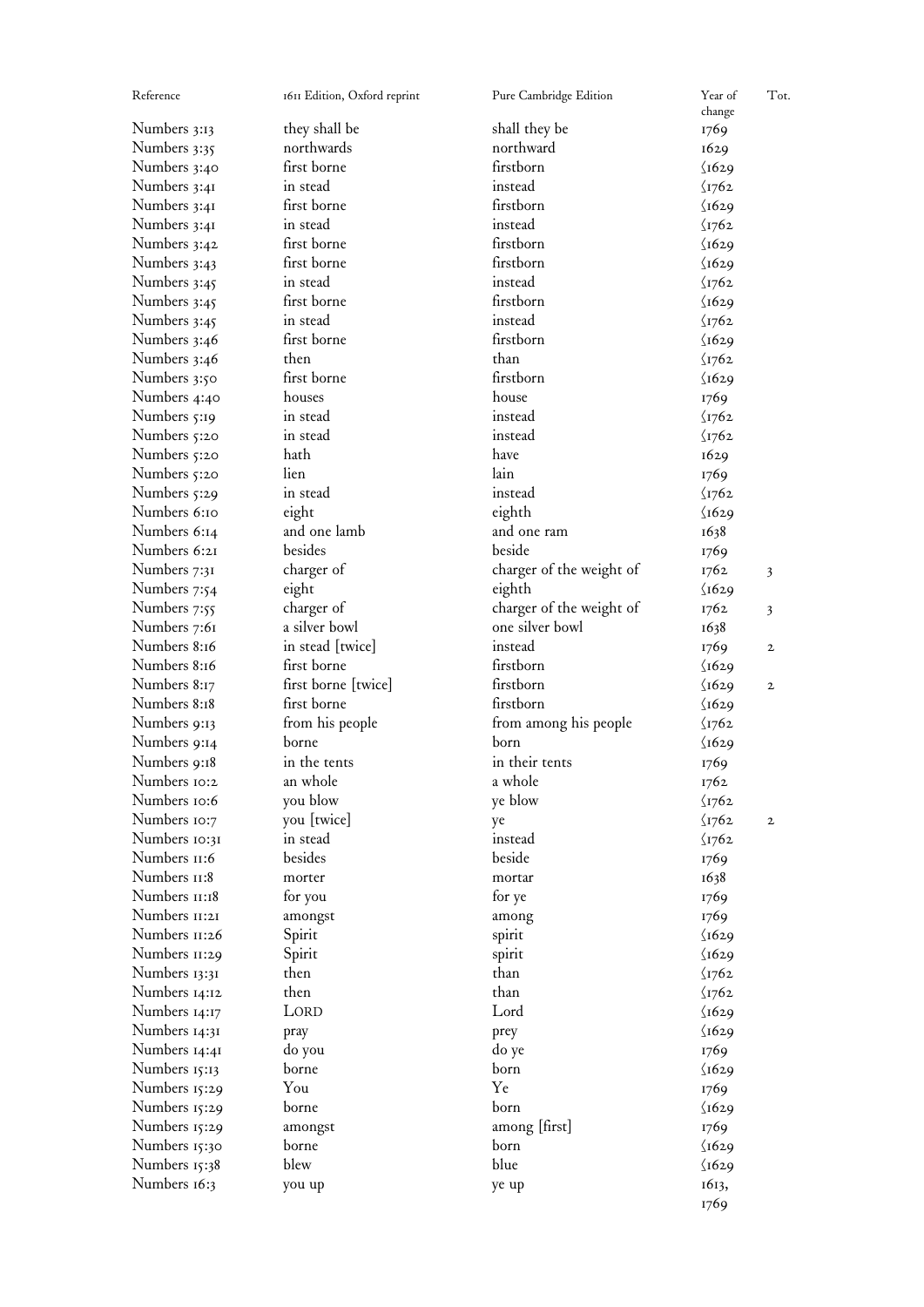| Reference     | 1611 Edition, Oxford reprint | Pure Cambridge Edition   | Year of<br>change      | Tot.         |
|---------------|------------------------------|--------------------------|------------------------|--------------|
| Numbers 3:13  | they shall be                | shall they be            | 1769                   |              |
| Numbers 3:35  | northwards                   | northward                | 1629                   |              |
| Numbers 3:40  | first borne                  | firstborn                | $\sqrt{1629}$          |              |
| Numbers 3:41  | in stead                     | instead                  | $\frac{1762}{2}$       |              |
| Numbers 3:41  | first borne                  | firstborn                | $\sqrt{1629}$          |              |
|               | in stead                     | instead                  |                        |              |
| Numbers 3:41  | first borne                  | firstborn                | $\frac{1762}{2}$       |              |
| Numbers 3:42  |                              |                          | $\sqrt{1629}$          |              |
| Numbers 3:43  | first borne                  | firstborn                | $\sqrt{1629}$          |              |
| Numbers 3:45  | in stead                     | instead                  | $\langle$ 1762         |              |
| Numbers 3:45  | first borne                  | firstborn                | $\sqrt{1629}$          |              |
| Numbers 3:45  | in stead                     | instead                  | $\langle$ 1762         |              |
| Numbers 3:46  | first borne                  | firstborn                | $\sqrt{1629}$          |              |
| Numbers 3:46  | then                         | than                     | $\frac{1762}{2}$       |              |
| Numbers 3:50  | first borne                  | firstborn                | $\sqrt{1629}$          |              |
| Numbers 4:40  | houses                       | house                    | 1769                   |              |
| Numbers 5:19  | in stead                     | instead                  | $\frac{1762}{2}$       |              |
| Numbers 5:20  | in stead                     | instead                  | $\frac{1762}{2}$       |              |
| Numbers 5:20  | hath                         | have                     | 1629                   |              |
| Numbers 5:20  | lien                         | lain                     | 1769                   |              |
| Numbers 5:29  | in stead                     | instead                  | $\langle$ 1762         |              |
| Numbers 6:10  | eight                        | eighth                   | $\sqrt{1629}$          |              |
| Numbers 6:14  | and one lamb                 | and one ram              | 1638                   |              |
| Numbers 6:21  | besides                      | beside                   | 1769                   |              |
| Numbers 7:31  | charger of                   |                          | 1762                   |              |
|               |                              | charger of the weight of |                        | 3            |
| Numbers 7:54  | eight                        | eighth                   | $\sqrt{1629}$          |              |
| Numbers 7:55  | charger of                   | charger of the weight of | 1762                   | 3            |
| Numbers 7:61  | a silver bowl                | one silver bowl          | 1638                   |              |
| Numbers 8:16  | in stead [twice]             | instead                  | 1769                   | $\mathbf{2}$ |
| Numbers 8:16  | first borne                  | firstborn                | $\sqrt{1629}$          |              |
| Numbers 8:17  | first borne [twice]          | firstborn                | $\sqrt{1629}$          | $\mathbf{2}$ |
| Numbers 8:18  | first borne                  | firstborn                | $\sqrt{1629}$          |              |
| Numbers 9:13  | from his people              | from among his people    | $\frac{\sqrt{1762}}{}$ |              |
| Numbers 9:14  | borne                        | born                     | $\sqrt{1629}$          |              |
| Numbers 9:18  | in the tents                 | in their tents           | 1769                   |              |
| Numbers 10:2  | an whole                     | a whole                  | 1762                   |              |
| Numbers 10:6  | you blow                     | ye blow                  | $\frac{\sqrt{1762}}{}$ |              |
| Numbers 10:7  | you [twice]                  | ye                       | $\langle$ 1762         | $\mathbf{2}$ |
| Numbers 10:31 | in stead                     | instead                  | $\frac{1762}{2}$       |              |
| Numbers II:6  | besides                      | beside                   | 1769                   |              |
| Numbers II:8  | morter                       | mortar                   | 1638                   |              |
| Numbers II:18 | for you                      | for ye                   | 1769                   |              |
| Numbers II:2I | amongst                      | among                    | 1769                   |              |
| Numbers II:26 | Spirit                       | spirit                   | $\sqrt{1629}$          |              |
| Numbers II:29 | Spirit                       | spirit                   | $\sqrt{1629}$          |              |
| Numbers 13:31 | then                         | than                     | $\langle$ 1762         |              |
| Numbers 14:12 | then                         | than                     | $\langle$ 1762         |              |
| Numbers 14:17 | LORD                         | Lord                     | $\sqrt{1629}$          |              |
| Numbers 14:31 |                              |                          |                        |              |
|               | pray                         | prey                     | $\sqrt{1629}$          |              |
| Numbers 14:41 | do you                       | do ye                    | 1769                   |              |
| Numbers 15:13 | borne                        | born                     | $\sqrt{1629}$          |              |
| Numbers 15:29 | You                          | Ye                       | 1769                   |              |
| Numbers 15:29 | borne                        | born                     | $\sqrt{1629}$          |              |
| Numbers 15:29 | amongst                      | among [first]            | 1769                   |              |
| Numbers 15:30 | borne                        | born                     | $\sqrt{1629}$          |              |
| Numbers 15:38 | blew                         | blue                     | $\sqrt{1629}$          |              |
| Numbers 16:3  | you up                       | ye up                    | 1613,                  |              |
|               |                              |                          | 1769                   |              |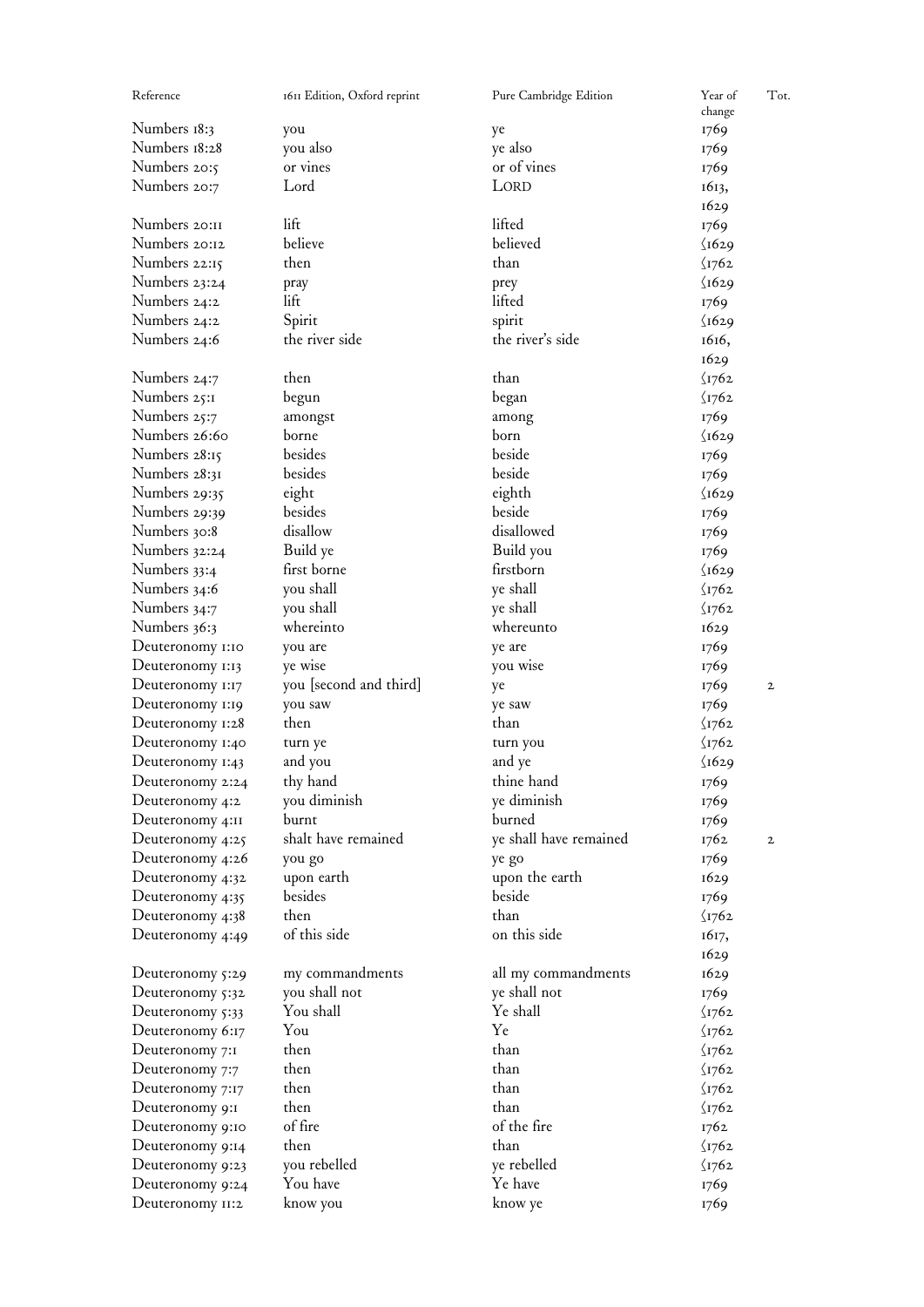| Reference                     | 1611 Edition, Oxford reprint | Pure Cambridge Edition | Year of<br>change       | Tot.         |
|-------------------------------|------------------------------|------------------------|-------------------------|--------------|
| Numbers 18:3                  | you                          | ye                     | 1769                    |              |
| Numbers 18:28                 | you also                     | ye also                | 1769                    |              |
| Numbers 20:5                  | or vines                     | or of vines            | 1769                    |              |
| Numbers 20:7                  | Lord                         | LORD                   | 1613,                   |              |
|                               |                              |                        | 1629                    |              |
| Numbers 20:11                 | lift                         | lifted                 | 1769                    |              |
| Numbers 20:12                 | believe                      | believed               | $\sqrt{1629}$           |              |
| Numbers 22:15                 | then                         | than                   | $\sqrt{1762}$           |              |
| Numbers 23:24                 |                              | prey                   | $\sqrt{1629}$           |              |
| Numbers 24:2                  | pray<br>lift                 | lifted                 | 1769                    |              |
| Numbers 24:2                  | Spirit                       | spirit                 | $\sqrt{1629}$           |              |
| Numbers 24:6                  | the river side               | the river's side       | 1616,                   |              |
|                               |                              |                        |                         |              |
|                               |                              | than                   | 1629                    |              |
| Numbers 24:7                  | then                         |                        | $\sqrt{1762}$           |              |
| Numbers 25:1                  | begun                        | began                  | $\sqrt{1762}$           |              |
| Numbers 25:7<br>Numbers 26:60 | amongst                      | among                  | 1769                    |              |
|                               | borne                        | born                   | $\sqrt{1629}$           |              |
| Numbers 28:15                 | besides                      | beside                 | 1769                    |              |
| Numbers 28:31                 | besides                      | beside                 | 1769                    |              |
| Numbers 29:35                 | eight                        | eighth                 | $\sqrt{1629}$           |              |
| Numbers 29:39                 | besides                      | beside                 | 1769                    |              |
| Numbers 30:8                  | disallow                     | disallowed             | 1769                    |              |
| Numbers 32:24                 | Build ye                     | Build you              | 1769                    |              |
| Numbers 33:4                  | first borne                  | firstborn              | $\sqrt{1629}$           |              |
| Numbers 34:6                  | you shall                    | ye shall               | $\sqrt{1762}$           |              |
| Numbers 34:7                  | you shall                    | ye shall               | $\sqrt{1762}$           |              |
| Numbers 36:3                  | whereinto                    | whereunto              | 1629                    |              |
| Deuteronomy 1:10              | you are                      | ye are                 | 1769                    |              |
| Deuteronomy 1:13              | ye wise                      | you wise               | 1769                    |              |
| Deuteronomy 1:17              | you [second and third]       | ye                     | 1769                    | $\mathbf{2}$ |
| Deuteronomy 1:19              | you saw                      | ye saw                 | 1769                    |              |
| Deuteronomy 1:28              | then                         | than                   | $\sqrt{1762}$           |              |
| Deuteronomy 1:40              | turn ye                      | turn you               | $\frac{1762}{ }$        |              |
| Deuteronomy 1:43              | and you                      | and ye                 | $\sqrt{1629}$           |              |
| Deuteronomy 2:24              | thy hand                     | thine hand             | 1769                    |              |
| Deuteronomy 4:2               | you diminish                 | ye diminish            | 1769                    |              |
| Deuteronomy 4:11              | burnt                        | burned                 | 1769                    |              |
| Deuteronomy 4:25              | shalt have remained          | ye shall have remained | 1762                    | $\mathbf{2}$ |
| Deuteronomy 4:26              | you go                       | ye go                  | 1769                    |              |
| Deuteronomy 4:32              | upon earth                   | upon the earth         | 1629                    |              |
| Deuteronomy 4:35              | besides                      | beside                 | 1769                    |              |
| Deuteronomy 4:38              | then                         | than                   | $\sqrt{1762}$           |              |
| Deuteronomy 4:49              | of this side                 | on this side           | 1617,                   |              |
|                               |                              |                        | 1629                    |              |
| Deuteronomy 5:29              | my commandments              | all my commandments    | 1629                    |              |
| Deuteronomy 5:32              | you shall not                | ye shall not           | 1769                    |              |
| Deuteronomy 5:33              | You shall                    | Ye shall               | $\zeta$ <sub>1762</sub> |              |
| Deuteronomy 6:17              | You                          | Ye                     | $\sqrt{1762}$           |              |
| Deuteronomy 7:1               | then                         | than                   | $\sqrt{1762}$           |              |
| Deuteronomy 7:7               | then                         | than                   | $\sqrt{1762}$           |              |
| Deuteronomy 7:17              | then                         | than                   | $\sqrt{1762}$           |              |
| Deuteronomy 9:1               | then                         | than                   | $\sqrt{1762}$           |              |
| Deuteronomy 9:10              | of fire                      | of the fire            | 1762                    |              |
| Deuteronomy 9:14              | then                         | than                   | $\frac{1762}{2}$        |              |
| Deuteronomy 9:23              | you rebelled                 | ye rebelled            | $\sqrt{1762}$           |              |
| Deuteronomy 9:24              | You have                     | Ye have                | 1769                    |              |
| Deuteronomy II:2              | know you                     | know ye                | 1769                    |              |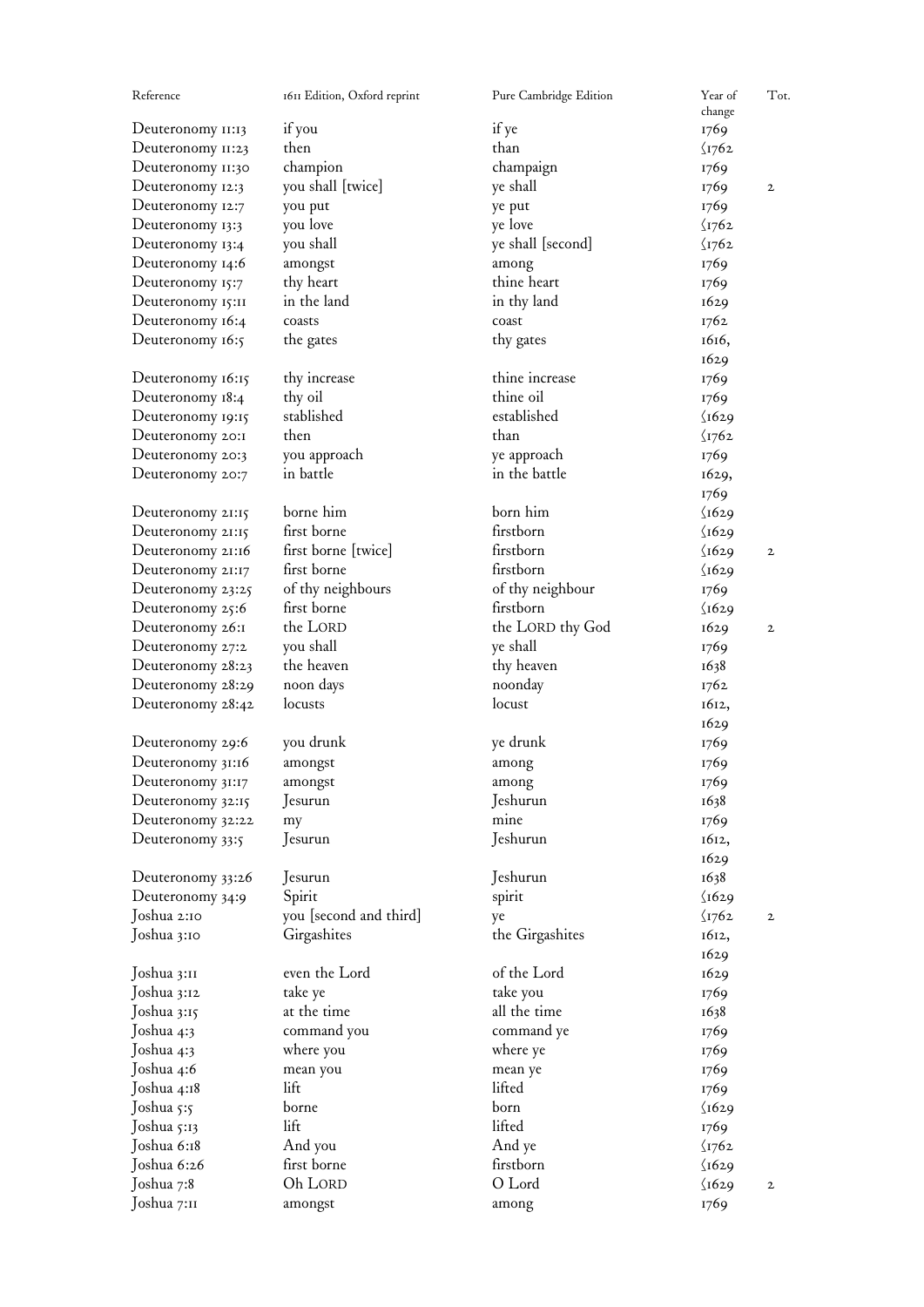| Reference         | 1611 Edition, Oxford reprint | Pure Cambridge Edition | Year of<br>change       | Tot.         |
|-------------------|------------------------------|------------------------|-------------------------|--------------|
| Deuteronomy II:13 | if you                       | if ye                  | 1769                    |              |
| Deuteronomy 11:23 | then                         | than                   | $\sqrt{1762}$           |              |
| Deuteronomy 11:30 | champion                     | champaign              | 1769                    |              |
| Deuteronomy 12:3  | you shall [twice]            |                        |                         |              |
|                   |                              | ye shall               | 1769                    | $\mathbf{2}$ |
| Deuteronomy 12:7  | you put                      | ye put                 | 1769                    |              |
| Deuteronomy 13:3  | you love                     | ye love                | $\sqrt{1762}$           |              |
| Deuteronomy 13:4  | you shall                    | ye shall [second]      | $\frac{1762}{ }$        |              |
| Deuteronomy 14:6  | amongst                      | among                  | 1769                    |              |
| Deuteronomy 15:7  | thy heart                    | thine heart            | 1769                    |              |
| Deuteronomy 15:11 | in the land                  | in thy land            | 1629                    |              |
| Deuteronomy 16:4  | coasts                       | coast                  | 1762                    |              |
| Deuteronomy 16:5  | the gates                    | thy gates              | 1616,                   |              |
|                   |                              |                        | 1629                    |              |
| Deuteronomy 16:15 | thy increase                 | thine increase         | 1769                    |              |
| Deuteronomy 18:4  | thy oil                      | thine oil              | 1769                    |              |
| Deuteronomy 19:15 | stablished                   | established            | $\sqrt{1629}$           |              |
| Deuteronomy 20:1  | then                         | than                   | $\langle$ 1762          |              |
| Deuteronomy 20:3  | you approach                 | ye approach            | 1769                    |              |
| Deuteronomy 20:7  | in battle                    | in the battle          | 1629,                   |              |
|                   |                              |                        | 1769                    |              |
| Deuteronomy 21:15 | borne him                    | born him               | $\sqrt{1629}$           |              |
| Deuteronomy 21:15 | first borne                  | firstborn              | $\sqrt{1629}$           |              |
| Deuteronomy 21:16 | first borne [twice]          | firstborn              | $\sqrt{1629}$           | $\mathbf{2}$ |
| Deuteronomy 21:17 | first borne                  | firstborn              | $\sqrt{1629}$           |              |
| Deuteronomy 23:25 | of thy neighbours            | of thy neighbour       | 1769                    |              |
| Deuteronomy 25:6  | first borne                  | firstborn              | $\sqrt{1629}$           |              |
| Deuteronomy 26:1  | the LORD                     | the LORD thy God       | 1629                    | $\mathbf{2}$ |
| Deuteronomy 27:2  | you shall                    | ye shall               | 1769                    |              |
| Deuteronomy 28:23 | the heaven                   | thy heaven             | 1638                    |              |
| Deuteronomy 28:29 | noon days                    | noonday                | 1762                    |              |
| Deuteronomy 28:42 | locusts                      | locust                 | 1612,                   |              |
|                   |                              |                        | 1629                    |              |
| Deuteronomy 29:6  | you drunk                    | ye drunk               | 1769                    |              |
| Deuteronomy 31:16 | amongst                      | among                  | 1769                    |              |
| Deuteronomy 31:17 |                              |                        | 1769                    |              |
| Deuteronomy 32:15 | amongst<br>Jesurun           | among<br>Jeshurun      | 1638                    |              |
| Deuteronomy 32:22 |                              | mine                   | 1769                    |              |
|                   | my                           | Jeshurun               | 1612,                   |              |
| Deuteronomy 33:5  | Jesurun                      |                        |                         |              |
|                   | Jesurun                      | Jeshurun               | 1629                    |              |
| Deuteronomy 33:26 |                              |                        | 1638                    |              |
| Deuteronomy 34:9  | Spirit                       | spirit                 | $\sqrt{1629}$           |              |
| Joshua 2:10       | you [second and third]       | ye                     | $\zeta$ <sub>1762</sub> | $\mathbf 2$  |
| Joshua 3:10       | Girgashites                  | the Girgashites        | 1612,                   |              |
|                   |                              |                        | 1629                    |              |
| Joshua 3:11       | even the Lord                | of the Lord            | 1629                    |              |
| Joshua 3:12       | take ye                      | take you               | 1769                    |              |
| Joshua 3:15       | at the time                  | all the time           | 1638                    |              |
| Joshua 4:3        | command you                  | command ye             | 1769                    |              |
| Joshua 4:3        | where you                    | where ye               | 1769                    |              |
| Joshua 4:6        | mean you                     | mean ye                | 1769                    |              |
| Joshua 4:18       | lift                         | lifted                 | 1769                    |              |
| Joshua 5:5        | borne                        | born                   | $\sqrt{1629}$           |              |
| Joshua 5:13       | lift                         | lifted                 | 1769                    |              |
| Joshua 6:18       | And you                      | And ye                 | $\sqrt{1762}$           |              |
| Joshua 6:26       | first borne                  | firstborn              | $\sqrt{1629}$           |              |
| Joshua 7:8        | Oh LORD                      | O Lord                 | $\sqrt{1629}$           | $\mathbf 2$  |
| Joshua 7:11       | amongst                      | among                  | 1769                    |              |
|                   |                              |                        |                         |              |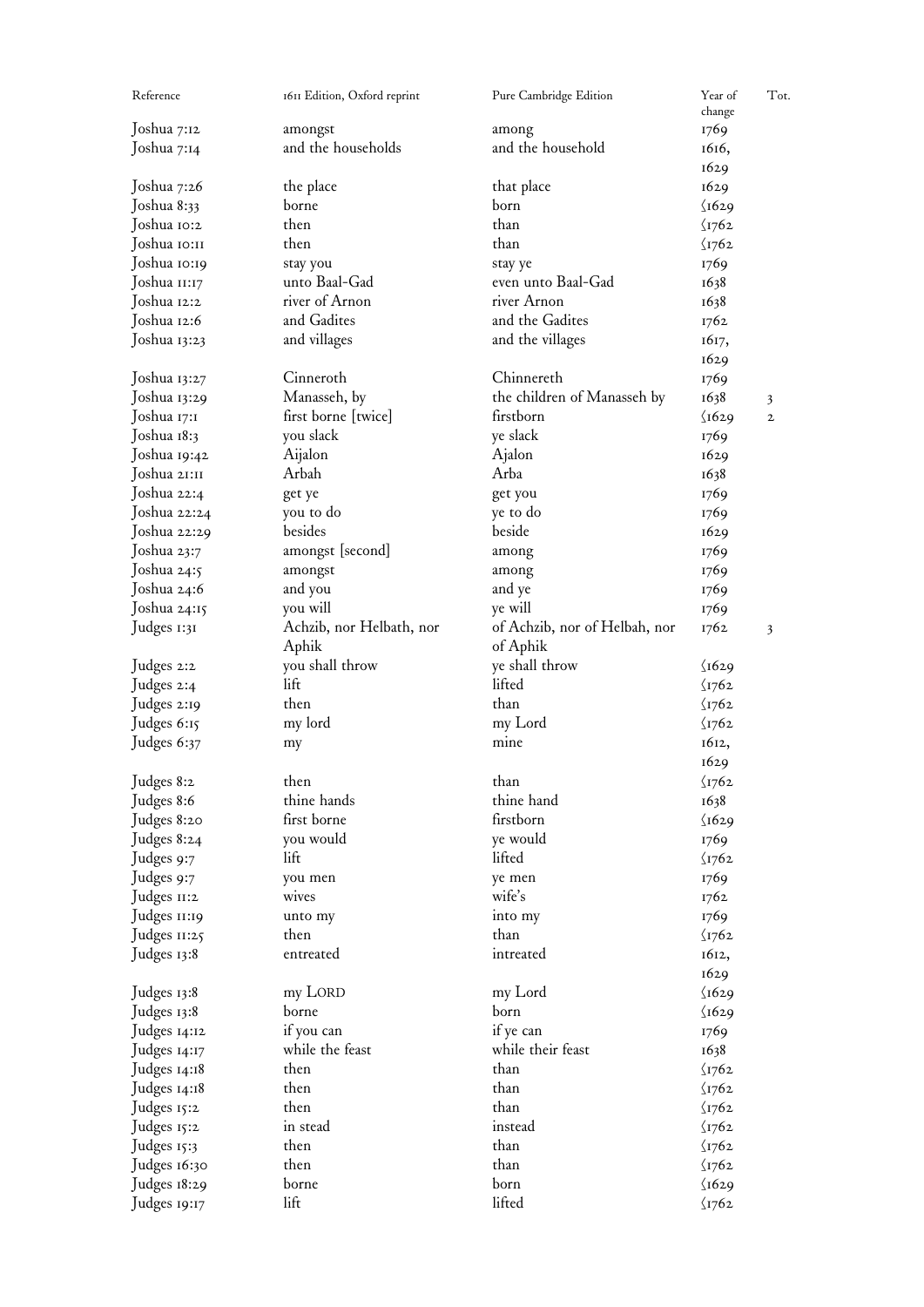| Reference    | 1611 Edition, Oxford reprint | Pure Cambridge Edition        | Year of                | Tot.         |
|--------------|------------------------------|-------------------------------|------------------------|--------------|
|              |                              |                               | change                 |              |
| Joshua 7:12  | amongst                      | among                         | 1769                   |              |
| Joshua 7:14  | and the households           | and the household             | 1616,                  |              |
|              |                              |                               | 1629                   |              |
| Joshua 7:26  | the place                    | that place                    | 1629                   |              |
| Joshua 8:33  | borne                        | born                          | $\sqrt{1629}$          |              |
| Joshua 10:2  | then                         | than                          | $\sqrt{1762}$          |              |
| Joshua IO:II | then                         | than                          | $\sqrt{1762}$          |              |
| Joshua 10:19 | stay you                     | stay ye                       | 1769                   |              |
| Joshua 11:17 | unto Baal-Gad                | even unto Baal-Gad            | 1638                   |              |
| Joshua 12:2  | river of Arnon               | river Arnon                   | 1638                   |              |
| Joshua 12:6  | and Gadites                  | and the Gadites               | 1762                   |              |
| Joshua 13:23 | and villages                 | and the villages              | 1617,                  |              |
|              |                              |                               | 1629                   |              |
| Joshua 13:27 | Cinneroth                    | Chinnereth                    | 1769                   |              |
| Joshua 13:29 | Manasseh, by                 | the children of Manasseh by   | 1638                   | 3            |
| Joshua 17:1  | first borne [twice]          | firstborn                     | $\sqrt{1629}$          | $\mathbf{2}$ |
| Joshua 18:3  | you slack                    | ye slack                      | 1769                   |              |
| Joshua 19:42 | Aijalon                      | Ajalon                        | 1629                   |              |
| Joshua 21:11 | Arbah                        | Arba                          | 1638                   |              |
| Joshua 22:4  | get ye                       | get you                       | 1769                   |              |
| Joshua 22:24 | you to do                    | ye to do                      | 1769                   |              |
| Joshua 22:29 | besides                      | beside                        | 1629                   |              |
| Joshua 23:7  | amongst [second]             | among                         | 1769                   |              |
| Joshua 24:5  | amongst                      | among                         | 1769                   |              |
| Joshua 24:6  | and you                      | and ye                        | 1769                   |              |
| Joshua 24:15 | you will                     | ye will                       | 1769                   |              |
| Judges 1:31  | Achzib, nor Helbath, nor     | of Achzib, nor of Helbah, nor | 1762                   | 3            |
|              | Aphik                        | of Aphik                      |                        |              |
| Judges 2:2   | you shall throw              | ye shall throw                | $\sqrt{1629}$          |              |
| Judges 2:4   | lift                         | lifted                        | $\sqrt{1762}$          |              |
| Judges 2:19  | then                         | than                          | $\sqrt{1762}$          |              |
| Judges 6:15  | my lord                      | my Lord                       | $\sqrt{1762}$          |              |
| Judges 6:37  | my                           | mine                          | 1612,                  |              |
|              |                              |                               | 1629                   |              |
| Judges 8:2   | then                         | than                          | $\frac{\sqrt{1762}}{}$ |              |
| Judges 8:6   | thine hands                  | thine hand                    | 1638                   |              |
| Judges 8:20  | first borne                  | firstborn                     | $\sqrt{1629}$          |              |
|              | you would                    | ye would                      |                        |              |
| Judges 8:24  | lift                         | lifted                        | 1769                   |              |
| Judges 9:7   |                              |                               | $\sqrt{1762}$          |              |
| Judges 9:7   | you men                      | ye men<br>wife's              | 1769                   |              |
| Judges II:2  | wives                        |                               | 1762                   |              |
| Judges II:19 | unto my                      | into my                       | 1769                   |              |
| Judges II:25 | then                         | than                          | $\langle$ I762         |              |
| Judges 13:8  | entreated                    | intreated                     | 1612,                  |              |
|              |                              |                               | 1629                   |              |
| Judges 13:8  | my LORD                      | my Lord                       | $\sqrt{1629}$          |              |
| Judges 13:8  | borne                        | born                          | $\sqrt{1629}$          |              |
| Judges 14:12 | if you can                   | if ye can                     | 1769                   |              |
| Judges 14:17 | while the feast              | while their feast             | 1638                   |              |
| Judges 14:18 | then                         | than                          | $\frac{\sqrt{1762}}{}$ |              |
| Judges 14:18 | then                         | than                          | $\langle$ I762         |              |
| Judges 15:2  | then                         | than                          | $\sqrt{1762}$          |              |
| Judges 15:2  | in stead                     | instead                       | $\sqrt{1762}$          |              |
| Judges 15:3  | then                         | than                          | $\frac{\sqrt{1762}}{}$ |              |
| Judges 16:30 | then                         | than                          | $\sqrt{1762}$          |              |
| Judges 18:29 | borne                        | born                          | $\sqrt{1629}$          |              |
| Judges 19:17 | lift                         | lifted                        | $\sqrt{1762}$          |              |
|              |                              |                               |                        |              |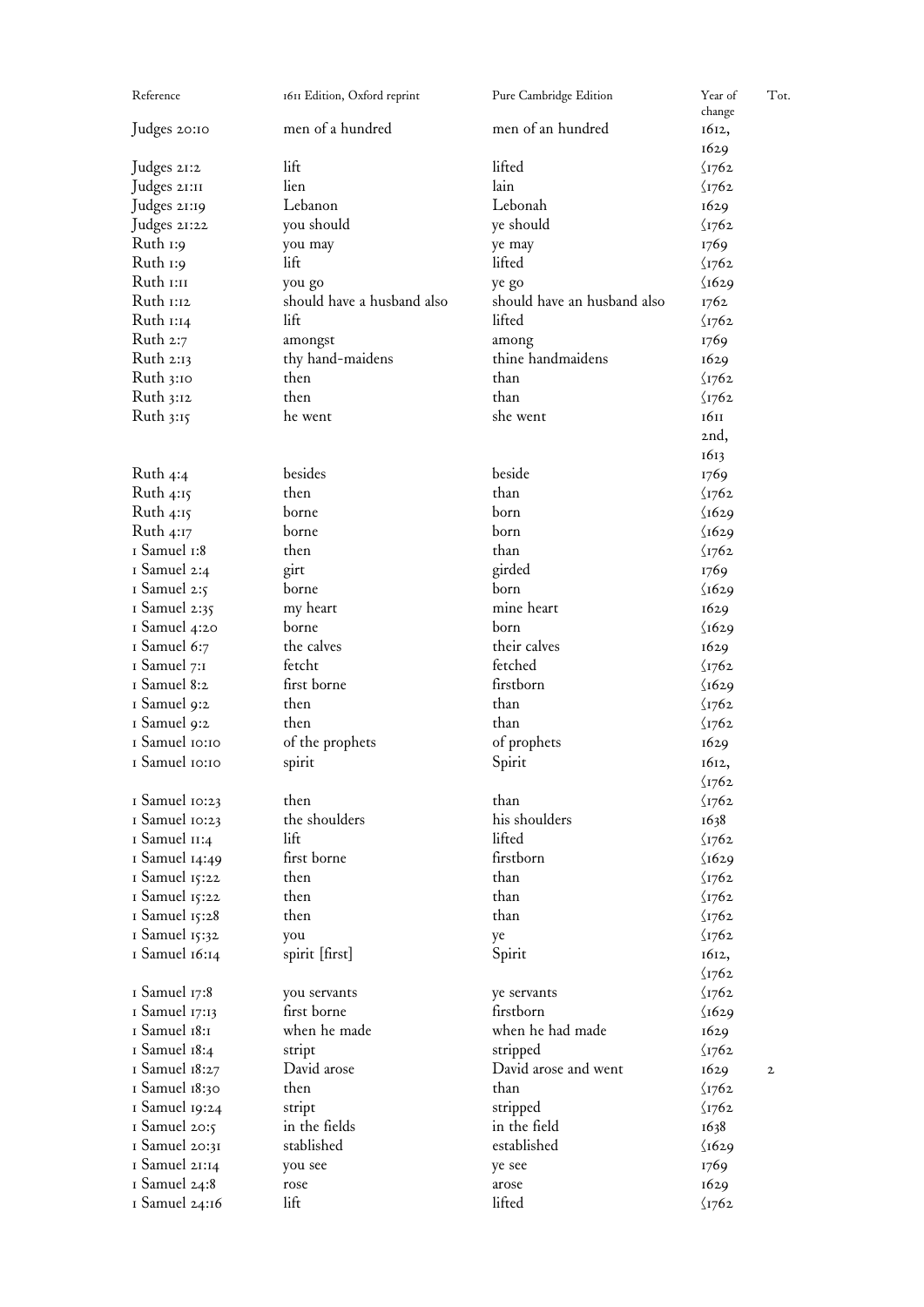| Reference       | 1611 Edition, Oxford reprint         | Pure Cambridge Edition               | Year of<br>change | Tot.         |
|-----------------|--------------------------------------|--------------------------------------|-------------------|--------------|
| Judges 20:10    | men of a hundred                     | men of an hundred                    | 1612,             |              |
|                 |                                      |                                      | 1629              |              |
| Judges 21:2     | lift                                 | lifted                               | $\langle$ 1762    |              |
| Judges 21:11    | lien                                 | lain                                 | $\frac{1762}{2}$  |              |
| Judges 21:19    | Lebanon                              | Lebonah                              | 1629              |              |
| Judges 21:22    | you should                           | ye should                            | $\frac{1762}{2}$  |              |
| Ruth 1:9        | you may                              | ye may                               | 1769              |              |
| Ruth 1:9        | lift                                 | lifted                               | $\sqrt{1762}$     |              |
| $Ruth$ $1:11$   |                                      |                                      |                   |              |
| Ruth 1:12       | you go<br>should have a husband also | ye go<br>should have an husband also | $\sqrt{1629}$     |              |
|                 | lift                                 | lifted                               | 1762              |              |
| Ruth 1:14       |                                      |                                      | $\frac{1762}{2}$  |              |
| Ruth $2:7$      | amongst                              | among                                | 1769              |              |
| Ruth $2:13$     | thy hand-maidens                     | thine handmaidens                    | 1629              |              |
| Ruth 3:10       | then                                 | than                                 | $\frac{1762}{2}$  |              |
| Ruth $3:12$     | then                                 | than                                 | $\sqrt{1762}$     |              |
| Ruth $3:15$     | he went                              | she went                             | 1611              |              |
|                 |                                      |                                      | 2nd,              |              |
|                 |                                      |                                      | 1613              |              |
| Ruth $4:4$      | besides                              | beside                               | 1769              |              |
| Ruth $4:15$     | then                                 | than                                 | $\sqrt{1762}$     |              |
| Ruth $4:15$     | borne                                | born                                 | $\sqrt{1629}$     |              |
| Ruth 4:17       | borne                                | born                                 | $\sqrt{1629}$     |              |
| I Samuel 1:8    | then                                 | than                                 | $\frac{1762}{ }$  |              |
| I Samuel 2:4    | girt                                 | girded                               | 1769              |              |
| I Samuel $2:5$  | borne                                | born                                 | $\sqrt{1629}$     |              |
| I Samuel $2:35$ | my heart                             | mine heart                           | 1629              |              |
| I Samuel 4:20   | borne                                | born                                 | $\sqrt{1629}$     |              |
| I Samuel 6:7    | the calves                           | their calves                         | 1629              |              |
| I Samuel 7:1    | fetcht                               | fetched                              | $\frac{1762}{2}$  |              |
| I Samuel 8:2    | first borne                          | firstborn                            | $\sqrt{1629}$     |              |
| I Samuel 9:2    | then                                 | than                                 | $\sqrt{1762}$     |              |
| I Samuel 9:2    | then                                 | than                                 | $\sqrt{1762}$     |              |
| I Samuel IO:IO  | of the prophets                      | of prophets                          | 1629              |              |
| I Samuel IO:IO  | spirit                               | Spirit                               | 1612,             |              |
|                 |                                      |                                      | $\langle 1762$    |              |
| I Samuel 10:23  | then                                 | than                                 | $\langle 1762$    |              |
| I Samuel 10:23  | the shoulders                        | his shoulders                        | 1638              |              |
| I Samuel II:4   | lift                                 | lifted                               | $\sqrt{1762}$     |              |
| I Samuel 14:49  | first borne                          | firstborn                            | $\sqrt{1629}$     |              |
| I Samuel 15:22  | then                                 | than                                 | $\sqrt{1762}$     |              |
| I Samuel 15:22  | then                                 | than                                 | $\sqrt{1762}$     |              |
| I Samuel 15:28  | then                                 | than                                 | $\sqrt{1762}$     |              |
| I Samuel 15:32  | you                                  | ye                                   | $\langle$ 1762    |              |
| I Samuel 16:14  | spirit [first]                       | Spirit                               | 1612,             |              |
|                 |                                      |                                      | $\langle$ 1762    |              |
| I Samuel 17:8   | you servants                         | ye servants                          | $\langle$ 1762    |              |
| I Samuel 17:13  | first borne                          | firstborn                            | $\sqrt{1629}$     |              |
| 1 Samuel 18:1   | when he made                         | when he had made                     | 1629              |              |
| I Samuel 18:4   | stript                               | stripped                             | $\sqrt{1762}$     |              |
| I Samuel 18:27  | David arose                          | David arose and went                 | 1629              | $\mathbf{2}$ |
| I Samuel 18:30  | then                                 | than                                 | $\sqrt{1762}$     |              |
| I Samuel 19:24  | stript                               | stripped                             | $\sqrt{1762}$     |              |
| I Samuel 20:5   | in the fields                        | in the field                         | 1638              |              |
| I Samuel 20:31  | stablished                           | established                          | $\sqrt{1629}$     |              |
| I Samuel 21:14  | you see                              | ye see                               | 1769              |              |
| I Samuel 24:8   | rose                                 | arose                                | 1629              |              |
| I Samuel 24:16  | lift                                 | lifted                               | $\sqrt{1762}$     |              |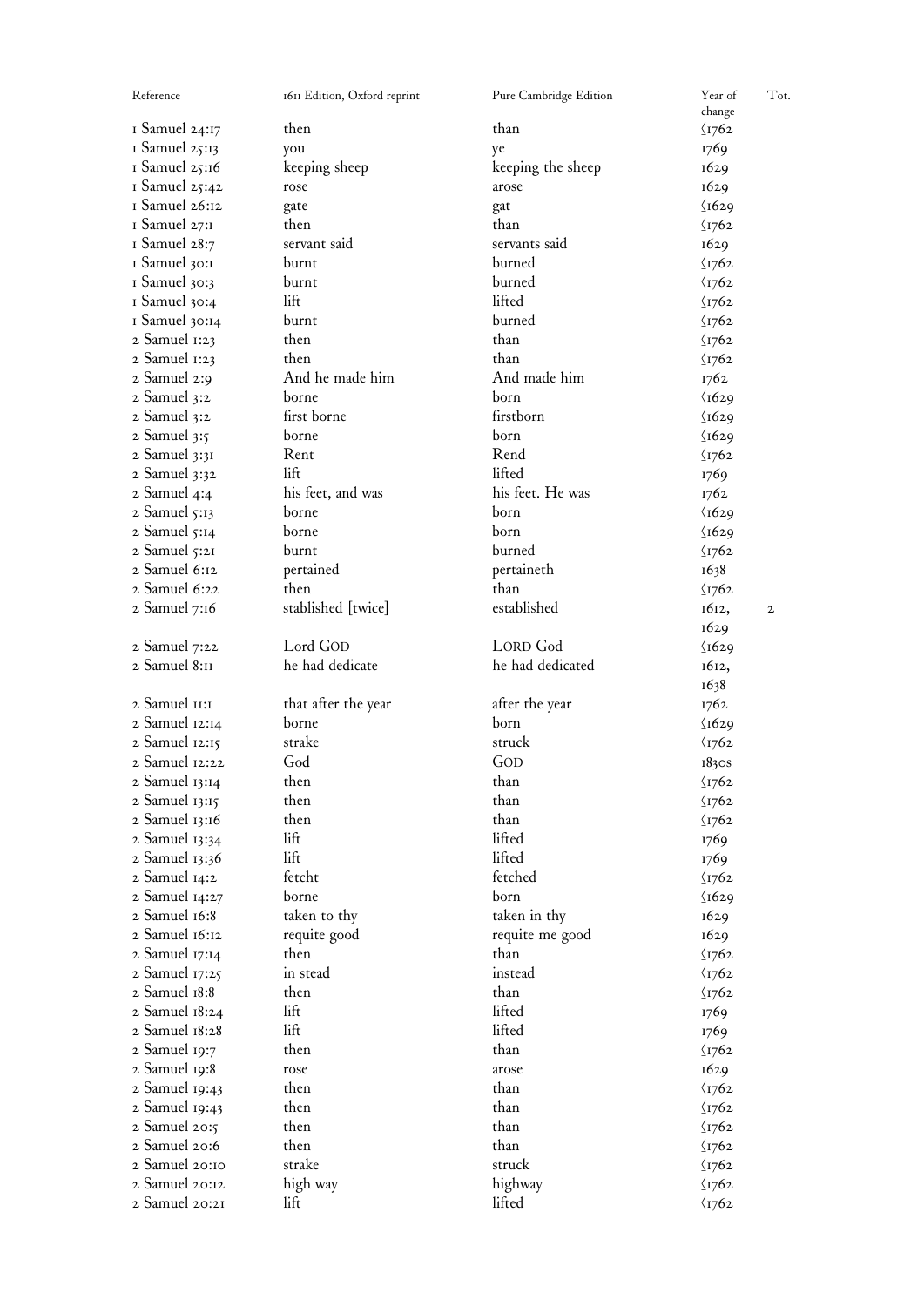| Reference          | 1611 Edition, Oxford reprint | Pure Cambridge Edition | Year of<br>change       | Tot.         |
|--------------------|------------------------------|------------------------|-------------------------|--------------|
| $I$ Samuel 24:17   | then                         | than                   | $\frac{1}{2}$ I762      |              |
| $I$ Samuel $25:13$ | you                          | ye                     | 1769                    |              |
| I Samuel 25:16     | keeping sheep                | keeping the sheep      | 1629                    |              |
| I Samuel $25:42$   | rose                         | arose                  | 1629                    |              |
| I Samuel 26:12     | gate                         | gat                    | $\sqrt{1629}$           |              |
| I Samuel 27:1      | then                         | than                   | $\sqrt{1762}$           |              |
| I Samuel 28:7      | servant said                 | servants said          | 1629                    |              |
| I Samuel 30:1      | burnt                        | burned                 | $\sqrt{1762}$           |              |
| I Samuel 30:3      | burnt                        | burned                 | $\sqrt{1762}$           |              |
| I Samuel 30:4      | lift                         | lifted                 | $\sqrt{1762}$           |              |
| I Samuel 30:14     | burnt                        | burned                 | $\sqrt{1762}$           |              |
| 2 Samuel 1:23      | then                         | than                   | $\sqrt{1762}$           |              |
| 2 Samuel 1:23      | then                         | than                   | $\sqrt{1762}$           |              |
| 2 Samuel 2:9       | And he made him              | And made him           | 1762                    |              |
| 2 Samuel 3:2       | borne                        | born                   | $\sqrt{1629}$           |              |
| 2 Samuel 3:2       | first borne                  | firstborn              | $\sqrt{1629}$           |              |
| $2$ Samuel $3:5$   | borne                        | born                   | $\sqrt{1629}$           |              |
| 2 Samuel 3:31      | Rent                         | Rend                   | $\sqrt{1762}$           |              |
| 2 Samuel 3:32      | lift                         | lifted                 | 1769                    |              |
| $2$ Samuel 4:4     | his feet, and was            | his feet. He was       | 1762                    |              |
| $2$ Samuel $5:13$  | borne                        | born                   | $\sqrt{1629}$           |              |
| $2$ Samuel 5:14    | borne                        | born                   | $\sqrt{1629}$           |              |
| 2 Samuel 5:21      | burnt                        | burned                 | $\sqrt{1762}$           |              |
| 2 Samuel 6:12      | pertained                    | pertaineth             | 1638                    |              |
| 2 Samuel 6:22      | then                         | than                   | $\sqrt{1762}$           |              |
| 2 Samuel 7:16      | stablished [twice]           | established            | 1612,                   | $\mathbf{2}$ |
|                    |                              |                        | 1629                    |              |
| 2 Samuel 7:22      | Lord GOD                     | LORD God               | $\sqrt{1629}$           |              |
| 2 Samuel 8:11      | he had dedicate              | he had dedicated       | 1612,                   |              |
|                    |                              |                        | 1638                    |              |
| 2 Samuel II:I      | that after the year          | after the year         | 1762                    |              |
| 2 Samuel 12:14     | borne                        | born                   | $\sqrt{1629}$           |              |
| 2 Samuel 12:15     | strake                       | struck                 | $\sqrt{1762}$           |              |
| 2 Samuel 12:22     | God                          | GOD                    | $183$ os                |              |
| 2 Samuel 13:14     | then                         | than                   | $\langle$ 1762          |              |
| 2 Samuel 13:15     | then                         | than                   | $\zeta$ <sub>1762</sub> |              |
| 2 Samuel 13:16     | then                         | than                   | $\sqrt{1762}$           |              |
| 2 Samuel 13:34     | lift                         | lifted                 | 1769                    |              |
| 2 Samuel 13:36     | lift                         | lifted                 | 1769                    |              |
| 2 Samuel 14:2      | fetcht                       | fetched                | $\frac{1762}{2}$        |              |
| 2 Samuel 14:27     | borne                        | born                   | $\sqrt{1629}$           |              |
| 2 Samuel 16:8      | taken to thy                 | taken in thy           | 1629                    |              |
| 2 Samuel 16:12     | requite good                 | requite me good        | 1629                    |              |
| 2 Samuel 17:14     | then                         | than                   | $\sqrt{1762}$           |              |
| $2$ Samuel $17:25$ | in stead                     | instead                | $\sqrt{1762}$           |              |
| 2 Samuel 18:8      | then                         | than                   | $\langle$ I762          |              |
| 2 Samuel 18:24     | lift                         | lifted                 | 1769                    |              |
| 2 Samuel 18:28     | lift                         | lifted                 | 1769                    |              |
| 2 Samuel 19:7      | then                         | than                   | $\langle$ I762          |              |
| 2 Samuel 19:8      | rose                         | arose                  | 1629                    |              |
| 2 Samuel 19:43     | then                         | than                   | $\sqrt{1762}$           |              |
| 2 Samuel 19:43     | then                         | than                   | $\sqrt{1762}$           |              |
| $2$ Samuel $20:5$  | then                         | than                   | $\sqrt{1762}$           |              |
| 2 Samuel 20:6      | then                         | than                   | $\sqrt{1762}$           |              |
| 2 Samuel 20:10     | strake                       | struck                 | $\sqrt{1762}$           |              |
| 2 Samuel 20:12     | high way                     | highway                | $\sqrt{1762}$           |              |
| 2 Samuel 20:21     | lift                         | lifted                 | $\langle$ 1762          |              |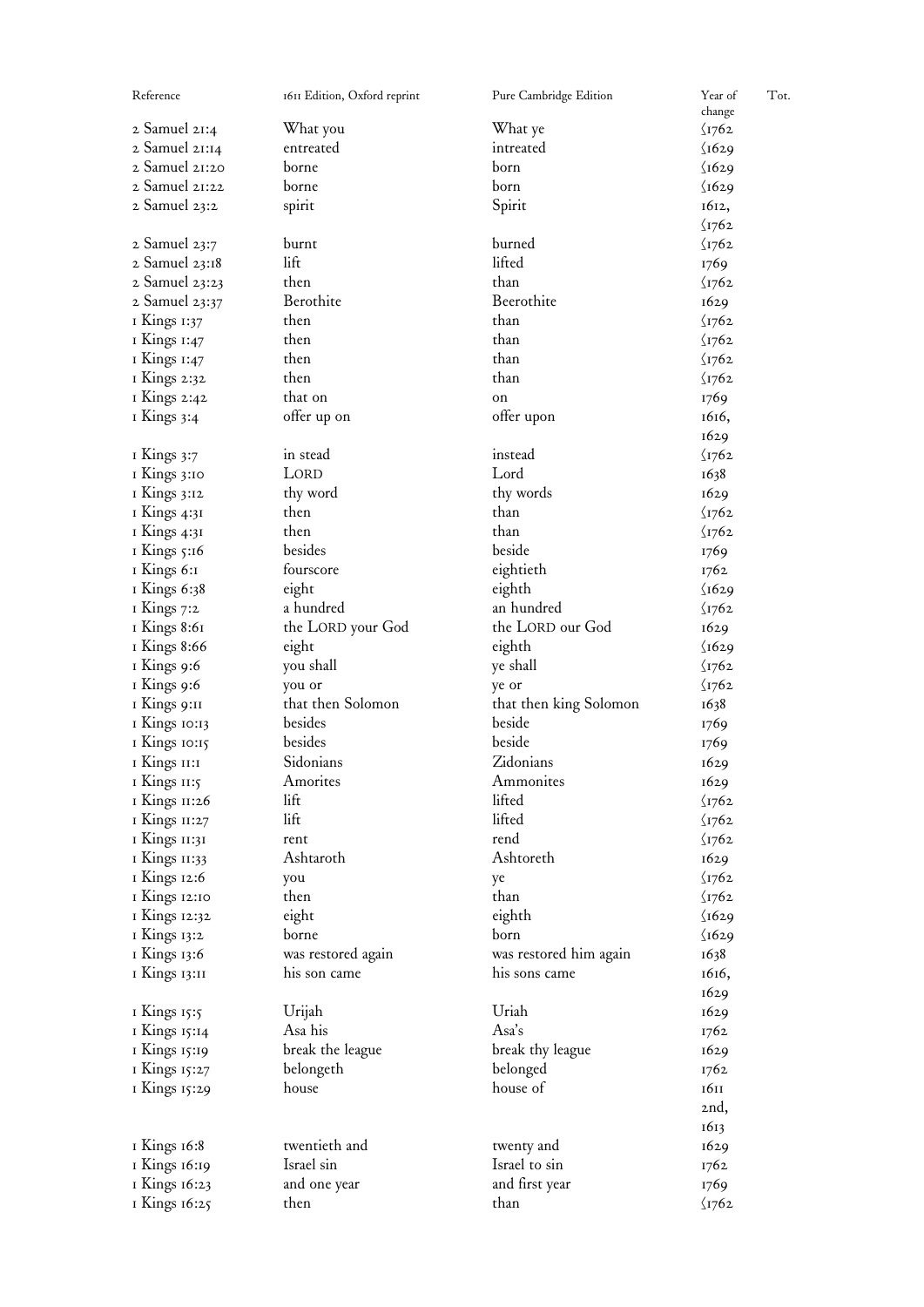| Reference        | 1611 Edition, Oxford reprint       | Pure Cambridge Edition                  | Year of<br>Tot.<br>change |
|------------------|------------------------------------|-----------------------------------------|---------------------------|
| 2 Samuel 21:4    | What you                           | What ye                                 | $\sqrt{1762}$             |
| 2 Samuel 21:14   | entreated                          | intreated                               | $\sqrt{1629}$             |
| 2 Samuel 21:20   | borne                              | born                                    | $\sqrt{1629}$             |
| 2 Samuel 21:22   | borne                              | born                                    | $\sqrt{1629}$             |
| 2 Samuel 23:2    | spirit                             | Spirit                                  | 1612,                     |
|                  |                                    |                                         |                           |
|                  |                                    | burned                                  | $\frac{\sqrt{1762}}{}$    |
| 2 Samuel 23:7    | burnt<br>lift                      | lifted                                  | $\frac{\sqrt{1762}}{}$    |
| 2 Samuel 23:18   |                                    | than                                    | 1769                      |
| 2 Samuel 23:23   | then                               |                                         | $\sqrt{1762}$             |
| 2 Samuel 23:37   | Berothite                          | Beerothite                              | 1629                      |
| I Kings 1:37     | then                               | than                                    | $\sqrt{1762}$             |
| I Kings 1:47     | then                               | than                                    | $\sqrt{1762}$             |
| I Kings 1:47     | then                               | than                                    | $\sqrt{1762}$             |
| I Kings 2:32     | then                               | than                                    | $\sqrt{1762}$             |
| I Kings 2:42     | that on                            | on                                      | 1769                      |
| I Kings 3:4      | offer up on                        | offer upon                              | 1616,                     |
|                  |                                    |                                         | 1629                      |
| I Kings 3:7      | in stead                           | instead                                 | $\frac{\sqrt{1762}}{}$    |
| I Kings 3:10     | LORD                               | Lord                                    | 1638                      |
| I Kings 3:12     | thy word                           | thy words                               | 1629                      |
| $I$ Kings $4:3I$ | then                               | than                                    | $\sqrt{1762}$             |
| I Kings 4:31     | then                               | than                                    | $\sqrt{1762}$             |
| I Kings 5:16     | besides                            | beside                                  | 1769                      |
| I Kings 6:1      | fourscore                          | eightieth                               | 1762                      |
| I Kings 6:38     | eight                              | eighth                                  | $\sqrt{1629}$             |
| I Kings 7:2      | a hundred                          | an hundred                              | $\sqrt{1762}$             |
| I Kings 8:61     | the LORD your God                  | the LORD our God                        | 1629                      |
| I Kings 8:66     | eight                              | eighth                                  | $\sqrt{1629}$             |
| I Kings 9:6      | you shall                          | ye shall                                | $\frac{\sqrt{1762}}{}$    |
| I Kings 9:6      | you or                             | ye or                                   | $\frac{\sqrt{1762}}{}$    |
| I Kings 9:11     | that then Solomon                  | that then king Solomon                  | 1638                      |
| I Kings 10:13    | besides                            | beside                                  | 1769                      |
| I Kings 10:15    | besides                            | beside                                  | 1769                      |
| I Kings II:I     | Sidonians                          | Zidonians                               | 1629                      |
| I Kings II:5     | Amorites                           | Ammonites                               | 1629                      |
| I Kings 11:26    | lift                               | lifted                                  | $\sqrt{1762}$             |
| I Kings 11:27    | lift                               | lifted                                  | $\sqrt{1762}$             |
| I Kings II:3I    | rent                               | rend                                    | $\sqrt{1762}$             |
| I Kings 11:33    | Ashtaroth                          | Ashtoreth                               | 1629                      |
| I Kings 12:6     | you                                | ye                                      | $\sqrt{1762}$             |
| I Kings 12:10    | then                               | than                                    | $\sqrt{1762}$             |
| I Kings 12:32    | eight                              | eighth                                  | $\sqrt{1629}$             |
| I Kings 13:2     | borne                              | born                                    | $\sqrt{1629}$             |
| I Kings 13:6     |                                    |                                         |                           |
|                  | was restored again<br>his son came | was restored him again<br>his sons came | 1638                      |
| I Kings 13:11    |                                    |                                         | 1616,                     |
|                  |                                    | Uriah                                   | 1629                      |
| I Kings 15:5     | Urijah                             |                                         | 1629                      |
| I Kings 15:14    | Asa his                            | Asa's                                   | 1762                      |
| I Kings 15:19    | break the league                   | break thy league                        | 1629                      |
| I Kings 15:27    | belongeth                          | belonged                                | 1762                      |
| I Kings 15:29    | house                              | house of                                | 1611                      |
|                  |                                    |                                         | 2nd,                      |
|                  |                                    |                                         | 1613                      |
| I Kings 16:8     | twentieth and                      | twenty and                              | 1629                      |
| I Kings 16:19    | Israel sin                         | Israel to sin                           | 1762                      |
| I Kings 16:23    | and one year                       | and first year                          | 1769                      |
| I Kings 16:25    | then                               | than                                    | $\frac{\zeta_{I762}}{}$   |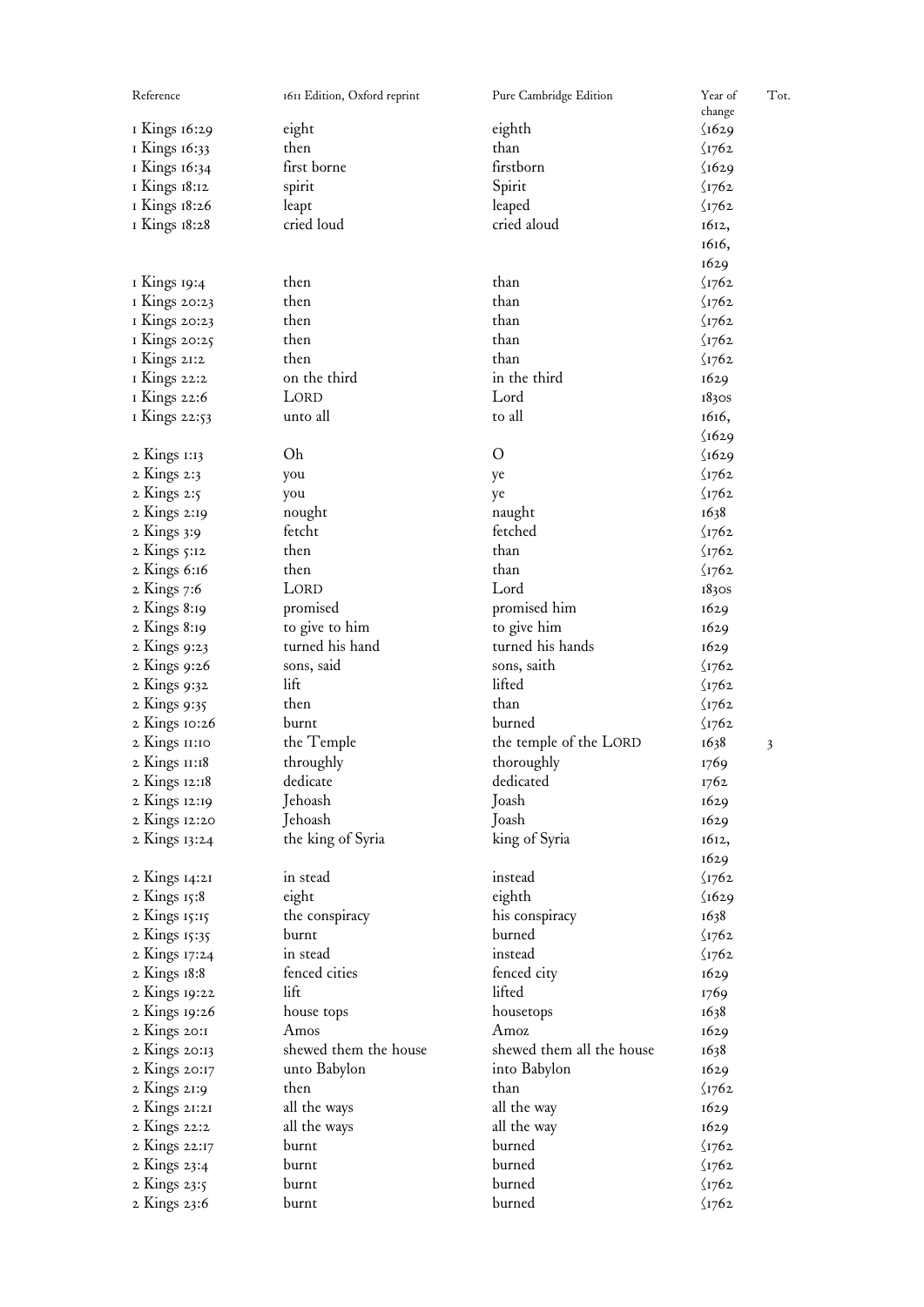| Reference         | 1611 Edition, Oxford reprint | Pure Cambridge Edition    | Year of                | Tot. |
|-------------------|------------------------------|---------------------------|------------------------|------|
|                   |                              |                           | change                 |      |
| I Kings 16:29     | eight                        | eighth                    | $\sqrt{1629}$          |      |
| I Kings 16:33     | then                         | than                      | $\frac{1762}{ }$       |      |
| I Kings 16:34     | first borne                  | firstborn                 | $\sqrt{1629}$          |      |
| I Kings 18:12     | spirit                       | Spirit                    | $\frac{1762}{ }$       |      |
| I Kings 18:26     | leapt                        | leaped                    | $\frac{\sqrt{1762}}{}$ |      |
| I Kings 18:28     | cried loud                   | cried aloud               | 1612,                  |      |
|                   |                              |                           | 1616,                  |      |
|                   |                              |                           | 1629                   |      |
| I Kings 19:4      | then                         | than                      | $\sqrt{1762}$          |      |
| I Kings 20:23     | then                         | than                      | $\sqrt{1762}$          |      |
| I Kings 20:23     | then                         | than                      | $\sqrt{1762}$          |      |
| I Kings 20:25     | then                         | than                      | $\sqrt{1762}$          |      |
| I Kings 21:2      | then                         | than                      | $\sqrt{1762}$          |      |
| I Kings 22:2      | on the third                 | in the third              | 1629                   |      |
| I Kings 22:6      | LORD                         | Lord                      | $183$ os               |      |
| I Kings 22:53     | unto all                     | to all                    | 1616,                  |      |
|                   |                              |                           | $\sqrt{1629}$          |      |
| 2 Kings 1:13      | Oh                           | O                         | $\sqrt{1629}$          |      |
| $2$ Kings $2:3$   | you                          | ye                        | $\sqrt{1762}$          |      |
| $2$ Kings $2:5$   | you                          |                           | $\sqrt{1762}$          |      |
|                   | nought                       | ye<br>naught              | 1638                   |      |
| 2 Kings 2:19      | fetcht                       | fetched                   | $\sqrt{1762}$          |      |
| $2$ Kings $3:9$   |                              |                           |                        |      |
| 2 Kings 5:12      | then                         | than                      | $\sqrt{1762}$          |      |
| 2 Kings 6:16      | then                         | than                      | $\frac{\sqrt{1762}}{}$ |      |
| $2$ Kings $7:6$   | LORD                         | Lord                      | $183$ os               |      |
| 2 Kings 8:19      | promised                     | promised him              | 1629                   |      |
| 2 Kings 8:19      | to give to him               | to give him               | 1629                   |      |
| 2 Kings 9:23      | turned his hand              | turned his hands          | 1629                   |      |
| 2 Kings 9:26      | sons, said                   | sons, saith               | $\sqrt{1762}$          |      |
| 2 Kings 9:32      | lift                         | lifted                    | $\sqrt{1762}$          |      |
| 2 Kings 9:35      | then                         | than                      | $\sqrt{1762}$          |      |
| 2 Kings 10:26     | burnt                        | burned                    | $\sqrt{1762}$          |      |
| 2 Kings II:10     | the Temple                   | the temple of the LORD    | 1638                   | 3    |
| 2 Kings II:18     | throughly                    | thoroughly                | 1769                   |      |
| 2 Kings 12:18     | dedicate                     | dedicated                 | 1762                   |      |
| 2 Kings 12:19     | Jehoash                      | Joash                     | 1629                   |      |
| 2 Kings 12:20     | Jehoash                      | Joash                     | 1629                   |      |
| 2 Kings 13:24     | the king of Syria            | king of Syria             | 1612,                  |      |
|                   |                              |                           | 1629                   |      |
| 2 Kings 14:21     | in stead                     | instead                   | $\sqrt{1762}$          |      |
| 2 Kings 15:8      | eight                        | eighth                    | $\sqrt{1629}$          |      |
| $2$ Kings $15:15$ | the conspiracy               | his conspiracy            | 1638                   |      |
| 2 Kings 15:35     | burnt                        | burned                    | $\sqrt{1762}$          |      |
| 2 Kings 17:24     | in stead                     | instead                   | $\sqrt{1762}$          |      |
| 2 Kings 18:8      | fenced cities                | fenced city               | 1629                   |      |
| 2 Kings 19:22     | lift                         | lifted                    | 1769                   |      |
| 2 Kings 19:26     | house tops                   | housetops                 | 1638                   |      |
| 2 Kings 20:1      | Amos                         | Amoz                      | 1629                   |      |
| 2 Kings 20:13     | shewed them the house        | shewed them all the house | 1638                   |      |
| $2$ Kings $20:17$ | unto Babylon                 | into Babylon              | 1629                   |      |
| $2$ Kings $21:9$  | then                         | than                      | $\sqrt{1762}$          |      |
| 2 Kings 21:21     | all the ways                 | all the way               | 1629                   |      |
| 2 Kings 22:2      | all the ways                 | all the way               | 1629                   |      |
| $2$ Kings $22:17$ | burnt                        | burned                    | $\sqrt{1762}$          |      |
| 2 Kings 23:4      | burnt                        | burned                    | $\sqrt{1762}$          |      |
| 2 Kings 23:5      |                              | burned                    |                        |      |
|                   | burnt                        |                           | $\sqrt{1762}$          |      |
| 2 Kings 23:6      | burnt                        | burned                    | $\sqrt{1762}$          |      |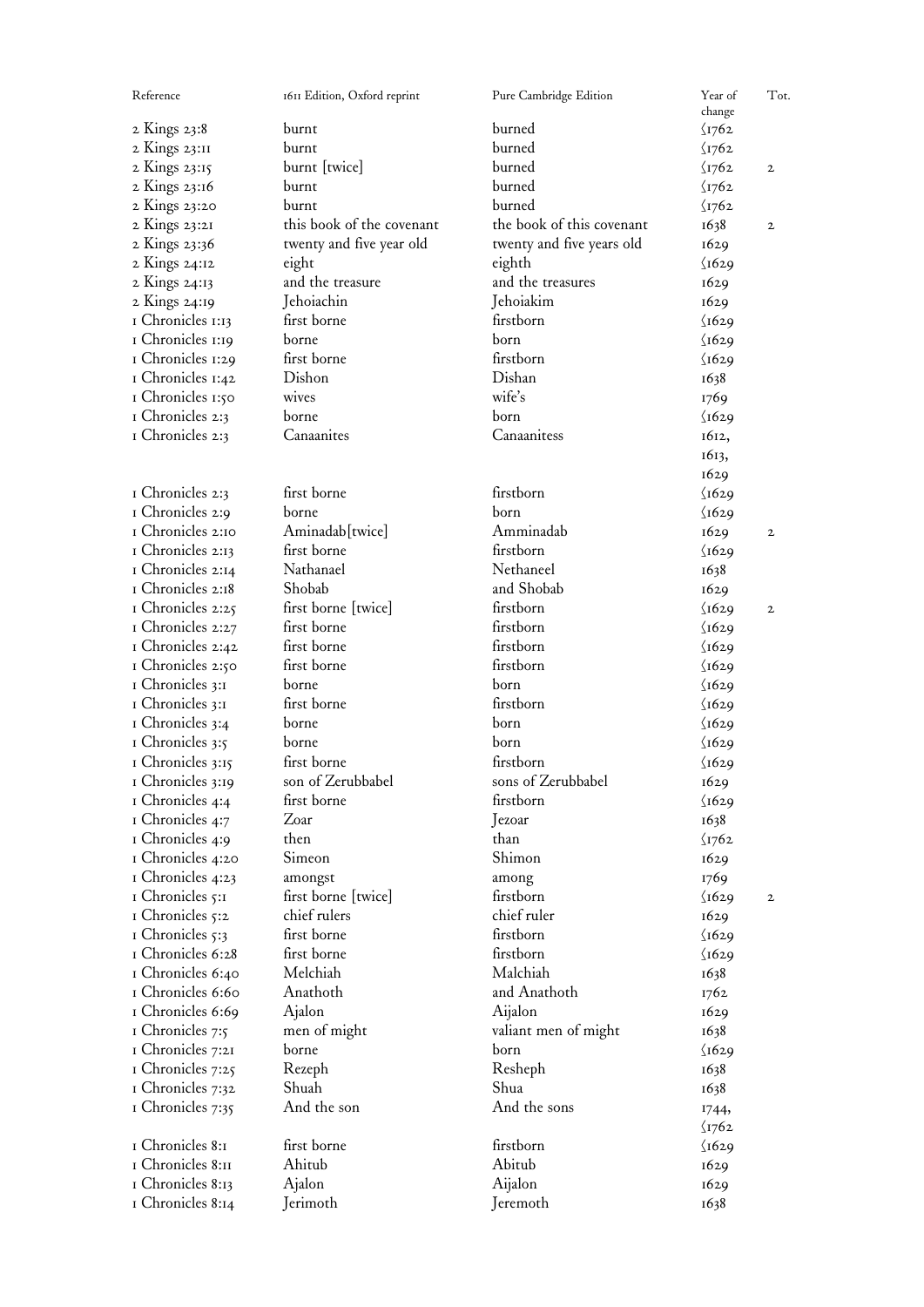| Reference         | 1611 Edition, Oxford reprint | Pure Cambridge Edition    | Year of<br>change | Tot.         |
|-------------------|------------------------------|---------------------------|-------------------|--------------|
| 2 Kings 23:8      | burnt                        | burned                    | $\frac{1762}{ }$  |              |
| 2 Kings 23:11     | burnt                        | burned                    | $\sqrt{1762}$     |              |
| 2 Kings 23:15     | burnt [twice]                | burned                    | $\sqrt{1762}$     |              |
|                   | burnt                        | burned                    |                   | $\mathbf{2}$ |
| 2 Kings 23:16     |                              | burned                    | $\frac{1762}{ }$  |              |
| 2 Kings 23:20     | burnt                        |                           | $\frac{1762}{ }$  |              |
| 2 Kings 23:21     | this book of the covenant    | the book of this covenant | 1638              | $\mathbf{2}$ |
| 2 Kings 23:36     | twenty and five year old     | twenty and five years old | 1629              |              |
| 2 Kings 24:12     | eight                        | eighth                    | $\sqrt{1629}$     |              |
| 2 Kings 24:13     | and the treasure             | and the treasures         | 1629              |              |
| 2 Kings 24:19     | Jehoiachin                   | Jehoiakim                 | 1629              |              |
| I Chronicles 1:13 | first borne                  | firstborn                 | $\sqrt{1629}$     |              |
| I Chronicles 1:19 | borne                        | born                      | $\sqrt{1629}$     |              |
| I Chronicles 1:29 | first borne                  | firstborn                 | $\sqrt{1629}$     |              |
| I Chronicles 1:42 | Dishon                       | Dishan                    | 1638              |              |
| I Chronicles 1:50 | wives                        | wife's                    | 1769              |              |
| I Chronicles 2:3  | borne                        | <b>born</b>               | $\sqrt{1629}$     |              |
| I Chronicles 2:3  | Canaanites                   | Canaanitess               | 1612,             |              |
|                   |                              |                           | 1613,             |              |
|                   |                              |                           | 1629              |              |
| I Chronicles 2:3  | first borne                  | firstborn                 | $\sqrt{1629}$     |              |
| I Chronicles 2:9  | borne                        | born                      | $\sqrt{1629}$     |              |
| I Chronicles 2:10 | Aminadab[twice]              | Amminadab                 | 1629              | $\mathbf{2}$ |
| I Chronicles 2:13 | first borne                  | firstborn                 | $\sqrt{1629}$     |              |
| I Chronicles 2:14 | Nathanael                    | Nethaneel                 | 1638              |              |
| I Chronicles 2:18 | Shobab                       | and Shobab                | 1629              |              |
| I Chronicles 2:25 | first borne [twice]          | firstborn                 | $\sqrt{1629}$     | $\mathbf{2}$ |
| I Chronicles 2:27 | first borne                  | firstborn                 | $\sqrt{1629}$     |              |
| I Chronicles 2:42 | first borne                  | firstborn                 | $\sqrt{1629}$     |              |
| I Chronicles 2:50 | first borne                  | firstborn                 | $\sqrt{1629}$     |              |
| I Chronicles 3:1  | borne                        | born                      |                   |              |
| I Chronicles 3:1  | first borne                  | firstborn                 | $\sqrt{1629}$     |              |
|                   |                              |                           | $\sqrt{1629}$     |              |
| I Chronicles 3:4  | borne                        | born                      | $\sqrt{1629}$     |              |
| I Chronicles 3:5  | borne                        | born                      | $\sqrt{1629}$     |              |
| I Chronicles 3:15 | first borne                  | firstborn                 | $\sqrt{1629}$     |              |
| I Chronicles 3:19 | son of Zerubbabel            | sons of Zerubbabel        | 1629              |              |
| I Chronicles 4:4  | first borne                  | firstborn                 | $\sqrt{1629}$     |              |
| I Chronicles 4:7  | Zoar                         | Jezoar                    | 1638              |              |
| I Chronicles 4:9  | then                         | than                      | $\sqrt{1762}$     |              |
| I Chronicles 4:20 | Simeon                       | Shimon                    | 1629              |              |
| I Chronicles 4:23 | amongst                      | among                     | 1769              |              |
| I Chronicles 5:1  | first borne [twice]          | firstborn                 | $\sqrt{1629}$     | $\mathbf{2}$ |
| I Chronicles 5:2  | chief rulers                 | chief ruler               | 1629              |              |
| I Chronicles 5:3  | first borne                  | firstborn                 | $\sqrt{1629}$     |              |
| I Chronicles 6:28 | first borne                  | firstborn                 | $\sqrt{1629}$     |              |
| I Chronicles 6:40 | Melchiah                     | Malchiah                  | 1638              |              |
| I Chronicles 6:60 | Anathoth                     | and Anathoth              | 1762              |              |
| I Chronicles 6:69 | Ajalon                       | Aijalon                   | 1629              |              |
| I Chronicles 7:5  | men of might                 | valiant men of might      | 1638              |              |
| I Chronicles 7:21 | borne                        | born                      | $\sqrt{1629}$     |              |
| I Chronicles 7:25 | Rezeph                       | Resheph                   | 1638              |              |
| I Chronicles 7:32 | Shuah                        | Shua                      | 1638              |              |
| I Chronicles 7:35 | And the son                  | And the sons              | 1744,             |              |
|                   |                              |                           | $\sqrt{1762}$     |              |
| I Chronicles 8:1  | first borne                  | firstborn                 | $\sqrt{1629}$     |              |
| I Chronicles 8:11 | Ahitub                       | Abitub                    | 1629              |              |
| I Chronicles 8:13 | Ajalon                       | Aijalon                   | 1629              |              |
| I Chronicles 8:14 | Jerimoth                     | Jeremoth                  | 1638              |              |
|                   |                              |                           |                   |              |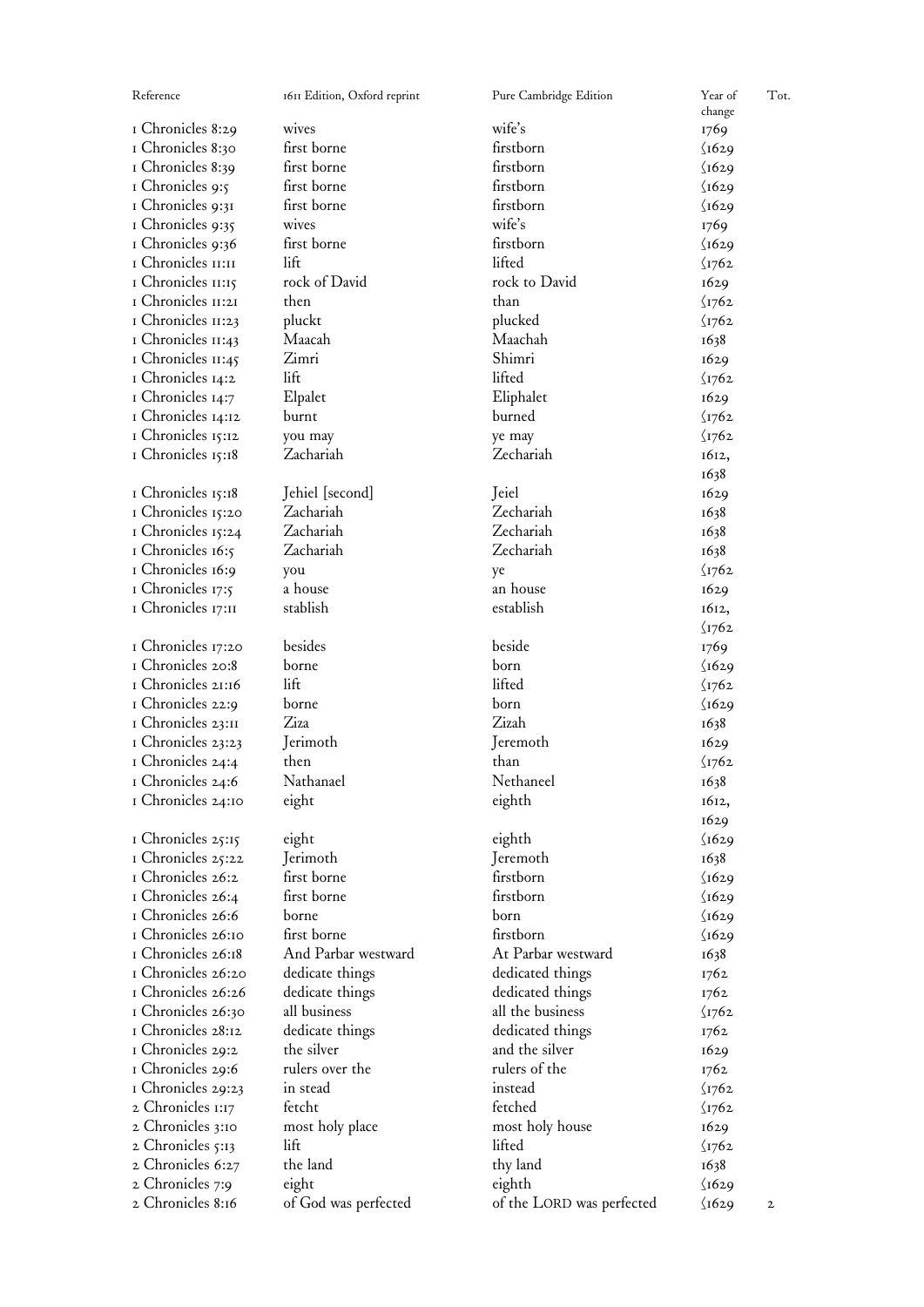| Reference          | 1611 Edition, Oxford reprint | Pure Cambridge Edition    | Year of<br>change | Tot. |
|--------------------|------------------------------|---------------------------|-------------------|------|
| I Chronicles 8:29  | wives                        | wife's                    | 1769              |      |
| I Chronicles 8:30  | first borne                  | firstborn                 | $\sqrt{1629}$     |      |
| I Chronicles 8:39  | first borne                  | firstborn                 | $\sqrt{1629}$     |      |
|                    | first borne                  | firstborn                 |                   |      |
| I Chronicles 9:5   |                              |                           | $\sqrt{1629}$     |      |
| I Chronicles 9:31  | first borne                  | firstborn                 | $\sqrt{1629}$     |      |
| I Chronicles 9:35  | wives                        | wife's                    | 1769              |      |
| I Chronicles 9:36  | first borne                  | firstborn                 | $\sqrt{1629}$     |      |
| I Chronicles II:II | lift                         | lifted                    | $\langle$ 1762    |      |
| I Chronicles II:15 | rock of David                | rock to David             | 1629              |      |
| I Chronicles II:2I | then                         | than                      | $\sqrt{1762}$     |      |
| I Chronicles II:23 | pluckt                       | plucked                   | $\sqrt{1762}$     |      |
| I Chronicles II:43 | Maacah                       | Maachah                   | 1638              |      |
| I Chronicles II:45 | Zimri                        | Shimri                    | 1629              |      |
| I Chronicles 14:2  | lift                         | lifted                    | $\sqrt{1762}$     |      |
| I Chronicles 14:7  | Elpalet                      | Eliphalet                 | 1629              |      |
| I Chronicles 14:12 | burnt                        | burned                    | $\sqrt{1762}$     |      |
| I Chronicles 15:12 | you may                      | ye may                    | $\langle$ 1762    |      |
| I Chronicles 15:18 | Zachariah                    | Zechariah                 | 1612,             |      |
|                    |                              |                           |                   |      |
|                    |                              |                           | 1638              |      |
| I Chronicles 15:18 | Jehiel [second]              | Jeiel                     | 1629              |      |
| I Chronicles 15:20 | Zachariah                    | Zechariah                 | 1638              |      |
| I Chronicles 15:24 | Zachariah                    | Zechariah                 | 1638              |      |
| I Chronicles 16:5  | Zachariah                    | Zechariah                 | 1638              |      |
| I Chronicles 16:9  | you                          | ye                        | $\sqrt{1762}$     |      |
| I Chronicles 17:5  | a house                      | an house                  | 1629              |      |
| I Chronicles 17:11 | stablish                     | establish                 | 1612,             |      |
|                    |                              |                           | $\langle$ 1762    |      |
| I Chronicles 17:20 | besides                      | beside                    | 1769              |      |
| I Chronicles 20:8  | borne                        | born                      | $\sqrt{1629}$     |      |
| I Chronicles 21:16 | lift                         | lifted                    | $\sqrt{1762}$     |      |
| I Chronicles 22:9  | borne                        | born                      | $\sqrt{1629}$     |      |
| I Chronicles 23:II | Ziza                         | Zizah                     | 1638              |      |
| I Chronicles 23:23 | Jerimoth                     | Jeremoth                  | 1629              |      |
| I Chronicles 24:4  | then                         | than                      |                   |      |
|                    | Nathanael                    | Nethaneel                 | $\sqrt{1762}$     |      |
| I Chronicles 24:6  |                              |                           | 1638              |      |
| I Chronicles 24:10 | eight                        | eighth                    | 1612,             |      |
|                    |                              |                           | 1629              |      |
| I Chronicles 25:15 | eight                        | eighth                    | $\sqrt{1629}$     |      |
| I Chronicles 25:22 | Jerimoth                     | Jeremoth                  | 1638              |      |
| I Chronicles 26:2  | first borne                  | firstborn                 | $\sqrt{1629}$     |      |
| I Chronicles 26:4  | first borne                  | firstborn                 | $\sqrt{1629}$     |      |
| I Chronicles 26:6  | borne                        | born                      | $\sqrt{1629}$     |      |
| I Chronicles 26:10 | first borne                  | firstborn                 | $\sqrt{1629}$     |      |
| I Chronicles 26:18 | And Parbar westward          | At Parbar westward        | 1638              |      |
| I Chronicles 26:20 | dedicate things              | dedicated things          | 1762              |      |
| I Chronicles 26:26 | dedicate things              | dedicated things          | 1762              |      |
| I Chronicles 26:30 | all business                 | all the business          | $\sqrt{1762}$     |      |
| I Chronicles 28:12 | dedicate things              | dedicated things          | 1762              |      |
| I Chronicles 29:2  | the silver                   | and the silver            | 1629              |      |
| I Chronicles 29:6  | rulers over the              | rulers of the             | 1762              |      |
| I Chronicles 29:23 |                              |                           |                   |      |
|                    | in stead                     | instead                   | $\sqrt{1762}$     |      |
| 2 Chronicles 1:17  | fetcht                       | fetched                   | $\sqrt{1762}$     |      |
| 2 Chronicles 3:10  | most holy place              | most holy house           | 1629              |      |
| 2 Chronicles 5:13  | lift                         | lifted                    | $\sqrt{1762}$     |      |
| 2 Chronicles 6:27  | the land                     | thy land                  | 1638              |      |
| 2 Chronicles 7:9   | eight                        | eighth                    | $\sqrt{1629}$     |      |
| 2 Chronicles 8:16  | of God was perfected         | of the LORD was perfected | $\sqrt{1629}$     | 2    |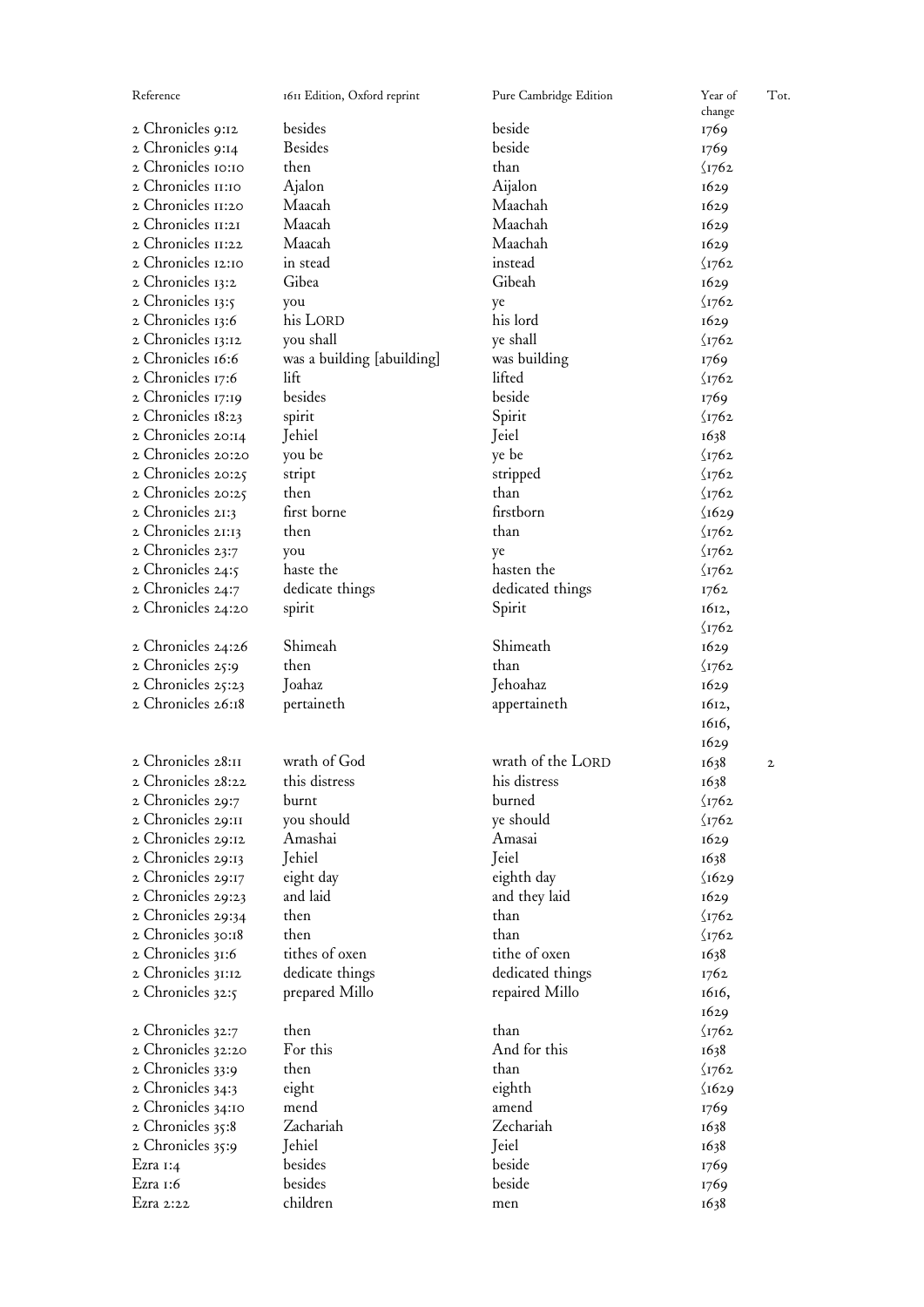| Reference          | 1611 Edition, Oxford reprint | Pure Cambridge Edition | Year of<br>change | Tot.         |
|--------------------|------------------------------|------------------------|-------------------|--------------|
| 2 Chronicles 9:12  | besides                      | beside                 | 1769              |              |
| 2 Chronicles 9:14  | <b>Besides</b>               | beside                 | 1769              |              |
| 2 Chronicles IO:IO | then                         | than                   | $\sqrt{1762}$     |              |
| 2 Chronicles II:10 | Ajalon                       | Aijalon                | 1629              |              |
| 2 Chronicles II:20 |                              | Maachah                |                   |              |
|                    | Maacah                       |                        | 1629              |              |
| 2 Chronicles II:2I | Maacah                       | Maachah                | 1629              |              |
| 2 Chronicles II:22 | Maacah                       | Maachah                | 1629              |              |
| 2 Chronicles 12:10 | in stead                     | instead                | $\sqrt{1762}$     |              |
| 2 Chronicles 13:2  | Gibea                        | Gibeah                 | 1629              |              |
| 2 Chronicles 13:5  | you                          | ye                     | $\sqrt{1762}$     |              |
| 2 Chronicles 13:6  | his LORD                     | his lord               | 1629              |              |
| 2 Chronicles 13:12 | you shall                    | ye shall               | $\sqrt{1762}$     |              |
| 2 Chronicles 16:6  | was a building [abuilding]   | was building           | 1769              |              |
| 2 Chronicles 17:6  | lift                         | lifted                 | $\sqrt{1762}$     |              |
| 2 Chronicles 17:19 | besides                      | beside                 | 1769              |              |
| 2 Chronicles 18:23 | spirit                       | Spirit                 | $\sqrt{1762}$     |              |
| 2 Chronicles 20:14 | Jehiel                       | Jeiel                  | 1638              |              |
| 2 Chronicles 20:20 | you be                       | ye be                  | $\sqrt{1762}$     |              |
| 2 Chronicles 20:25 | stript                       | stripped               | $\langle$ 1762    |              |
| 2 Chronicles 20:25 | then                         | than                   |                   |              |
| 2 Chronicles 21:3  | first borne                  | firstborn              | $\sqrt{1762}$     |              |
|                    |                              |                        | $\sqrt{1629}$     |              |
| 2 Chronicles 21:13 | then                         | than                   | $\sqrt{1762}$     |              |
| 2 Chronicles 23:7  | you                          | ye                     | $\langle$ I762    |              |
| 2 Chronicles 24:5  | haste the                    | hasten the             | $\sqrt{1762}$     |              |
| 2 Chronicles 24:7  | dedicate things              | dedicated things       | 1762              |              |
| 2 Chronicles 24:20 | spirit                       | Spirit                 | 1612,             |              |
|                    |                              |                        | $\sqrt{1762}$     |              |
| 2 Chronicles 24:26 | Shimeah                      | Shimeath               | 1629              |              |
| 2 Chronicles 25:9  | then                         | than                   | $\frac{1762}{ }$  |              |
| 2 Chronicles 25:23 | Joahaz                       | Jehoahaz               | 1629              |              |
| 2 Chronicles 26:18 | pertaineth                   | appertaineth           | 1612,             |              |
|                    |                              |                        | 1616,             |              |
|                    |                              |                        | 1629              |              |
| 2 Chronicles 28:11 | wrath of God                 | wrath of the LORD      | 1638              | $\mathbf{2}$ |
| 2 Chronicles 28:22 | this distress                | his distress           | 1638              |              |
| 2 Chronicles 29:7  | burnt                        | burned                 | $\sqrt{1762}$     |              |
| 2 Chronicles 29:II | you should                   | ye should              | $\frac{1762}{2}$  |              |
| 2 Chronicles 29:12 | Amashai                      | Amasai                 | 1629              |              |
| 2 Chronicles 29:13 | Jehiel                       | Jeiel                  |                   |              |
|                    |                              |                        | 1638              |              |
| 2 Chronicles 29:17 | eight day<br>and laid        | eighth day             | $\sqrt{1629}$     |              |
| 2 Chronicles 29:23 |                              | and they laid          | 1629              |              |
| 2 Chronicles 29:34 | then                         | than                   | $\frac{1762}{2}$  |              |
| 2 Chronicles 30:18 | then                         | than                   | $\sqrt{1762}$     |              |
| 2 Chronicles 31:6  | tithes of oxen               | tithe of oxen          | 1638              |              |
| 2 Chronicles 31:12 | dedicate things              | dedicated things       | 1762              |              |
| 2 Chronicles 32:5  | prepared Millo               | repaired Millo         | 1616,             |              |
|                    |                              |                        | 1629              |              |
| 2 Chronicles 32:7  | then                         | than                   | $\frac{1762}{2}$  |              |
| 2 Chronicles 32:20 | For this                     | And for this           | 1638              |              |
| 2 Chronicles 33:9  | then                         | than                   | $\sqrt{1762}$     |              |
| 2 Chronicles 34:3  | eight                        | eighth                 | $\sqrt{1629}$     |              |
| 2 Chronicles 34:10 | mend                         | amend                  | 1769              |              |
| 2 Chronicles 35:8  | Zachariah                    | Zechariah              | 1638              |              |
| 2 Chronicles 35:9  | Jehiel                       | Jeiel                  | 1638              |              |
| Ezra $1:4$         | besides                      | beside                 | 1769              |              |
| Ezra 1:6           | besides                      | beside                 | 1769              |              |
|                    | children                     |                        |                   |              |
| Ezra 2:22          |                              | men                    | 1638              |              |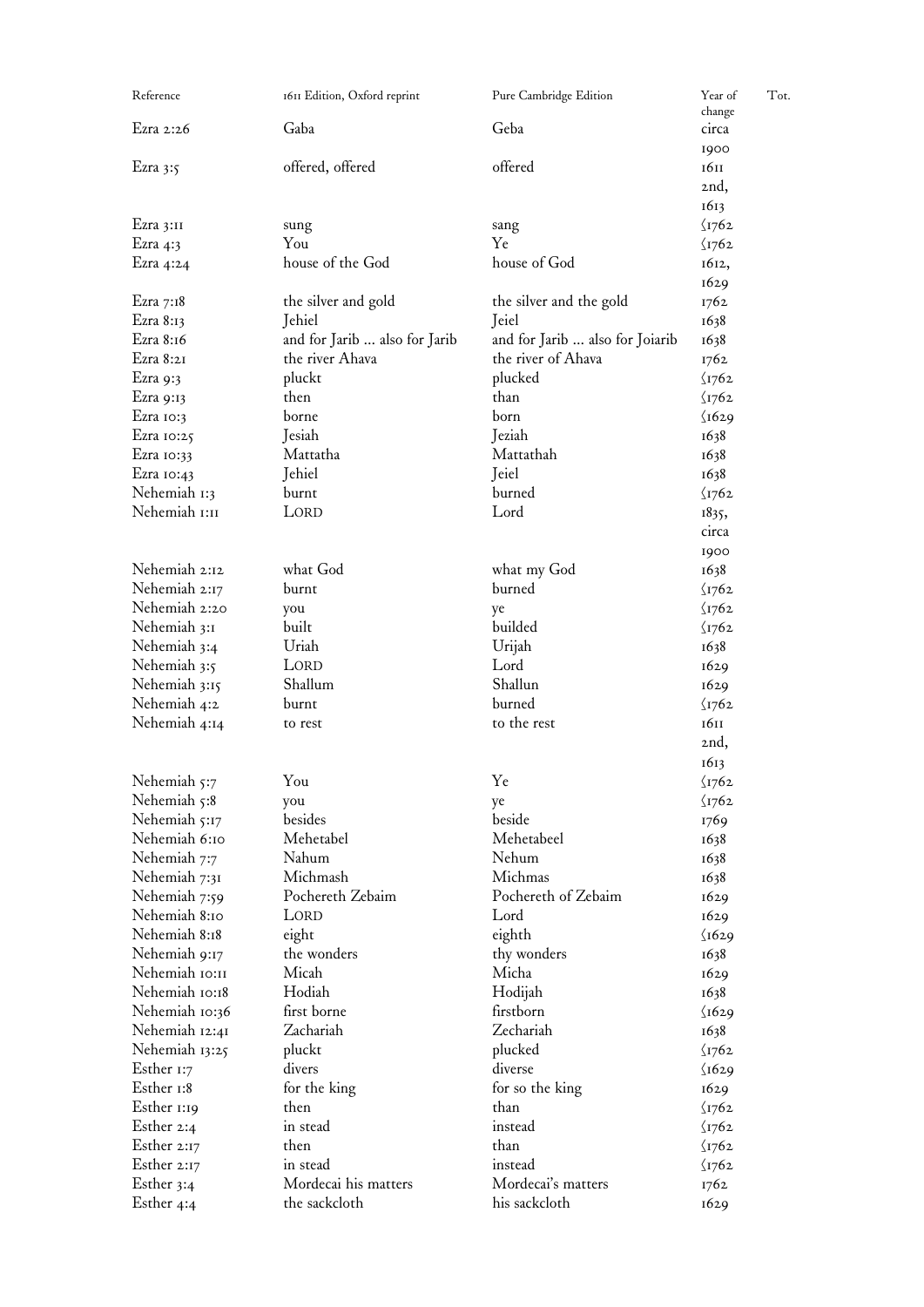| Reference      | 1611 Edition, Oxford reprint  | Pure Cambridge Edition          | Year of<br>change      | Tot. |
|----------------|-------------------------------|---------------------------------|------------------------|------|
| Ezra $2:26$    | Gaba                          | Geba                            | circa                  |      |
|                |                               |                                 | 1900                   |      |
| Ezra $3:5$     | offered, offered              | offered                         | 1611                   |      |
|                |                               |                                 | 2nd,                   |      |
|                |                               |                                 | 1613                   |      |
| Ezra 3:11      | sung                          | sang                            | $\sqrt{1762}$          |      |
| Ezra 4:3       | You                           | Ye                              | $\sqrt{1762}$          |      |
| Ezra $4:24$    | house of the God              | house of God                    | 1612,                  |      |
|                |                               |                                 | 1629                   |      |
| Ezra 7:18      | the silver and gold           | the silver and the gold         | 1762                   |      |
| Ezra 8:13      | Jehiel                        | Jeiel                           | 1638                   |      |
| Ezra 8:16      | and for Jarib  also for Jarib | and for Jarib  also for Joiarib | 1638                   |      |
| Exra 8:2I      | the river Ahava               | the river of Ahava              | 1762                   |      |
| Ezra 9:3       | pluckt                        | plucked                         | $\sqrt{1762}$          |      |
| Ezra $9:13$    | then                          | than                            | $\sqrt{1762}$          |      |
| Ezra 10:3      | borne                         | born                            | $\sqrt{1629}$          |      |
| Ezra 10:25     | Jesiah                        | Jeziah                          | 1638                   |      |
| Ezra 10:33     | Mattatha                      | Mattathah                       | 1638                   |      |
| Ezra $10:43$   | Jehiel                        | Jeiel                           | 1638                   |      |
| Nehemiah 1:3   | burnt                         | burned                          | $\langle$ 1762         |      |
| Nehemiah I:II  | LORD                          | Lord                            | 1835,                  |      |
|                |                               |                                 | circa                  |      |
|                |                               |                                 | 1900                   |      |
| Nehemiah 2:12  | what God                      | what my God                     | 1638                   |      |
| Nehemiah 2:17  | burnt                         | burned                          | $\sqrt{1762}$          |      |
| Nehemiah 2:20  | you                           | ye                              | $\sqrt{1762}$          |      |
| Nehemiah 3:1   | built                         | builded                         | $\langle$ 1762         |      |
| Nehemiah 3:4   | Uriah                         | Urijah                          | 1638                   |      |
| Nehemiah 3:5   | LORD                          | Lord                            | 1629                   |      |
| Nehemiah 3:15  | Shallum                       | Shallun                         | 1629                   |      |
| Nehemiah 4:2   | burnt                         | burned                          | $\sqrt{1762}$          |      |
| Nehemiah 4:14  | to rest                       | to the rest                     | 1611                   |      |
|                |                               |                                 | 2nd,                   |      |
|                |                               |                                 | 1613                   |      |
| Nehemiah 5:7   | You                           | Ye                              | $\langle$ I762         |      |
| Nehemiah 5:8   | you                           | ye                              | $\frac{\sqrt{1762}}{}$ |      |
| Nehemiah 5:17  | besides                       | beside                          | 1769                   |      |
| Nehemiah 6:10  | Mehetabel                     | Mehetabeel                      | 1638                   |      |
| Nehemiah 7:7   | Nahum                         | Nehum                           | 1638                   |      |
| Nehemiah 7:31  | Michmash                      | Michmas                         | 1638                   |      |
| Nehemiah 7:59  | Pochereth Zebaim              | Pochereth of Zebaim             | 1629                   |      |
| Nehemiah 8:10  | LORD                          | Lord                            | 1629                   |      |
| Nehemiah 8:18  | eight                         | eighth                          | $\sqrt{1629}$          |      |
| Nehemiah 9:17  | the wonders                   | thy wonders                     | 1638                   |      |
| Nehemiah IO:II | Micah                         | Micha                           | 1629                   |      |
| Nehemiah IO:18 | Hodiah                        | Hodijah                         | 1638                   |      |
| Nehemiah 10:36 | first borne                   | firstborn                       | $\sqrt{1629}$          |      |
| Nehemiah 12:41 | Zachariah                     | Zechariah                       | 1638                   |      |
| Nehemiah 13:25 | pluckt                        | plucked                         | $\sqrt{1762}$          |      |
| Esther 1:7     | divers                        | diverse                         | $\sqrt{1629}$          |      |
| Esther 1:8     | for the king                  | for so the king                 | 1629                   |      |
| Esther 1:19    | then                          | than                            | $\sqrt{1762}$          |      |
| Esther 2:4     | in stead                      | instead                         | $\frac{1762}{2}$       |      |
| Esther $2:17$  | then                          | than                            | $\sqrt{1762}$          |      |
| Esther $2:17$  | in stead                      | instead                         | $\langle$ 1762         |      |
| Esther 3:4     | Mordecai his matters          | Mordecai's matters              | 1762                   |      |
| Esther 4:4     | the sackcloth                 | his sackcloth                   | 1629                   |      |
|                |                               |                                 |                        |      |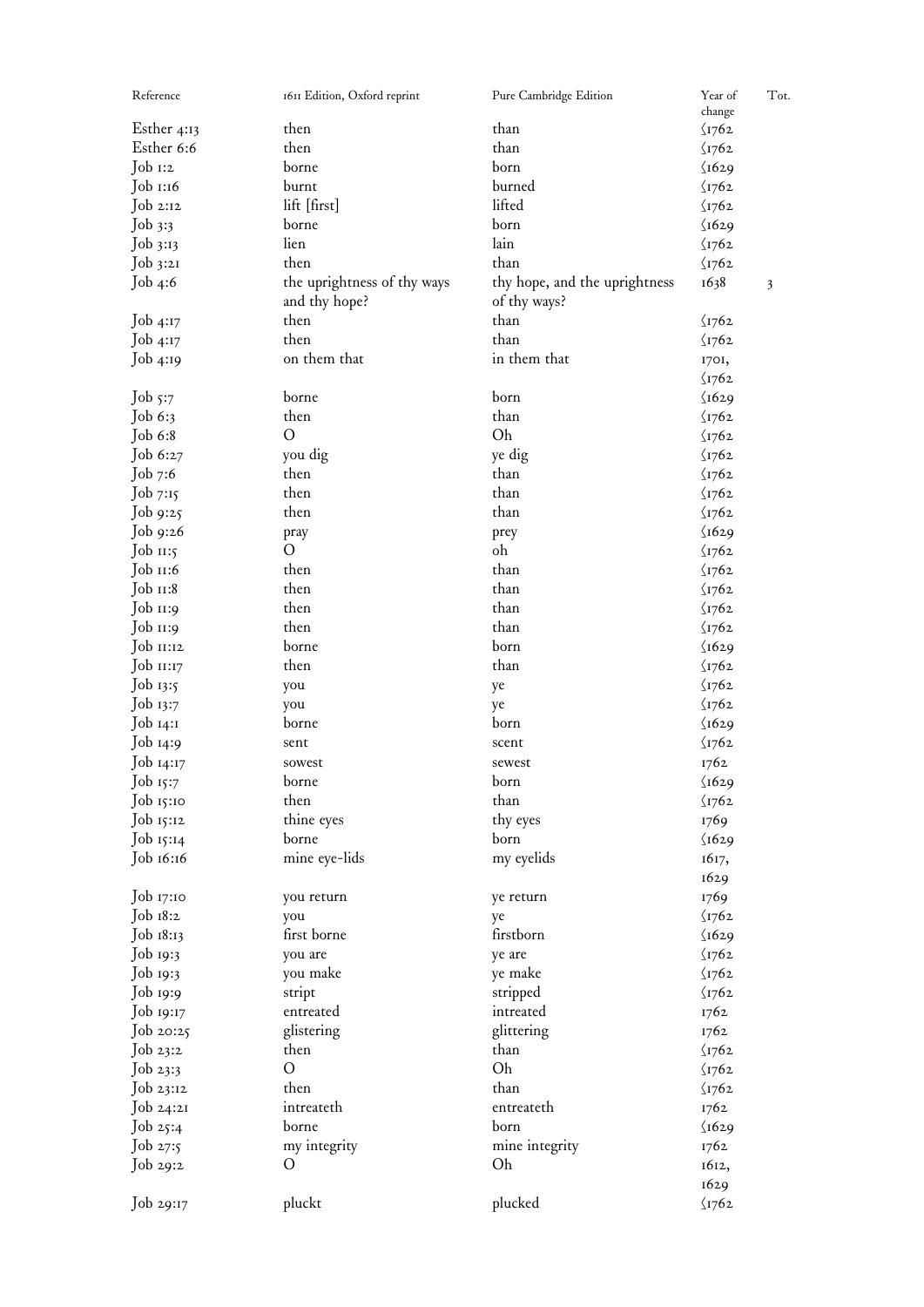| Reference              | 1611 Edition, Oxford reprint                 | Pure Cambridge Edition                        | Year of<br>change      | Tot. |
|------------------------|----------------------------------------------|-----------------------------------------------|------------------------|------|
| Esther $4:13$          | then                                         | than                                          | $\sqrt{1762}$          |      |
| Esther 6:6             | then                                         | than                                          | $\sqrt{1762}$          |      |
| $Job$ $I:2$            | borne                                        | born                                          | $\sqrt{1629}$          |      |
| Job 1:16               | burnt                                        | burned                                        | $\sqrt{1762}$          |      |
| Job 2:12               | lift [first]                                 | lifted                                        | $\sqrt{1762}$          |      |
| Job3:3                 | borne                                        | born                                          | $\sqrt{1629}$          |      |
| Job3:13                | lien                                         | lain                                          | $\sqrt{1762}$          |      |
|                        |                                              | than                                          |                        |      |
| $Job$ $3:2I$           | then                                         |                                               | $\langle$ 1762         |      |
| Job4:6                 | the uprightness of thy ways<br>and thy hope? | thy hope, and the uprightness<br>of thy ways? | 1638                   | 3    |
| Job 4:17               | then                                         | than                                          | $\frac{1762}{2}$       |      |
| Job 4:17               | then                                         | than                                          | $\frac{\sqrt{1762}}{}$ |      |
| Job4:19                | on them that                                 | in them that                                  | 1701,                  |      |
|                        |                                              |                                               | $\sqrt{1762}$          |      |
| Job $5:7$              | borne                                        | born                                          | $\sqrt{1629}$          |      |
| Job 6:3                | then                                         | than                                          | $\sqrt{1762}$          |      |
| Job 6:8                | O                                            | Oh                                            | $\langle$ 1762         |      |
| Job 6:27               | you dig                                      | ye dig                                        | $\sqrt{1762}$          |      |
| Job 7:6                | then                                         | than                                          | $\sqrt{1762}$          |      |
| $Job$ 7:15             | then                                         | than                                          | $\sqrt{1762}$          |      |
| $Job$ 9:25             | then                                         | than                                          | $\sqrt{1762}$          |      |
| Job 9:26               | pray                                         | prey                                          | $\sqrt{1629}$          |      |
| Job $\overline{11}$ :5 | O                                            | oh                                            | $\sqrt{1762}$          |      |
| $Job$ $11:6$           | then                                         | than                                          | $\sqrt{1762}$          |      |
| $Job$ $II:8$           | then                                         | than                                          | $\sqrt{1762}$          |      |
| Job 11:9               | then                                         | than                                          | $\sqrt{1762}$          |      |
|                        |                                              |                                               |                        |      |
| Job 11:9               | then                                         | than                                          | $\sqrt{1762}$          |      |
| Job II:12              | borne                                        | born                                          | $\sqrt{1629}$          |      |
| Job $\mu$ :17          | then                                         | than                                          | $\sqrt{1762}$          |      |
| Job $13:5$             | you                                          | ye                                            | $\langle$ I762         |      |
| $Job$ $13:7$           | you                                          | ye                                            | $\sqrt{1762}$          |      |
| Job I4:I               | borne                                        | born                                          | $\sqrt{1629}$          |      |
| Job $14:9$             | sent                                         | scent                                         | $\frac{\sqrt{1762}}{}$ |      |
| Job 14:17              | sowest                                       | sewest                                        | 1762                   |      |
| Job 15:7               | borne                                        | born                                          | $\sqrt{1629}$          |      |
| Job 15:10              | then                                         | than                                          | $\sqrt{1762}$          |      |
| Job 15:12              | thine eyes                                   | thy eyes                                      | 1769                   |      |
| $Job$ $15:14$          | borne                                        | born                                          | $\sqrt{1629}$          |      |
| Job 16:16              | mine eye-lids                                | my eyelids                                    | 1617,                  |      |
|                        |                                              |                                               | 1629                   |      |
| Job 17:10              | you return                                   | ye return                                     | 1769                   |      |
| Job 18:2               | you                                          | ye                                            | $\langle$ 1762         |      |
| Job 18:13              | first borne                                  | firstborn                                     | $\sqrt{1629}$          |      |
| Job $19:3$             | you are                                      | ye are                                        | $\sqrt{1762}$          |      |
| Job $19:3$             | you make                                     | ye make                                       | $\langle$ 1762         |      |
| Job 19:9               | stript                                       | stripped                                      | $\sqrt{1762}$          |      |
| Job 19:17              | entreated                                    | intreated                                     | 1762                   |      |
| Job $20:25$            | glistering                                   | glittering                                    | 1762                   |      |
| Job 23:2               | then                                         | than                                          | $\sqrt{1762}$          |      |
| Job 23:3               | O                                            | Oh                                            | $\sqrt{1762}$          |      |
| Job 23:12              | then                                         | than                                          | $\sqrt{1762}$          |      |
| Job 24:21              | intreateth                                   | entreateth                                    | 1762                   |      |
| Job 25:4               | borne                                        | born                                          | $\sqrt{1629}$          |      |
| Job 27:5               | my integrity                                 | mine integrity                                | 1762                   |      |
| Job29:2                | O                                            | Oh                                            | 1612,                  |      |
|                        |                                              |                                               | 1629                   |      |
| Job29:17               | pluckt                                       | plucked                                       | $\sqrt{1762}$          |      |
|                        |                                              |                                               |                        |      |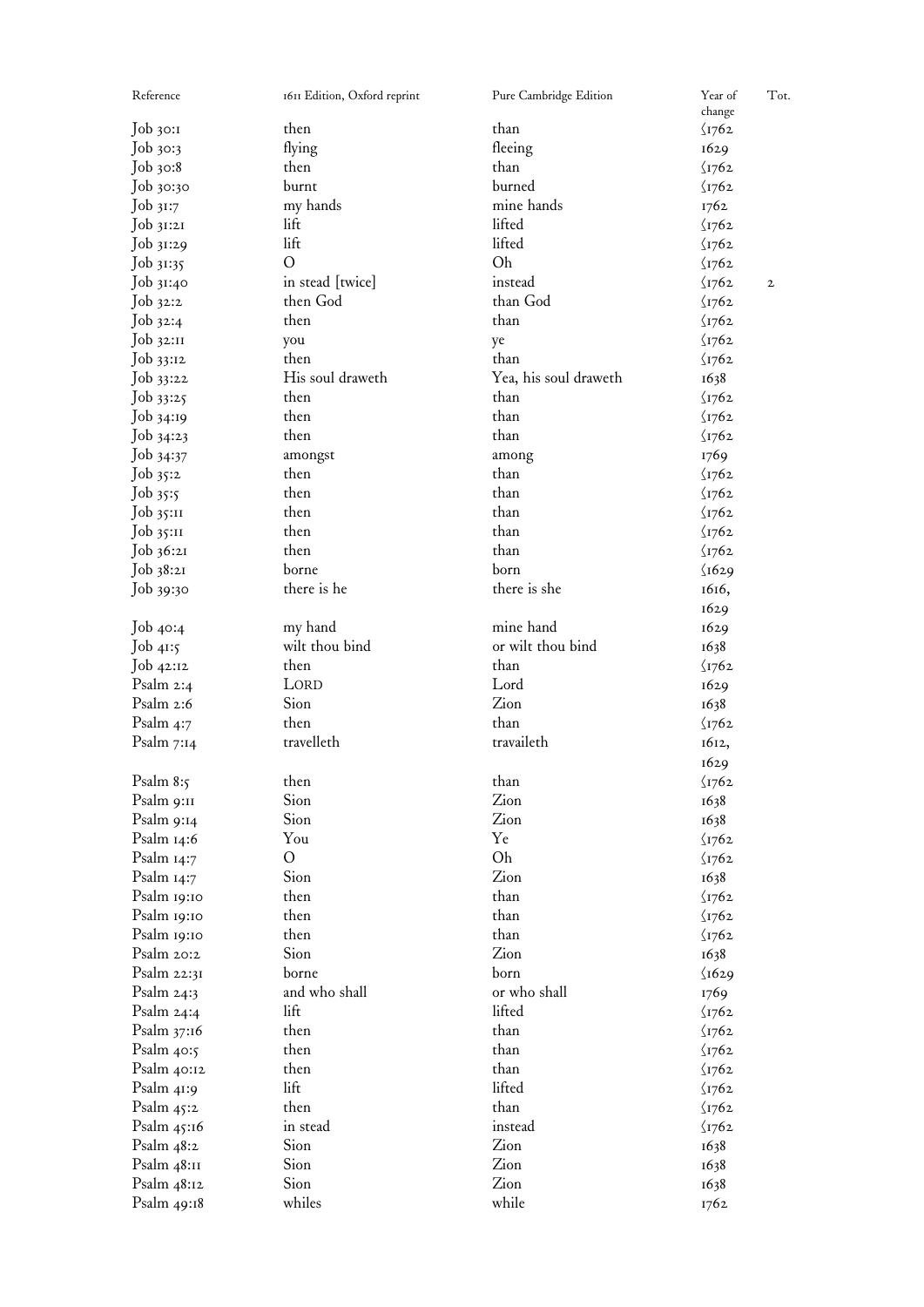| Reference     | 1611 Edition, Oxford reprint | Pure Cambridge Edition | Year of<br>change      | Tot.         |
|---------------|------------------------------|------------------------|------------------------|--------------|
| $Job$ 30:1    | then                         | than                   | $\frac{\sqrt{1762}}{}$ |              |
| Job30:3       | flying                       | fleeing                | 1629                   |              |
| $Job$ 30:8    | then                         | than                   | $\sqrt{1762}$          |              |
| $Job$ 30:30   | burnt                        | burned                 | $\sqrt{1762}$          |              |
| Job 31:7      | my hands                     | mine hands             | 1762                   |              |
| Job 31:21     | lift                         | lifted                 | $\frac{1762}{2}$       |              |
| Job 31:29     | lift                         | lifted                 | $\langle$ I762         |              |
|               | O                            | Oh                     |                        |              |
| Job 31:35     |                              |                        | $\sqrt{1762}$          |              |
| Job 31:40     | in stead [twice]             | instead                | $\sqrt{1762}$          | $\mathbf{2}$ |
| $Job$ $32:2$  | then God                     | than God               | $\sqrt{1762}$          |              |
| $Job\;32:4$   | then                         | than                   | $\langle$ I762         |              |
| $Job$ $32:II$ | you                          | ye                     | $\sqrt{1762}$          |              |
| Job 33:12     | then                         | than                   | $\sqrt{1762}$          |              |
| Job 33:22     | His soul draweth             | Yea, his soul draweth  | 1638                   |              |
| $Job\,33:25$  | then                         | than                   | $\sqrt{1762}$          |              |
| $Job\;34:19$  | then                         | than                   | $\sqrt{1762}$          |              |
| $Job\;34:23$  | then                         | than                   | $\sqrt{1762}$          |              |
| $Job\;34:37$  | amongst                      | among                  | 1769                   |              |
| Job35:2       | then                         | than                   | $\sqrt{1762}$          |              |
| Job35:5       | then                         | than                   | $\sqrt{1762}$          |              |
| Job35:II      | then                         | than                   | $\sqrt{1762}$          |              |
| Job35:II      | then                         | than                   | $\sqrt{1762}$          |              |
| Job 36:21     | then                         | than                   | $\sqrt{1762}$          |              |
| Job38:21      | borne                        | born                   | $\sqrt{1629}$          |              |
| Job 39:30     | there is he                  | there is she           | 1616,                  |              |
|               |                              |                        | 1629                   |              |
| $Job$ 40:4    | my hand                      | mine hand              | 1629                   |              |
| Job 41:5      | wilt thou bind               | or wilt thou bind      | 1638                   |              |
| $Job$ 42:12   | then                         | than                   | $\langle$ I762         |              |
| Psalm $2:4$   | LORD                         | Lord                   | 1629                   |              |
| Psalm 2:6     | Sion                         | Zion                   | 1638                   |              |
| Psalm $4:7$   | then                         | than                   | $\sqrt{1762}$          |              |
| Psalm $7:14$  | travelleth                   | travaileth             | 1612,                  |              |
|               |                              |                        | 1629                   |              |
| Psalm 8:5     | then                         | than                   | $\frac{\sqrt{1762}}{}$ |              |
| Psalm 9:11    | Sion                         | Zion                   | 1638                   |              |
| Psalm 9:14    | Sion                         | Zion                   | 1638                   |              |
| Psalm 14:6    | You                          | Ye                     | $\langle$ 1762         |              |
| Psalm $14:7$  | O                            | Oh                     | $\langle$ 1762         |              |
| Psalm $14:7$  | Sion                         | Zion                   | 1638                   |              |
| Psalm 19:10   | then                         | than                   | $\sqrt{1762}$          |              |
| Psalm 19:10   | then                         | than                   | $\langle$ I762         |              |
| Psalm 19:10   | then                         | than                   | $\langle$ 1762         |              |
| Psalm 20:2    | Sion                         | Zion                   | 1638                   |              |
| Psalm 22:31   | borne                        | born                   | $\sqrt{1629}$          |              |
| Psalm $24:3$  | and who shall                | or who shall           | 1769                   |              |
| Psalm $24:4$  | lift                         | lifted                 | $\langle$ I762         |              |
| Psalm 37:16   | then                         | than                   | $\langle$ I762         |              |
| Psalm $40:5$  | then                         | than                   | $\langle$ I762         |              |
| Psalm $40:12$ | then                         | than                   | $\langle$ I762         |              |
| Psalm $41:9$  | lift                         | lifted                 | $\langle$ 1762         |              |
| Psalm $45:2$  | then                         | than                   | $\langle$ 1762         |              |
| Psalm $45:16$ | in stead                     | instead                | $\langle$ 1762         |              |
| Psalm 48:2    | Sion                         | Zion                   | 1638                   |              |
| Psalm 48:11   | Sion                         | Zion                   | 1638                   |              |
| Psalm 48:12   | Sion                         | Zion                   | 1638                   |              |
| Psalm $49:18$ | whiles                       | while                  | 1762                   |              |
|               |                              |                        |                        |              |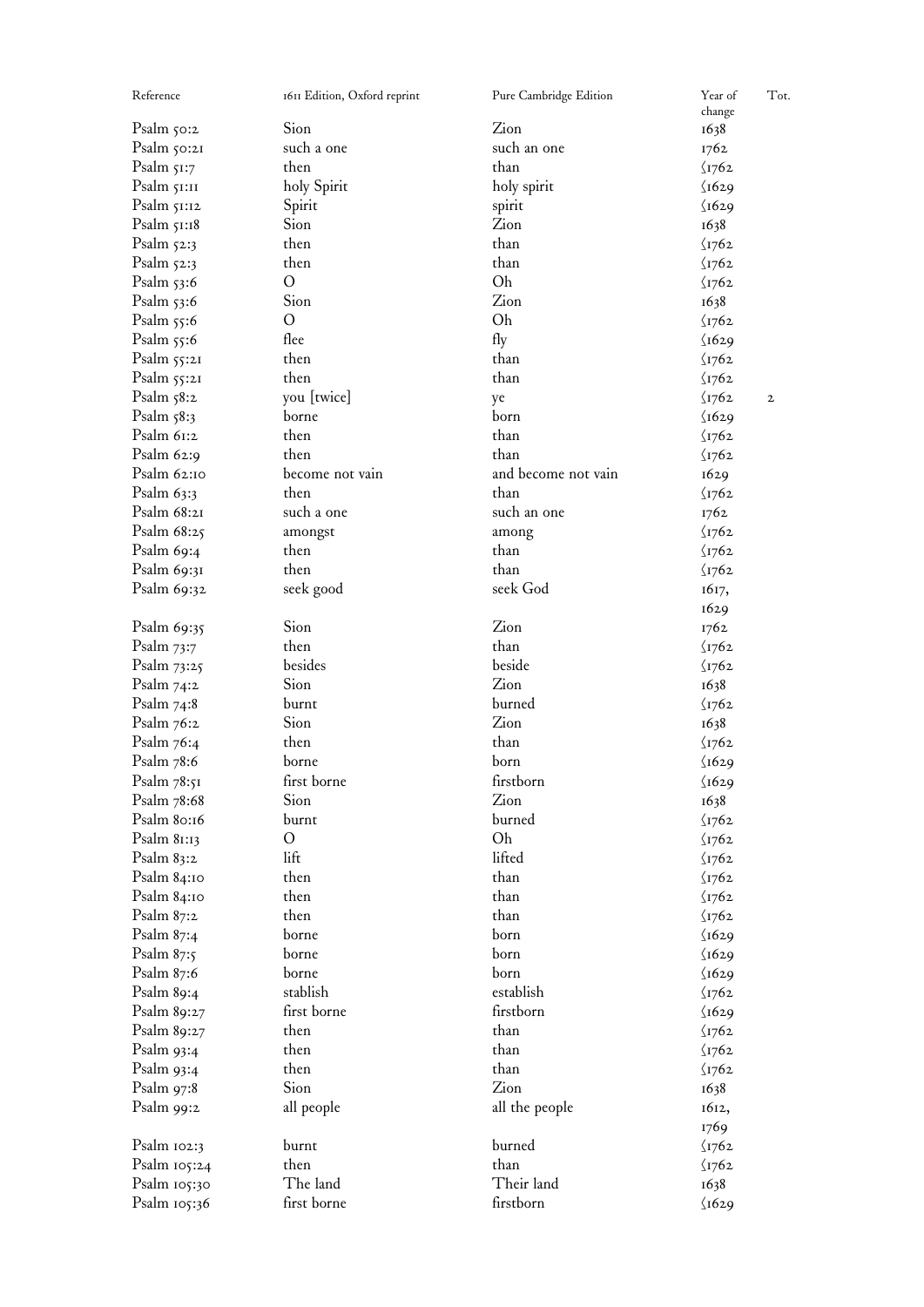| Reference     | 1611 Edition, Oxford reprint | Pure Cambridge Edition | Year of<br>change | Tot.         |
|---------------|------------------------------|------------------------|-------------------|--------------|
| Psalm 50:2    | Sion                         | Zion                   | 1638              |              |
| Psalm 50:21   | such a one                   | such an one            | 1762              |              |
| Psalm $51:7$  | then                         | than                   | $\frac{1762}{2}$  |              |
| Psalm 51:11   | holy Spirit                  | holy spirit            | $\sqrt{1629}$     |              |
| Psalm 51:12   | Spirit                       | spirit                 | $\sqrt{1629}$     |              |
| Psalm $51:18$ | Sion                         | Zion                   | 1638              |              |
| Psalm $52:3$  | then                         | than                   | $\sqrt{1762}$     |              |
| Psalm $52:3$  | then                         | than                   | $\sqrt{1762}$     |              |
| Psalm $53:6$  | O                            | Oh                     | $\langle$ 1762    |              |
| Psalm $53:6$  | Sion                         | Zion                   | 1638              |              |
| Psalm $55:6$  | $\overline{O}$               | Oh                     | $\sqrt{1762}$     |              |
| Psalm $55:6$  | flee                         | fly                    | $\sqrt{1629}$     |              |
| Psalm $55:21$ | then                         | than                   | $\sqrt{1762}$     |              |
| Psalm $55:21$ | then                         | than                   | $\sqrt{1762}$     |              |
| Psalm $58:2$  | you [twice]                  | ye                     | $\sqrt{1762}$     | $\mathbf{2}$ |
| Psalm $58:3$  | borne                        | born                   | $\sqrt{1629}$     |              |
| Psalm 61:2    | then                         | than                   | $\sqrt{1762}$     |              |
| Psalm 62:9    | then                         | than                   | $\sqrt{1762}$     |              |
| Psalm 62:10   | become not vain              | and become not vain    | 1629              |              |
| Psalm 63:3    | then                         | than                   | $\sqrt{1762}$     |              |
| Psalm 68:21   | such a one                   | such an one            | 1762              |              |
| Psalm $68:25$ | amongst                      | among                  | $\sqrt{1762}$     |              |
| Psalm 69:4    | then                         | than                   | $\sqrt{1762}$     |              |
| Psalm 69:31   | then                         | than                   | $\langle$ 1762    |              |
| Psalm 69:32   | seek good                    | seek God               | 1617,             |              |
|               |                              |                        | 1629              |              |
| Psalm 69:35   | Sion                         | Zion                   | 1762              |              |
| Psalm $73:7$  | then                         | than                   | $\sqrt{1762}$     |              |
| Psalm $73:25$ | besides                      | beside                 | $\langle$ I762    |              |
| Psalm $74:2$  | Sion                         | Zion                   | 1638              |              |
| Psalm $74:8$  | burnt                        | burned                 | $\sqrt{1762}$     |              |
| Psalm $76:2$  | Sion                         | Zion                   | 1638              |              |
| Psalm $76:4$  | then                         | than                   | $\sqrt{1762}$     |              |
| Psalm 78:6    | borne                        | born                   | $\sqrt{1629}$     |              |
| Psalm 78:51   | first borne                  | firstborn              | $\sqrt{1629}$     |              |
| Psalm 78:68   | Sion                         | Zion                   | 1638              |              |
| Psalm 80:16   | burnt                        | burned                 | $\langle$ 1762    |              |
| Psalm $81:13$ | O                            | Oh                     | $\sqrt{1762}$     |              |
| Psalm 83:2    | lift                         | lifted                 | $\sqrt{1762}$     |              |
| Psalm 84:10   | then                         | than                   | $\sqrt{1762}$     |              |
| Psalm 84:10   | then                         | than                   | $\sqrt{1762}$     |              |
| Psalm $87:2$  | then                         | than                   | $\sqrt{1762}$     |              |
| Psalm $87:4$  | borne                        | born                   | $\sqrt{1629}$     |              |
| Psalm $87:5$  | borne                        | born                   | $\sqrt{1629}$     |              |
| Psalm 87:6    | borne                        | born                   | $\sqrt{1629}$     |              |
| Psalm 89:4    | stablish                     | establish              | $\sqrt{1762}$     |              |
| Psalm 89:27   | first borne                  | firstborn              | $\sqrt{1629}$     |              |
| Psalm 89:27   | then                         | than                   | $\sqrt{1762}$     |              |
| Psalm 93:4    | then                         | than                   | $\sqrt{1762}$     |              |
| Psalm $93:4$  | then                         | than                   | $\sqrt{1762}$     |              |
| Psalm 97:8    | Sion                         | Zion                   | 1638              |              |
| Psalm 99:2    | all people                   | all the people         | 1612,             |              |
|               |                              |                        | 1769              |              |
| Psalm 102:3   | burnt                        | burned                 | $\langle$ 1762    |              |
| Psalm 105:24  | then                         | than                   | $\langle$ 1762    |              |
| Psalm 105:30  | The land                     | Their land             | 1638              |              |
| Psalm 105:36  | first borne                  | firstborn              | $\sqrt{1629}$     |              |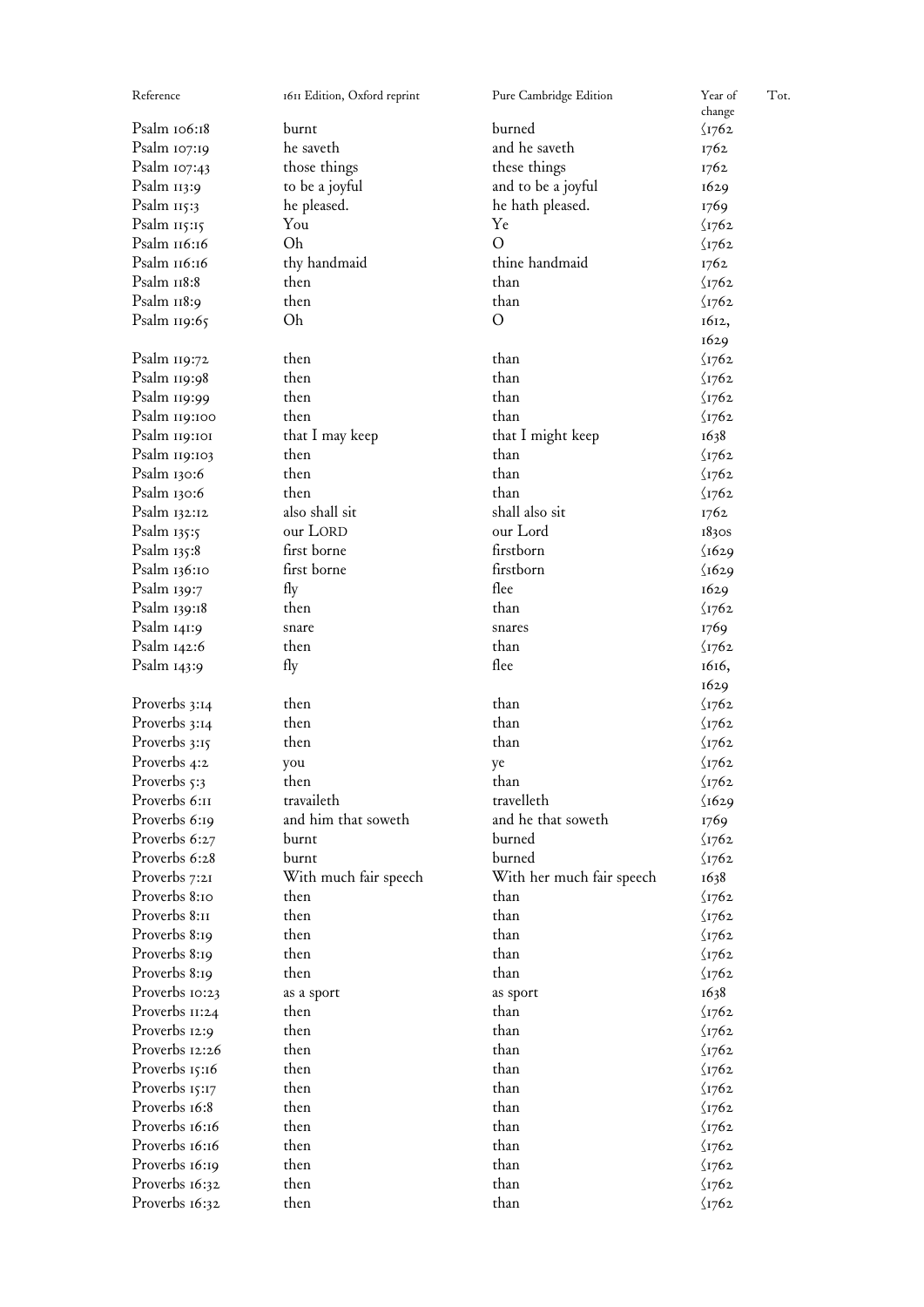| Reference      | 1611 Edition, Oxford reprint | Pure Cambridge Edition    | Year of<br>change      | Tot. |
|----------------|------------------------------|---------------------------|------------------------|------|
| Psalm 106:18   | burnt                        | burned                    | $\sqrt{1762}$          |      |
| Psalm 107:19   | he saveth                    | and he saveth             | 1762                   |      |
| Psalm $107:43$ | those things                 | these things              | 1762                   |      |
| Psalm 113:9    | to be a joyful               | and to be a joyful        | 1629                   |      |
| Psalm 115:3    | he pleased.                  | he hath pleased.          | 1769                   |      |
| Psalm 115:15   | You                          | Ye                        | $\sqrt{1762}$          |      |
| Psalm 116:16   | Oh                           | $\Omega$                  | $\sqrt{1762}$          |      |
| Psalm 116:16   | thy handmaid                 | thine handmaid            | 1762                   |      |
| Psalm 118:8    | then                         | than                      | $\sqrt{1762}$          |      |
| Psalm 118:9    | then                         | than                      | $\sqrt{1762}$          |      |
| Psalm 119:65   | Oh                           | $\Omega$                  | 1612,                  |      |
|                |                              |                           | 1629                   |      |
| Psalm 119:72   | then                         | than                      | $\langle$ 1762         |      |
| Psalm 119:98   | then                         | than                      | $\sqrt{1762}$          |      |
| Psalm 119:99   | then                         | than                      | $\sqrt{1762}$          |      |
| Psalm 119:100  | then                         | than                      | $\sqrt{1762}$          |      |
| Psalm 119:101  | that I may keep              | that I might keep         | 1638                   |      |
| Psalm 119:103  | then                         | than                      | $\sqrt{1762}$          |      |
| Psalm 130:6    | then                         | than                      | $\sqrt{1762}$          |      |
| Psalm 130:6    | then                         | than                      | $\sqrt{1762}$          |      |
| Psalm 132:12   | also shall sit               | shall also sit            | 1762                   |      |
| Psalm $135:5$  | our LORD                     | our Lord                  | $183$ os               |      |
| Psalm 135:8    | first borne                  | firstborn                 | $\sqrt{1629}$          |      |
| Psalm 136:10   | first borne                  | firstborn                 | $\sqrt{1629}$          |      |
| Psalm 139:7    | fly                          | flee                      | 1629                   |      |
| Psalm 139:18   | then                         | than                      | $\sqrt{1762}$          |      |
| Psalm 141:9    |                              | snares                    | 1769                   |      |
| Psalm $142:6$  | snare<br>then                | than                      | $\sqrt{1762}$          |      |
| Psalm $143:9$  | fly                          | flee                      | 1616,                  |      |
|                |                              |                           | 1629                   |      |
| Proverbs 3:14  | then                         | than                      | $\sqrt{1762}$          |      |
| Proverbs 3:14  | then                         | than                      | $\sqrt{1762}$          |      |
| Proverbs 3:15  | then                         | than                      | $\sqrt{1762}$          |      |
| Proverbs 4:2   | you                          | ye                        | $\sqrt{1762}$          |      |
| Proverbs 5:3   | then.                        | than                      | $\frac{\sqrt{1762}}{}$ |      |
| Proverbs 6:11  | travaileth                   | travelleth                | $\sqrt{1629}$          |      |
| Proverbs 6:19  | and him that soweth          | and he that soweth        | 1769                   |      |
| Proverbs 6:27  | burnt                        | burned                    | $\sqrt{1762}$          |      |
| Proverbs 6:28  | burnt                        | burned                    | $\sqrt{1762}$          |      |
| Proverbs 7:21  | With much fair speech        | With her much fair speech | 1638                   |      |
| Proverbs 8:10  | then                         | than                      | $\sqrt{1762}$          |      |
| Proverbs 8:11  | then                         | than                      | $\langle$ 1762         |      |
| Proverbs 8:19  | then                         | than                      | $\sqrt{1762}$          |      |
| Proverbs 8:19  | then                         | than                      | $\sqrt{1762}$          |      |
| Proverbs 8:19  | then                         | than                      | $\sqrt{1762}$          |      |
| Proverbs 10:23 | as a sport                   | as sport                  | 1638                   |      |
| Proverbs II:24 | then                         | than                      | $\sqrt{1762}$          |      |
| Proverbs 12:9  | then                         | than                      | $\sqrt{1762}$          |      |
| Proverbs 12:26 | then                         | than                      | $\sqrt{1762}$          |      |
| Proverbs 15:16 | then                         | than                      | $\sqrt{1762}$          |      |
| Proverbs 15:17 | then                         | than                      | $\sqrt{1762}$          |      |
| Proverbs 16:8  | then                         | than                      | $\sqrt{1762}$          |      |
| Proverbs 16:16 | then                         | than                      | $\sqrt{1762}$          |      |
| Proverbs 16:16 | then                         | than                      | $\sqrt{1762}$          |      |
| Proverbs 16:19 | then                         | than                      | $\sqrt{1762}$          |      |
| Proverbs 16:32 | then                         | than                      | $\sqrt{1762}$          |      |
| Proverbs 16:32 | then                         | than                      | $\sqrt{1762}$          |      |
|                |                              |                           |                        |      |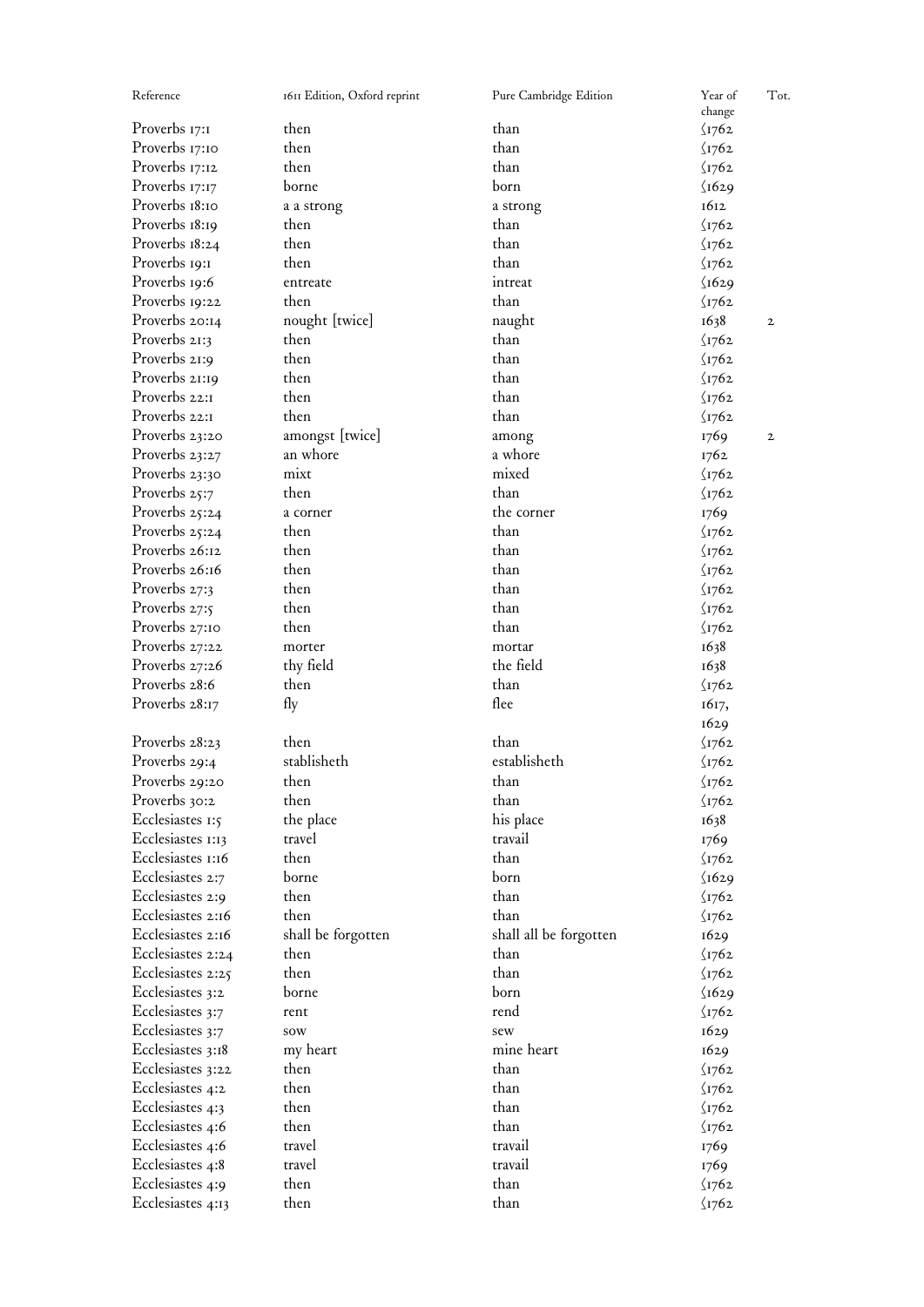| Reference         | 1611 Edition, Oxford reprint | Pure Cambridge Edition | Year of<br>change      | Tot.         |
|-------------------|------------------------------|------------------------|------------------------|--------------|
| Proverbs 17:1     | then                         | than                   | $\sqrt{1762}$          |              |
| Proverbs 17:10    | then                         | than                   | $\sqrt{1762}$          |              |
| Proverbs 17:12    | then                         | than                   | $\frac{1762}{2}$       |              |
| Proverbs 17:17    | borne                        | born                   | $\sqrt{1629}$          |              |
| Proverbs 18:10    | a a strong                   | a strong               | 1612                   |              |
| Proverbs 18:19    | then                         | than                   | $\langle$ 1762         |              |
| Proverbs 18:24    | then                         | than                   | $\sqrt{1762}$          |              |
| Proverbs 19:1     | then                         | than                   | $\sqrt{1762}$          |              |
| Proverbs 19:6     |                              |                        | $\sqrt{1629}$          |              |
|                   | entreate                     | intreat<br>than        |                        |              |
| Proverbs 19:22    | then                         |                        | $\sqrt{1762}$          |              |
| Proverbs 20:14    | nought [twice]               | naught                 | 1638                   | $\mathbf{2}$ |
| Proverbs 21:3     | then                         | than                   | $\sqrt{1762}$          |              |
| Proverbs 21:9     | then                         | than                   | $\sqrt{1762}$          |              |
| Proverbs 21:19    | then                         | than                   | $\sqrt{1762}$          |              |
| Proverbs 22:1     | then                         | than                   | $\sqrt{1762}$          |              |
| Proverbs 22:1     | then                         | than                   | $\sqrt{1762}$          |              |
| Proverbs 23:20    | amongst [twice]              | among                  | 1769                   | $\mathbf{2}$ |
| Proverbs 23:27    | an whore                     | a whore                | 1762                   |              |
| Proverbs 23:30    | mixt                         | mixed                  | $\sqrt{1762}$          |              |
| Proverbs 25:7     | then                         | than                   | $\sqrt{1762}$          |              |
| Proverbs 25:24    | a corner                     | the corner             | 1769                   |              |
| Proverbs 25:24    | then                         | than                   | $\sqrt{1762}$          |              |
| Proverbs 26:12    | then                         | than                   | $\sqrt{1762}$          |              |
| Proverbs 26:16    | then                         | than                   | $\sqrt{1762}$          |              |
| Proverbs 27:3     | then                         | than                   | $\sqrt{1762}$          |              |
| Proverbs 27:5     | then                         | than                   | $\sqrt{1762}$          |              |
| Proverbs 27:10    | then                         | than                   | $\sqrt{1762}$          |              |
| Proverbs 27:22    | morter                       | mortar                 | 1638                   |              |
| Proverbs 27:26    | thy field                    | the field              | 1638                   |              |
| Proverbs 28:6     | then                         | than                   |                        |              |
|                   |                              | flee                   | $\sqrt{1762}$          |              |
| Proverbs 28:17    | fly                          |                        | 1617,                  |              |
|                   |                              |                        | 1629                   |              |
| Proverbs 28:23    | then                         | than                   | $\sqrt{1762}$          |              |
| Proverbs 29:4     | stablisheth                  | establisheth           | $\sqrt{1762}$          |              |
| Proverbs 29:20    | then                         | than                   | $\langle$ 1762         |              |
| Proverbs 30:2     | then                         | than                   | $\frac{\sqrt{1762}}{}$ |              |
| Ecclesiastes 1:5  | the place                    | his place              | 1638                   |              |
| Ecclesiastes 1:13 | travel                       | travail                | 1769                   |              |
| Ecclesiastes 1:16 | then                         | than                   | $\sqrt{1762}$          |              |
| Ecclesiastes 2:7  | borne                        | born                   | $\sqrt{1629}$          |              |
| Ecclesiastes 2:9  | then                         | than                   | $\sqrt{1762}$          |              |
| Ecclesiastes 2:16 | then                         | than                   | $\sqrt{1762}$          |              |
| Ecclesiastes 2:16 | shall be forgotten           | shall all be forgotten | 1629                   |              |
| Ecclesiastes 2:24 | then                         | than                   | $\sqrt{1762}$          |              |
| Ecclesiastes 2:25 | then                         | than                   | $\sqrt{1762}$          |              |
| Ecclesiastes 3:2  | borne                        | born                   | $\sqrt{1629}$          |              |
| Ecclesiastes 3:7  | rent                         | rend                   | $\sqrt{1762}$          |              |
| Ecclesiastes 3:7  | sow                          | sew                    | 1629                   |              |
| Ecclesiastes 3:18 | my heart                     | mine heart             | 1629                   |              |
| Ecclesiastes 3:22 | then                         | than                   | $\sqrt{1762}$          |              |
| Ecclesiastes 4:2  | then                         | than                   | $\sqrt{1762}$          |              |
| Ecclesiastes 4:3  | then                         | than                   | $\sqrt{1762}$          |              |
| Ecclesiastes 4:6  | then                         | than                   | $\sqrt{1762}$          |              |
| Ecclesiastes 4:6  | travel                       | travail                | 1769                   |              |
| Ecclesiastes 4:8  | travel                       | travail                | 1769                   |              |
| Ecclesiastes 4:9  | then                         | than                   |                        |              |
|                   |                              |                        | $\sqrt{1762}$          |              |
| Ecclesiastes 4:13 | then                         | than                   | $\sqrt{1762}$          |              |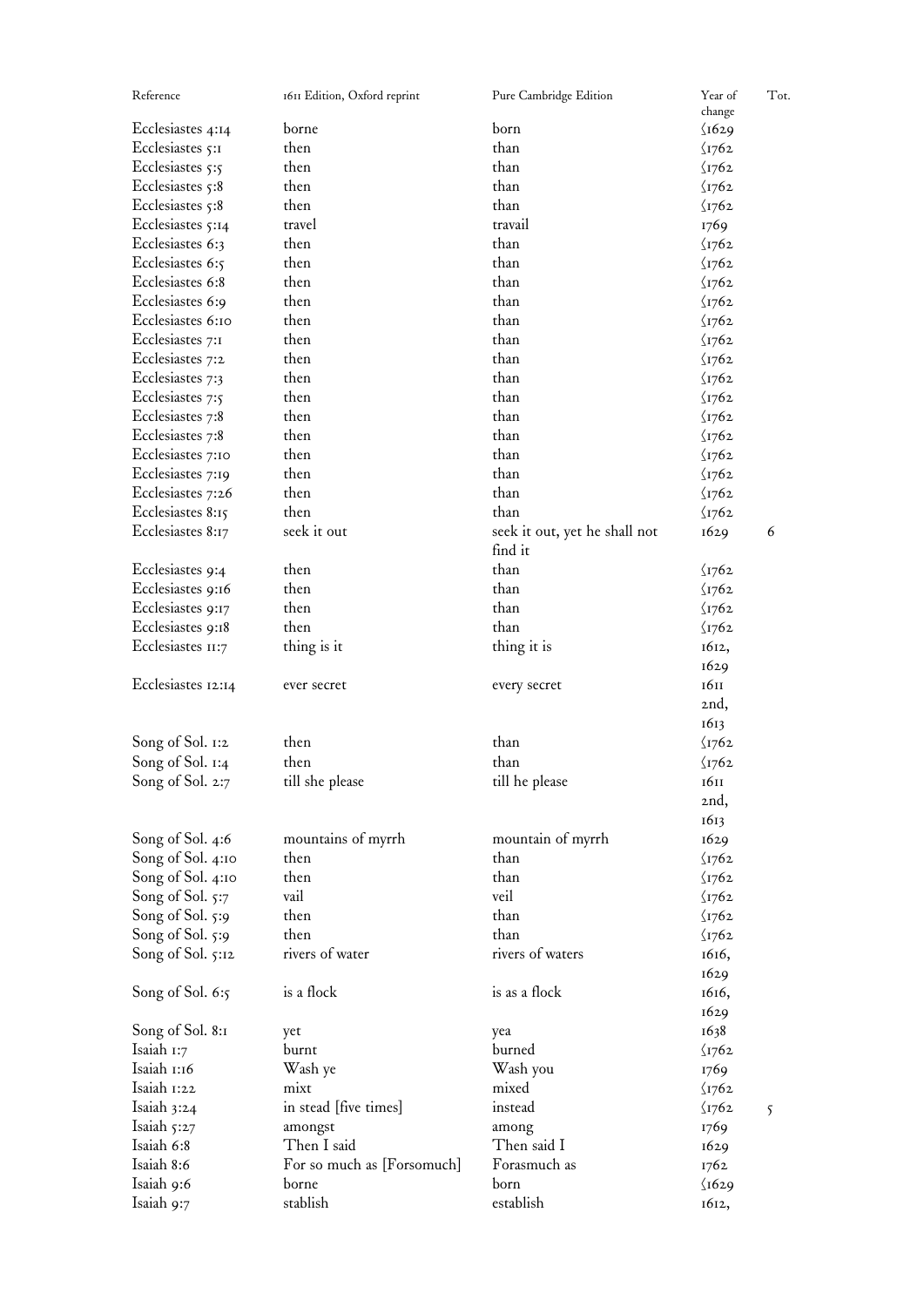| Reference          | 1611 Edition, Oxford reprint | Pure Cambridge Edition        | Year of<br>change | Tot.          |
|--------------------|------------------------------|-------------------------------|-------------------|---------------|
| Ecclesiastes 4:14  | borne                        | born                          | $\sqrt{1629}$     |               |
| Ecclesiastes 5:1   | then                         | than                          | $\sqrt{1762}$     |               |
| Ecclesiastes 5:5   | then                         | than                          | $\sqrt{1762}$     |               |
| Ecclesiastes 5:8   | then                         | than                          | $\sqrt{1762}$     |               |
| Ecclesiastes 5:8   | then                         | than                          | $\sqrt{1762}$     |               |
| Ecclesiastes 5:14  | travel                       | travail                       | 1769              |               |
| Ecclesiastes 6:3   | then                         | than                          | $\sqrt{1762}$     |               |
| Ecclesiastes 6:5   | then                         | than                          | $\sqrt{1762}$     |               |
| Ecclesiastes 6:8   | then                         | than                          | $\sqrt{1762}$     |               |
| Ecclesiastes 6:9   | then                         | than                          | $\sqrt{1762}$     |               |
| Ecclesiastes 6:10  | then                         | than                          | $\sqrt{1762}$     |               |
| Ecclesiastes 7:1   | then                         | than                          | $\sqrt{1762}$     |               |
| Ecclesiastes 7:2   | then                         | than                          | $\sqrt{1762}$     |               |
| Ecclesiastes 7:3   | then                         | than                          | $\sqrt{1762}$     |               |
|                    | then                         | than                          |                   |               |
| Ecclesiastes 7:5   |                              | than                          | $\sqrt{1762}$     |               |
| Ecclesiastes 7:8   | then                         |                               | $\sqrt{1762}$     |               |
| Ecclesiastes 7:8   | then                         | than                          | $\sqrt{1762}$     |               |
| Ecclesiastes 7:10  | then                         | than                          | $\sqrt{1762}$     |               |
| Ecclesiastes 7:19  | then                         | than                          | $\sqrt{1762}$     |               |
| Ecclesiastes 7:26  | then                         | than                          | $\sqrt{1762}$     |               |
| Ecclesiastes 8:15  | then                         | than                          | $\sqrt{1762}$     |               |
| Ecclesiastes 8:17  | seek it out                  | seek it out, yet he shall not | 1629              | 6             |
|                    |                              | find it                       |                   |               |
| Ecclesiastes 9:4   | then                         | than                          | $\sqrt{1762}$     |               |
| Ecclesiastes 9:16  | then                         | than                          | $\sqrt{1762}$     |               |
| Ecclesiastes 9:17  | then                         | than                          | $\sqrt{1762}$     |               |
| Ecclesiastes 9:18  | then                         | than                          | $\sqrt{1762}$     |               |
| Ecclesiastes 11:7  | thing is it                  | thing it is                   | 1612,             |               |
|                    |                              |                               | 1629              |               |
| Ecclesiastes 12:14 | ever secret                  | every secret                  | 1611              |               |
|                    |                              |                               | 2nd,              |               |
|                    |                              |                               | 1613              |               |
| Song of Sol. 1:2   | then                         | than                          | $\sqrt{1762}$     |               |
| Song of Sol. 1:4   | then                         | than                          | $\sqrt{1762}$     |               |
| Song of Sol. 2:7   | till she please              | till he please                | 1611              |               |
|                    |                              |                               | 2nd,              |               |
|                    |                              |                               | 1613              |               |
| Song of Sol. 4:6   | mountains of myrrh           | mountain of myrrh             | 1629              |               |
| Song of Sol. 4:10  | then                         | than                          | $\sqrt{1762}$     |               |
| Song of Sol. 4:10  | then                         | than                          | $\sqrt{1762}$     |               |
| Song of Sol. 5:7   | vail                         | veil                          | $\sqrt{1762}$     |               |
| Song of Sol. 5:9   | then                         | than                          | $\sqrt{1762}$     |               |
| Song of Sol. 5:9   | then                         | than                          | $\sqrt{1762}$     |               |
| Song of Sol. 5:12  | rivers of water              | rivers of waters              | 1616,             |               |
|                    |                              |                               | 1629              |               |
| Song of Sol. $6:5$ | is a flock                   | is as a flock                 | 1616,             |               |
|                    |                              |                               | 1629              |               |
| Song of Sol. 8:1   | yet                          | yea                           | 1638              |               |
| Isaiah 1:7         | burnt                        | burned                        | $\sqrt{1762}$     |               |
| Isaiah 1:16        | Wash ye                      | Wash you                      | 1769              |               |
| Isaiah 1:22        | mixt                         | mixed                         | $\sqrt{1762}$     |               |
| Isaiah $3:24$      | in stead [five times]        | instead                       | $\frac{1762}{ }$  |               |
| Isaiah $5:27$      |                              |                               | 1769              | $\mathcal{S}$ |
| Isaiah 6:8         | amongst<br>Then I said       | among<br>Then said I          |                   |               |
| Isaiah 8:6         |                              | Forasmuch as                  | 1629              |               |
|                    | For so much as [Forsomuch]   |                               | 1762              |               |
| Isaiah 9:6         | borne                        | born                          | $\sqrt{1629}$     |               |
| Isaiah 9:7         | stablish                     | establish                     | 1612,             |               |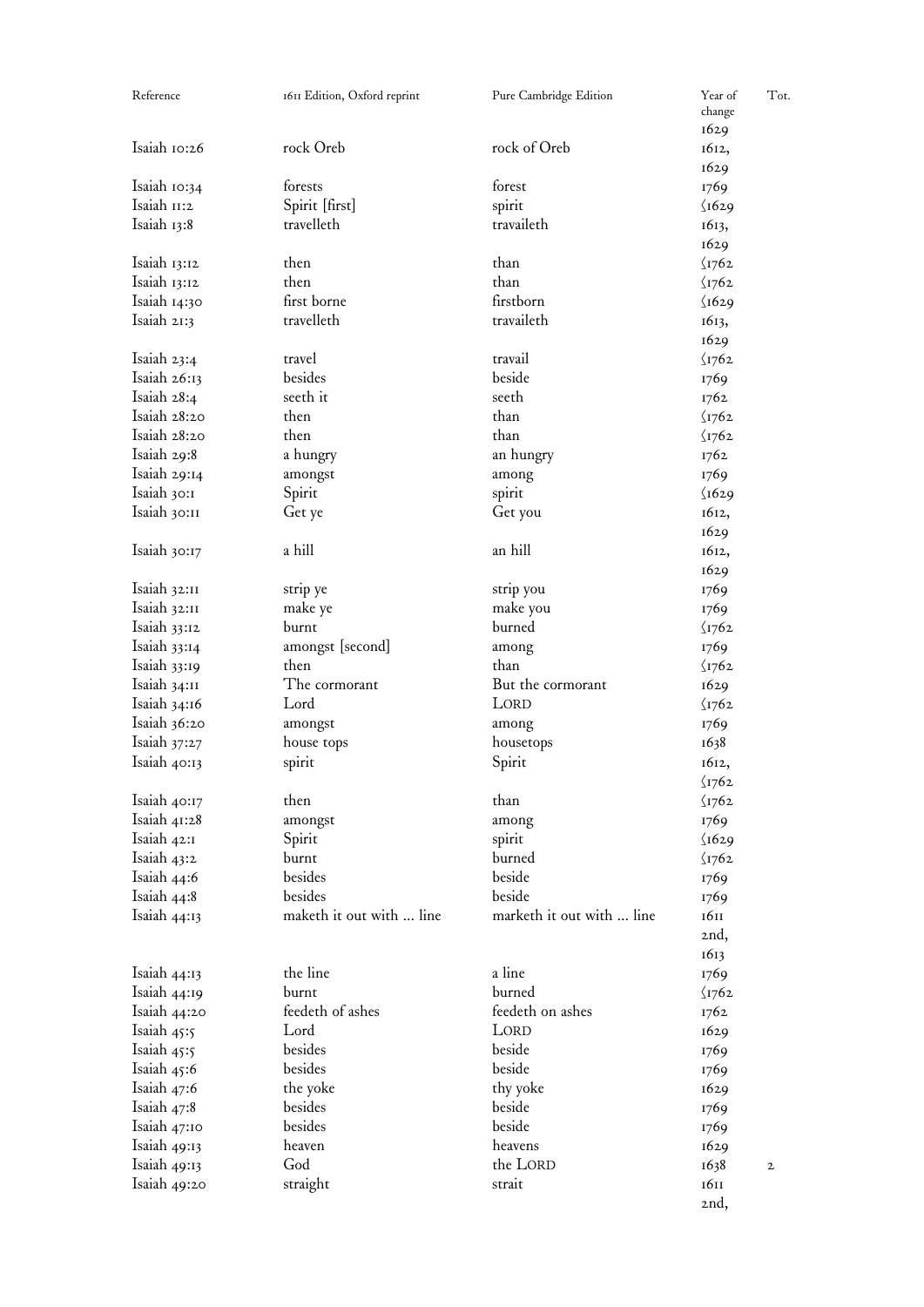| Reference      | 1611 Edition, Oxford reprint | Pure Cambridge Edition    | Year of<br>change | Tot.         |
|----------------|------------------------------|---------------------------|-------------------|--------------|
|                |                              |                           | 1629              |              |
| Isaiah 10:26   | rock Oreb                    | rock of Oreb              | 1612,             |              |
|                |                              |                           | 1629              |              |
| Isaiah 10:34   | forests                      | forest                    | 1769              |              |
| Isaiah II:2    | Spirit [first]               | spirit                    | $\sqrt{1629}$     |              |
| Isaiah 13:8    | travelleth                   | travaileth                | 1613,             |              |
|                |                              |                           | 1629              |              |
| Isaiah 13:12   | then                         | than                      | $\sqrt{1762}$     |              |
| Isaiah 13:12   | then                         | than                      |                   |              |
|                | first borne                  | firstborn                 | $\sqrt{1762}$     |              |
| Isaiah 14:30   |                              |                           | $\sqrt{1629}$     |              |
| Isaiah 21:3    | travelleth                   | travaileth                | 1613,             |              |
|                |                              |                           | 1629              |              |
| Isaiah 23:4    | travel                       | travail                   | $\sqrt{1762}$     |              |
| Isaiah 26:13   | besides                      | beside                    | 1769              |              |
| Isaiah 28:4    | seeth it                     | seeth                     | 1762              |              |
| Isaiah 28:20   | then                         | than                      | $\sqrt{1762}$     |              |
| Isaiah 28:20   | then                         | than                      | $\sqrt{1762}$     |              |
| Isaiah 29:8    | a hungry                     | an hungry                 | 1762              |              |
| Isaiah 29:14   | amongst                      | among                     | 1769              |              |
| Isaiah 30:1    | Spirit                       | spirit                    | $\sqrt{1629}$     |              |
| Isaiah 30:11   | Get ye                       | Get you                   | 1612,             |              |
|                |                              |                           | 1629              |              |
| Isaiah 30:17   | a hill                       | an hill                   | 1612,             |              |
|                |                              |                           | 1629              |              |
| Isaiah 32:11   | strip ye                     | strip you                 | 1769              |              |
| Isaiah 32:II   |                              |                           |                   |              |
|                | make ye                      | make you                  | 1769              |              |
| Isaiah 33:12   | burnt                        | burned                    | $\sqrt{1762}$     |              |
| Isaiah 33:14   | amongst [second]             | among                     | 1769              |              |
| Isaiah 33:19   | then                         | than                      | $\sqrt{1762}$     |              |
| Isaiah 34:II   | The cormorant                | But the cormorant         | 1629              |              |
| Isaiah 34:16   | Lord                         | LORD                      | $\sqrt{1762}$     |              |
| Isaiah 36:20   | amongst                      | among                     | 1769              |              |
| Isaiah $37:27$ | house tops                   | housetops                 | 1638              |              |
| Isaiah 40:13   | spirit                       | Spirit                    | 1612,             |              |
|                |                              |                           | $\langle$ I762    |              |
| Isaiah 40:17   | then                         | than                      | $\frac{1762}{ }$  |              |
| Isaiah 41:28   | amongst                      | among                     | 1769              |              |
| Isaiah 42:1    | Spirit                       | spirit                    | $\sqrt{1629}$     |              |
| Isaiah 43:2    | burnt                        | burned                    | $\sqrt{1762}$     |              |
| Isaiah 44:6    | besides                      | beside                    | 1769              |              |
| Isaiah 44:8    | besides                      | beside                    | 1769              |              |
| Isaiah $44:13$ | maketh it out with  line     | marketh it out with  line | 1611              |              |
|                |                              |                           | 2nd,              |              |
|                |                              |                           | 1613              |              |
| Isaiah 44:13   | the line                     | a line                    | 1769              |              |
|                | burnt                        | burned                    |                   |              |
| Isaiah 44:19   | feedeth of ashes             | feedeth on ashes          | $\sqrt{1762}$     |              |
| Isaiah 44:20   |                              |                           | 1762              |              |
| Isaiah $45:5$  | Lord                         | LORD                      | 1629              |              |
| Isaiah $45:5$  | besides                      | beside                    | 1769              |              |
| Isaiah 45:6    | besides                      | beside                    | 1769              |              |
| Isaiah 47:6    | the yoke                     | thy yoke                  | 1629              |              |
| Isaiah 47:8    | besides                      | beside                    | 1769              |              |
| Isaiah 47:10   | besides                      | beside                    | 1769              |              |
| Isaiah 49:13   | heaven                       | heavens                   | 1629              |              |
| Isaiah 49:13   | God                          | the LORD                  | 1638              | $\mathbf{z}$ |
| Isaiah 49:20   | straight                     | strait                    | 1611              |              |
|                |                              |                           | 2nd,              |              |
|                |                              |                           |                   |              |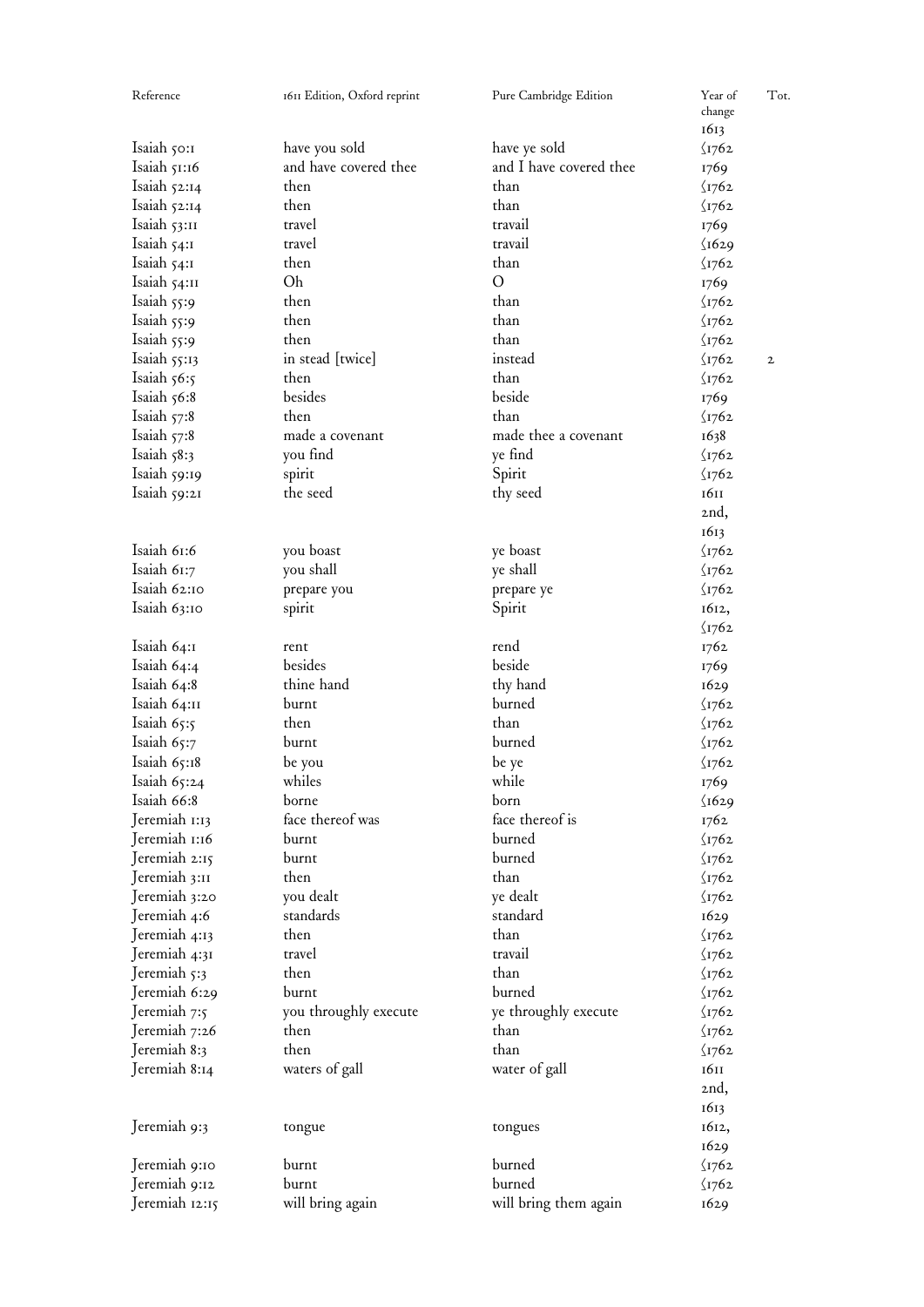| Reference      | 1611 Edition, Oxford reprint | Pure Cambridge Edition  | Year of                        | Tot.        |
|----------------|------------------------------|-------------------------|--------------------------------|-------------|
|                |                              |                         | change                         |             |
|                |                              |                         | 1613                           |             |
| Isaiah 50:1    | have you sold                | have ye sold            | $\frac{1762}{ }$               |             |
| Isaiah 51:16   | and have covered thee        | and I have covered thee | 1769                           |             |
| Isaiah 52:14   | then                         | than                    | $\sqrt{1762}$                  |             |
| Isaiah 52:14   | then                         | than                    | $\frac{1762}{2}$               |             |
| Isaiah 53:11   | travel                       | travail                 | 1769                           |             |
| Isaiah 54:1    | travel                       | travail                 | $\sqrt{1629}$                  |             |
| Isaiah 54:1    | then                         | than                    | $\sqrt{1762}$                  |             |
| Isaiah 54:11   | Oh                           | $\Omega$                | 1769                           |             |
| Isaiah 55:9    | then                         | than                    | $\frac{1762}{2}$               |             |
| Isaiah 55:9    | then                         | than                    | $\sqrt{1762}$                  |             |
| Isaiah 55:9    | then                         | than                    | $\frac{1762}{2}$               |             |
| Isaiah 55:13   | in stead [twice]             | instead                 | $\sqrt{1762}$                  | $\mathbf 2$ |
| Isaiah $56:5$  | then                         | than                    | $\sqrt{1762}$                  |             |
| Isaiah $56:8$  | besides                      | beside                  | 1769                           |             |
| Isaiah $57:8$  | then                         | than                    | $\frac{1762}{2}$               |             |
| Isaiah $57:8$  | made a covenant              | made thee a covenant    | 1638                           |             |
| Isaiah $58:3$  | you find                     | ye find                 | $\sqrt{1762}$                  |             |
| Isaiah 59:19   | spirit                       | Spirit                  | $\langle$ 1762                 |             |
| Isaiah 59:21   | the seed                     | thy seed                | 1611                           |             |
|                |                              |                         | 2nd,                           |             |
|                |                              |                         | 1613                           |             |
| Isaiah 61:6    | you boast                    | ye boast                | $\sqrt{1762}$                  |             |
| Isaiah 61:7    | you shall                    | ye shall                | $\sqrt{1762}$                  |             |
| Isaiah 62:10   | prepare you                  | prepare ye              | $\frac{1762}{2}$               |             |
| Isaiah 63:10   | spirit                       | Spirit                  | 1612,                          |             |
|                |                              |                         | $\frac{\sqrt{1762}}{}$         |             |
| Isaiah 64:1    | rent                         | rend                    | 1762                           |             |
| Isaiah 64:4    | besides                      | beside                  | 1769                           |             |
| Isaiah 64:8    | thine hand                   | thy hand                | 1629                           |             |
| Isaiah 64:11   | burnt                        | burned                  | $\frac{1762}{2}$               |             |
| Isaiah $65:5$  | then                         | than                    | $\sqrt{1762}$                  |             |
| Isaiah $65:7$  | burnt                        | burned                  | $\sqrt{1762}$                  |             |
| Isaiah $65:18$ | be you                       | be ye                   | $\sqrt{1762}$                  |             |
| Isaiah $65:24$ | whiles                       | while                   | 1769                           |             |
| Isaiah 66:8    | borne                        | born                    | $\sqrt{1629}$                  |             |
| Jeremiah 1:13  | face thereof was             | face thereof is         | 1762                           |             |
| Jeremiah 1:16  | burnt                        | burned                  | $\sqrt{1762}$                  |             |
| Jeremiah 2:15  | burnt                        | burned                  |                                |             |
| Jeremiah 3:11  | then                         | than                    | $\sqrt{1762}$<br>$\sqrt{1762}$ |             |
| Jeremiah 3:20  | you dealt                    | ye dealt                | $\sqrt{1762}$                  |             |
| Jeremiah 4:6   | standards                    | standard                |                                |             |
|                |                              | than                    | 1629                           |             |
| Jeremiah 4:13  | then                         |                         | $\sqrt{1762}$                  |             |
| Jeremiah 4:31  | travel                       | travail                 | $\sqrt{1762}$                  |             |
| Jeremiah 5:3   | then                         | than                    | $\sqrt{1762}$                  |             |
| Jeremiah 6:29  | burnt                        | burned                  | $\sqrt{1762}$                  |             |
| Jeremiah 7:5   | you throughly execute        | ye throughly execute    | $\sqrt{1762}$                  |             |
| Jeremiah 7:26  | then                         | than                    | $\sqrt{1762}$                  |             |
| Jeremiah 8:3   | then                         | than                    | $\sqrt{1762}$                  |             |
| Jeremiah 8:14  | waters of gall               | water of gall           | 1611                           |             |
|                |                              |                         | 2nd,                           |             |
|                |                              |                         | 1613                           |             |
| Jeremiah 9:3   | tongue                       | tongues                 | 1612,                          |             |
|                |                              |                         | 1629                           |             |
| Jeremiah 9:10  | burnt                        | burned                  | $\sqrt{1762}$                  |             |
| Jeremiah 9:12  | burnt                        | burned                  | $\langle$ 1762                 |             |
| Jeremiah 12:15 | will bring again             | will bring them again   | 1629                           |             |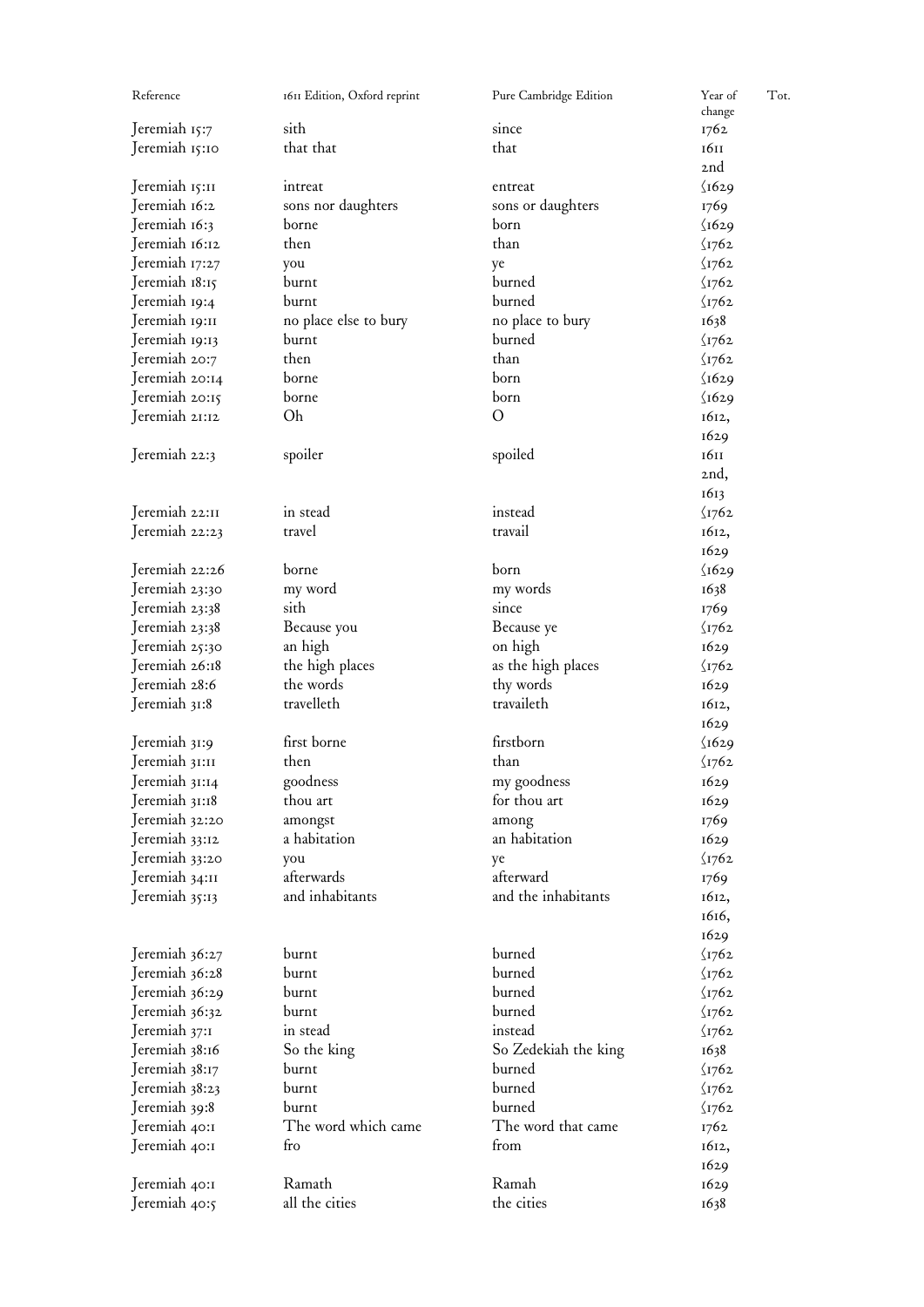| Reference      | 1611 Edition, Oxford reprint | Pure Cambridge Edition | Year of<br>Tot.<br>change |
|----------------|------------------------------|------------------------|---------------------------|
| Jeremiah 15:7  | sith                         | since                  | 1762                      |
| Jeremiah 15:10 | that that                    | that                   | 1611                      |
|                |                              |                        | 2nd                       |
| Jeremiah 15:11 | intreat                      | entreat                | $\sqrt{1629}$             |
| Jeremiah 16:2  | sons nor daughters           | sons or daughters      | 1769                      |
| Jeremiah 16:3  | borne                        | born                   | $\sqrt{1629}$             |
| Jeremiah 16:12 | then                         | than                   | $\sqrt{1762}$             |
| Jeremiah 17:27 | you                          | ye                     | $\sqrt{1762}$             |
| Jeremiah 18:15 | burnt                        | burned                 | $\sqrt{1762}$             |
| Jeremiah 19:4  | burnt                        | burned                 | $\langle$ 1762            |
| Jeremiah 19:11 | no place else to bury        | no place to bury       | 1638                      |
| Jeremiah 19:13 | burnt                        | burned                 | $\sqrt{1762}$             |
| Jeremiah 20:7  | then                         | than                   | $\sqrt{1762}$             |
| Jeremiah 20:14 | borne                        | born                   | $\sqrt{1629}$             |
| Jeremiah 20:15 | borne                        | born                   | $\sqrt{1629}$             |
| Jeremiah 21:12 | Oh                           | $\circ$                | 1612,                     |
|                |                              |                        | 1629                      |
| Jeremiah 22:3  | spoiler                      | spoiled                | 1611                      |
|                |                              |                        | 2nd,                      |
|                |                              |                        | 1613                      |
| Jeremiah 22:11 | in stead                     | instead                | $\sqrt{1762}$             |
| Jeremiah 22:23 | travel                       | travail                | 1612,                     |
|                |                              |                        | 1629                      |
| Jeremiah 22:26 | borne                        | born                   | $\sqrt{1629}$             |
| Jeremiah 23:30 | my word                      | my words               | 1638                      |
| Jeremiah 23:38 | sith                         | since                  | 1769                      |
| Jeremiah 23:38 | Because you                  | Because ye             | $\sqrt{1762}$             |
| Jeremiah 25:30 | an high                      | on high                | 1629                      |
| Jeremiah 26:18 | the high places              | as the high places     | $\sqrt{1762}$             |
| Jeremiah 28:6  | the words                    | thy words              | 1629                      |
| Jeremiah 31:8  | travelleth                   | travaileth             | 1612,                     |
|                |                              |                        | 1629                      |
| Jeremiah 31:9  | first borne                  | firstborn              | $\sqrt{1629}$             |
| Jeremiah 31:11 | then                         | than                   | $\frac{\sqrt{1762}}{}$    |
| Jeremiah 31:14 | goodness                     | my goodness            | 1629                      |
| Jeremiah 31:18 | thou art                     | for thou art           | 1629                      |
| Jeremiah 32:20 | amongst                      | among                  | 1769                      |
| Jeremiah 33:12 | a habitation                 | an habitation          | 1629                      |
| Jeremiah 33:20 | you                          | ye                     | $\frac{1762}{2}$          |
| Jeremiah 34:11 | afterwards                   | afterward              | 1769                      |
| Jeremiah 35:13 | and inhabitants              | and the inhabitants    | 1612,                     |
|                |                              |                        | 1616,                     |
|                |                              |                        | 1629                      |
| Jeremiah 36:27 | burnt                        | burned                 | $\sqrt{1762}$             |
| Jeremiah 36:28 | burnt                        | burned                 | $\sqrt{1762}$             |
| Jeremiah 36:29 | burnt                        | burned                 | $\sqrt{1762}$             |
| Jeremiah 36:32 | burnt                        | burned                 | $\sqrt{1762}$             |
| Jeremiah 37:1  | in stead                     | instead                | $\sqrt{1762}$             |
| Jeremiah 38:16 | So the king                  | So Zedekiah the king   | 1638                      |
| Jeremiah 38:17 | burnt                        | burned                 | $\sqrt{1762}$             |
| Jeremiah 38:23 | burnt                        | burned                 | $\sqrt{1762}$             |
| Jeremiah 39:8  | burnt                        | burned                 | $\sqrt{1762}$             |
| Jeremiah 40:1  | The word which came          | The word that came     | 1762                      |
| Jeremiah 40:1  | fro                          | from                   | 1612,                     |
|                |                              |                        | 1629                      |
| Jeremiah 40:1  | Ramath                       | Ramah                  | 1629                      |
| Jeremiah 40:5  | all the cities               | the cities             | 1638                      |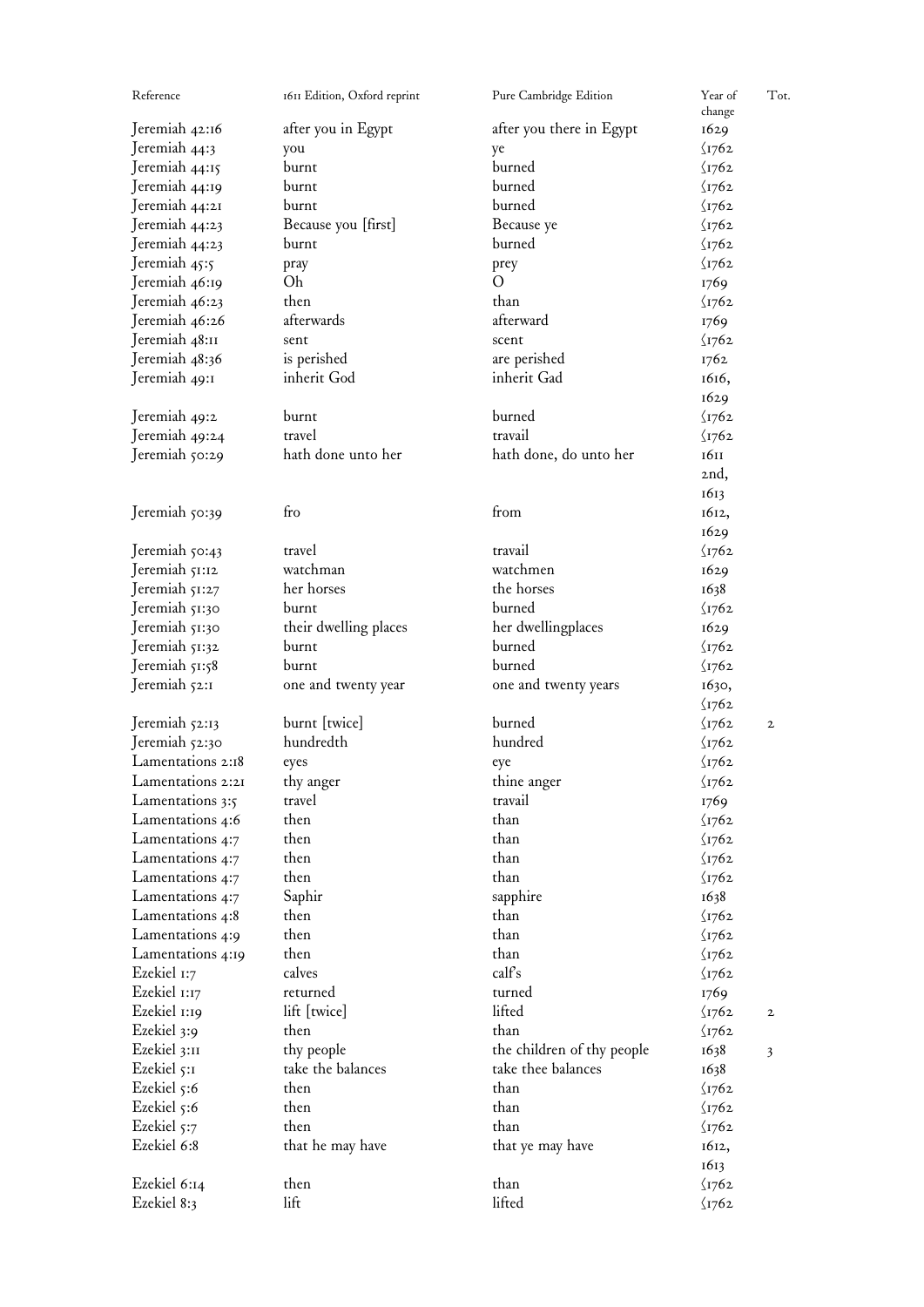| Reference         | 1611 Edition, Oxford reprint | Pure Cambridge Edition     | Year of<br>change      | Tot.         |
|-------------------|------------------------------|----------------------------|------------------------|--------------|
| Jeremiah 42:16    | after you in Egypt           | after you there in Egypt   | 1629                   |              |
| Jeremiah 44:3     | you                          | ye                         | $\sqrt{1762}$          |              |
| Jeremiah 44:15    | burnt                        | burned                     | $\sqrt{1762}$          |              |
| Jeremiah 44:19    | burnt                        | burned                     | $\langle 1762$         |              |
| Jeremiah 44:21    | burnt                        | burned                     | $\sqrt{1762}$          |              |
| Jeremiah 44:23    | Because you [first]          | Because ye                 | $\sqrt{1762}$          |              |
| Jeremiah 44:23    | burnt                        | burned                     | $\sqrt{1762}$          |              |
| Jeremiah 45:5     | pray                         | prey                       | $\sqrt{1762}$          |              |
| Jeremiah 46:19    | Oh                           | O                          | 1769                   |              |
| Jeremiah 46:23    | then                         | than                       | $\sqrt{1762}$          |              |
| Jeremiah 46:26    | afterwards                   | afterward                  | 1769                   |              |
| Jeremiah 48:11    | sent                         | scent                      | $\frac{1762}{2}$       |              |
| Jeremiah 48:36    | is perished                  | are perished               | 1762                   |              |
| Jeremiah 49:1     | inherit God                  | inherit Gad                | 1616,                  |              |
|                   |                              |                            |                        |              |
|                   |                              | burned                     | 1629                   |              |
| Jeremiah 49:2     | burnt                        |                            | $\sqrt{1762}$          |              |
| Jeremiah 49:24    | travel                       | travail                    | $\sqrt{1762}$          |              |
| Jeremiah 50:29    | hath done unto her           | hath done, do unto her     | 1611                   |              |
|                   |                              |                            | 2nd,                   |              |
|                   |                              |                            | 1613                   |              |
| Jeremiah 50:39    | fro                          | from                       | 1612,                  |              |
|                   |                              |                            | 1629                   |              |
| Jeremiah 50:43    | travel                       | travail                    | $\sqrt{1762}$          |              |
| Jeremiah 51:12    | watchman                     | watchmen                   | 1629                   |              |
| Jeremiah 51:27    | her horses                   | the horses                 | 1638                   |              |
| Jeremiah 51:30    | burnt                        | burned                     | $\sqrt{1762}$          |              |
| Jeremiah 51:30    | their dwelling places        | her dwellingplaces         | 1629                   |              |
| Jeremiah 51:32    | burnt                        | burned                     | $\sqrt{1762}$          |              |
| Jeremiah 51:58    | burnt                        | burned                     | $\sqrt{1762}$          |              |
| Jeremiah 52:1     | one and twenty year          | one and twenty years       | 1630,                  |              |
|                   |                              |                            | $\sqrt{1762}$          |              |
| Jeremiah 52:13    | burnt [twice]                | burned                     | $\sqrt{1762}$          | $\mathbf{2}$ |
| Jeremiah 52:30    | hundredth                    | hundred                    | $\sqrt{1762}$          |              |
| Lamentations 2:18 | eyes                         | eye                        | $\sqrt{1762}$          |              |
| Lamentations 2:21 | thy anger                    | thine anger                | $\frac{\sqrt{1762}}{}$ |              |
| Lamentations 3:5  | travel                       | travail                    | 1769                   |              |
| Lamentations 4:6  | then                         | than                       | $\langle$ 1762         |              |
| Lamentations 4:7  | then                         | than                       | $\sqrt{1762}$          |              |
| Lamentations 4:7  | then                         | than                       | $\sqrt{1762}$          |              |
| Lamentations 4:7  | then                         | than                       | $\sqrt{1762}$          |              |
| Lamentations 4:7  | Saphir                       | sapphire                   | 1638                   |              |
| Lamentations 4:8  | then                         | than                       | $\sqrt{1762}$          |              |
| Lamentations 4:9  | then                         | than                       |                        |              |
|                   |                              |                            | $\sqrt{1762}$          |              |
| Lamentations 4:19 | then                         | than                       | $\sqrt{1762}$          |              |
| Ezekiel 1:7       | calves                       | calfs                      | $\langle$ 1762         |              |
| Ezekiel 1:17      | returned                     | turned                     | 1769                   |              |
| Ezekiel 1:19      | lift [twice]                 | lifted                     | $\langle$ I762         | $\mathbf{2}$ |
| Ezekiel 3:9       | then                         | than                       | $\sqrt{1762}$          |              |
| Ezekiel 3:11      | thy people                   | the children of thy people | 1638                   | 3            |
| Ezekiel $5:1$     | take the balances            | take thee balances         | 1638                   |              |
| Ezekiel $5:6$     | then                         | than                       | $\sqrt{1762}$          |              |
| Ezekiel $5:6$     | then                         | than                       | $\sqrt{1762}$          |              |
| Ezekiel 5:7       | then                         | than                       | $\sqrt{1762}$          |              |
| Ezekiel 6:8       | that he may have             | that ye may have           | 1612,                  |              |
|                   |                              |                            | 1613                   |              |
| Ezekiel 6:14      | then                         | than                       | $\sqrt{1762}$          |              |
| Ezekiel 8:3       | lift                         | lifted                     | $\sqrt{1762}$          |              |
|                   |                              |                            |                        |              |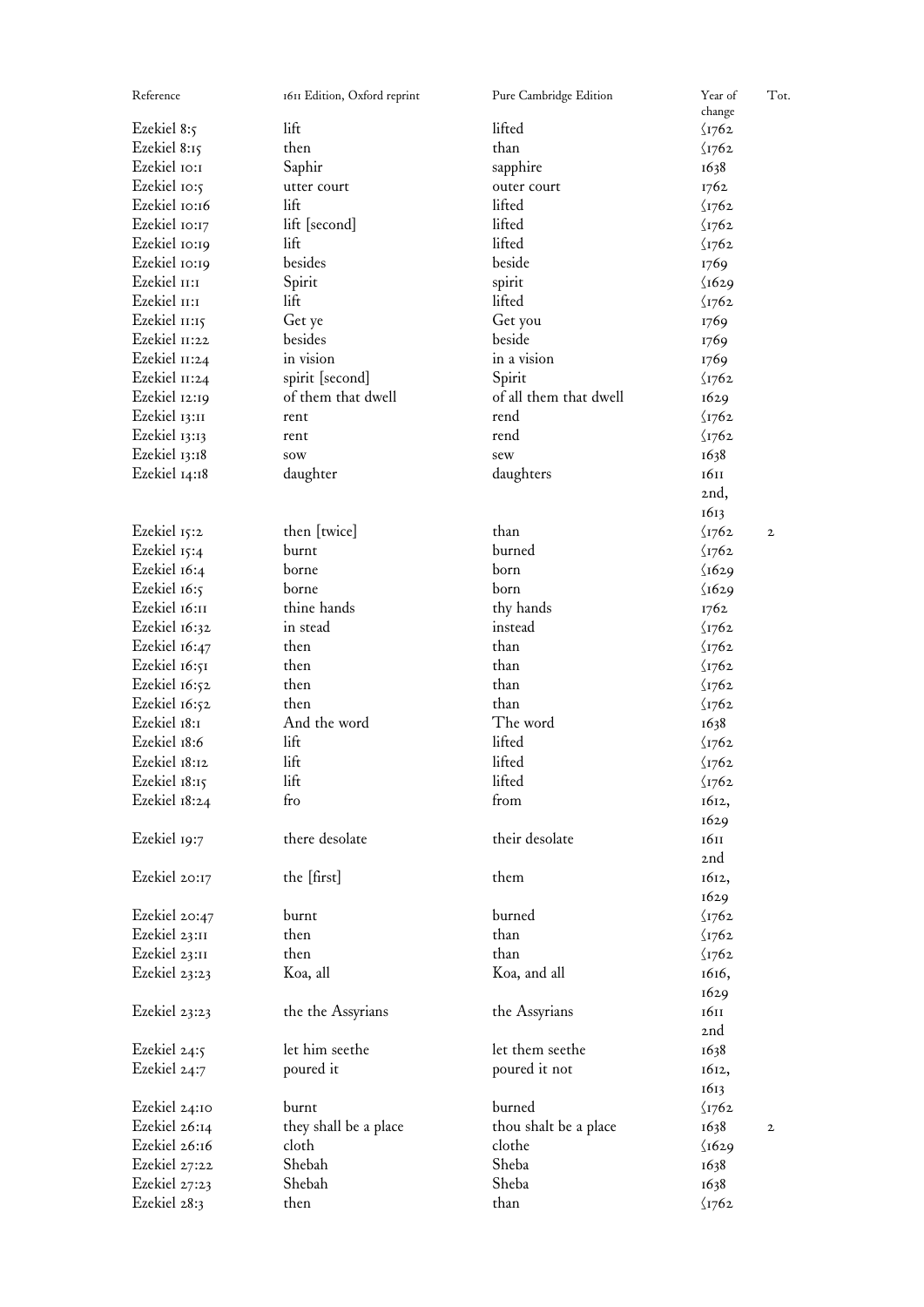| Reference      | 1611 Edition, Oxford reprint | Pure Cambridge Edition | Year of<br>change       | Tot.         |
|----------------|------------------------------|------------------------|-------------------------|--------------|
| Ezekiel 8:5    | lift                         | lifted                 | $\sqrt{1762}$           |              |
| Ezekiel 8:15   | then                         | than                   | $\sqrt{1762}$           |              |
| Ezekiel IO:I   | Saphir                       | sapphire               | 1638                    |              |
| Ezekiel 10:5   | utter court                  | outer court            | 1762                    |              |
| Ezekiel 10:16  | lift                         | lifted                 |                         |              |
|                |                              | lifted                 | $\sqrt{1762}$           |              |
| Ezekiel 10:17  | lift [second]                | lifted                 | $\sqrt{1762}$           |              |
| Ezekiel 10:19  | lift                         |                        | $\sqrt{1762}$           |              |
| Ezekiel 10:19  | besides                      | beside                 | 1769                    |              |
| Ezekiel II:I   | Spirit                       | spirit                 | $\sqrt{1629}$           |              |
| Ezekiel II:I   | lift                         | lifted                 | $\sqrt{1762}$           |              |
| Ezekiel II:15  | Get ye                       | Get you                | 1769                    |              |
| Ezekiel 11:22  | besides                      | beside                 | 1769                    |              |
| Ezekiel II:24  | in vision                    | in a vision            | 1769                    |              |
| Ezekiel II:24  | spirit [second]              | Spirit                 | $\sqrt{1762}$           |              |
| Ezekiel 12:19  | of them that dwell           | of all them that dwell | 1629                    |              |
| Ezekiel 13:11  | rent                         | rend                   | $\sqrt{1762}$           |              |
| Ezekiel 13:13  | rent                         | rend                   | $\frac{1762}{2}$        |              |
| Ezekiel 13:18  | sow                          | sew                    | 1638                    |              |
| Ezekiel 14:18  | daughter                     | daughters              | 1611                    |              |
|                |                              |                        | 2nd,                    |              |
|                |                              |                        | 1613                    |              |
| Ezekiel 15:2   | then [twice]                 | than                   | $\sqrt{1762}$           | $\mathbf{2}$ |
| Ezekiel 15:4   | burnt                        | burned                 | $\sqrt{1762}$           |              |
| Ezekiel 16:4   | borne                        | born                   | $\sqrt{1629}$           |              |
| Ezekiel 16:5   | borne                        | born                   | $\sqrt{1629}$           |              |
| Ezekiel 16:11  | thine hands                  | thy hands              | 1762                    |              |
| Ezekiel 16:32  | in stead                     | instead                | $\frac{1762}{2}$        |              |
|                | then                         | than                   |                         |              |
| Ezekiel 16:47  |                              |                        | $\sqrt{1762}$           |              |
| Ezekiel 16:51  | then                         | than                   | $\sqrt{1762}$           |              |
| Ezekiel 16:52  | then                         | than                   | $\sqrt{1762}$           |              |
| Ezekiel 16:52  | then                         | than                   | $\zeta$ <sub>1762</sub> |              |
| Ezekiel 18:1   | And the word                 | The word               | 1638                    |              |
| Ezekiel 18:6   | lift                         | lifted                 | $\frac{1762}{2}$        |              |
| Ezekiel 18:12  | lift                         | lifted                 | $\sqrt{1762}$           |              |
| Ezekiel 18:15  | lift                         | lifted                 | $\langle$ 1762          |              |
| Ezekiel 18:24  | fro                          | from                   | 1612,                   |              |
|                |                              |                        | 1629                    |              |
| Ezekiel 19:7   | there desolate               | their desolate         | 1611                    |              |
|                |                              |                        | 2nd                     |              |
| Ezekiel 20:17  | the [first]                  | them                   | 1612,                   |              |
|                |                              |                        | 1629                    |              |
| Ezekiel 20:47  | burnt                        | burned                 | $\sqrt{1762}$           |              |
| Ezekiel 23:11  | then                         | than                   | $\sqrt{1762}$           |              |
| Ezekiel 23:11  | then                         | than                   | $\sqrt{1762}$           |              |
| Ezekiel 23:23  | Koa, all                     | Koa, and all           | 1616,                   |              |
|                |                              |                        | 1629                    |              |
| Ezekiel 23:23  | the the Assyrians            | the Assyrians          | 1611                    |              |
|                |                              |                        | 2nd                     |              |
| Ezekiel $24:5$ | let him seethe               | let them seethe        | 1638                    |              |
| Ezekiel 24:7   | poured it                    | poured it not          | 1612,                   |              |
|                |                              |                        | 1613                    |              |
| Ezekiel 24:10  | burnt                        | burned                 | $\sqrt{1762}$           |              |
| Ezekiel 26:14  | they shall be a place        | thou shalt be a place  | 1638                    |              |
| Ezekiel 26:16  | cloth                        | clothe                 |                         | $\mathbf{2}$ |
|                |                              | Sheba                  | $\sqrt{1629}$           |              |
| Ezekiel 27:22  | Shebah                       |                        | 1638                    |              |
| Ezekiel 27:23  | Shebah                       | Sheba                  | 1638                    |              |
| Ezekiel 28:3   | then                         | than                   | $\sqrt{1762}$           |              |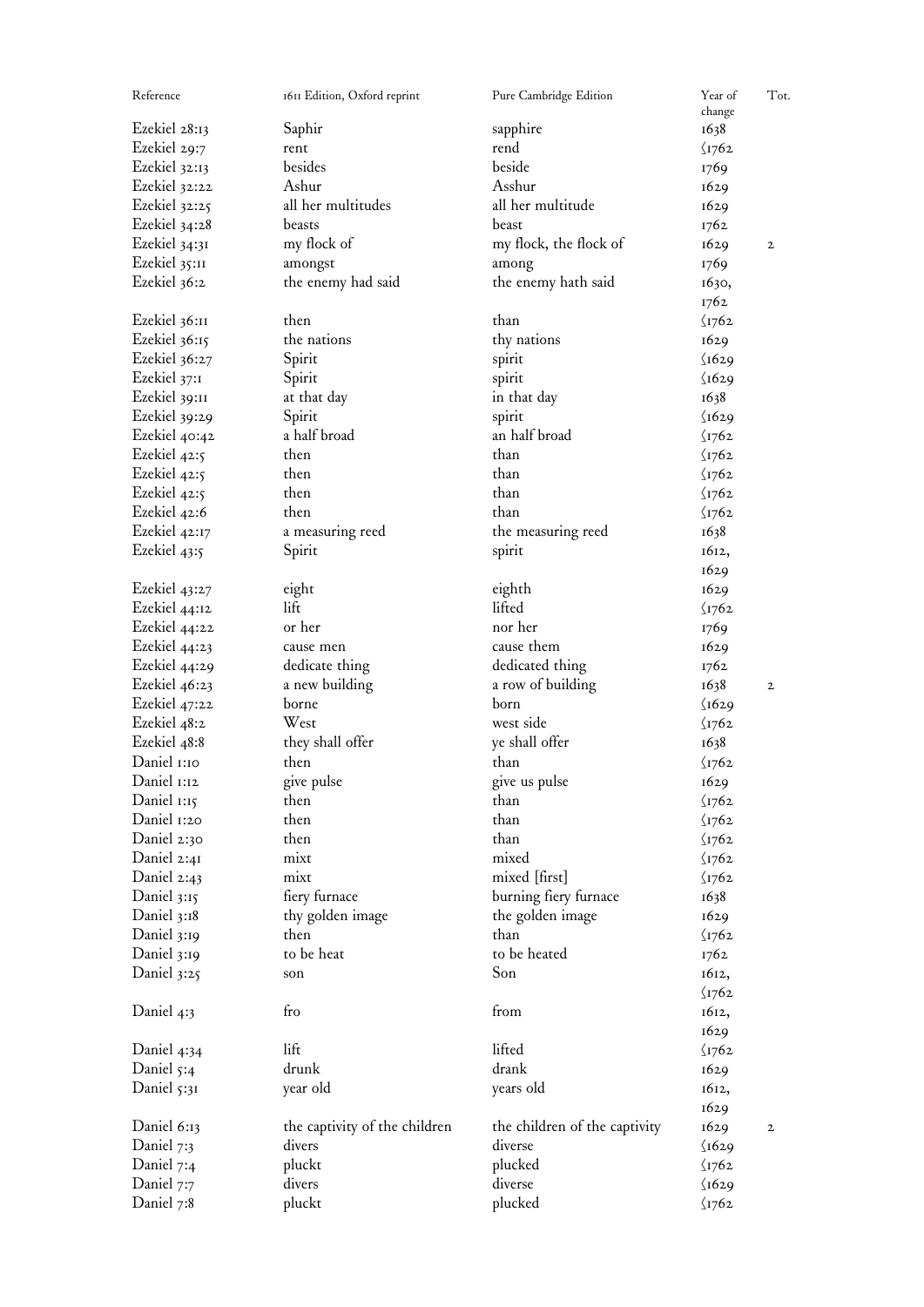| Reference       | 1611 Edition, Oxford reprint  | Pure Cambridge Edition        | Year of<br>change | Tot.           |
|-----------------|-------------------------------|-------------------------------|-------------------|----------------|
| Ezekiel 28:13   | Saphir                        | sapphire                      | 1638              |                |
| Ezekiel 29:7    | rent                          | rend                          | $\sqrt{1762}$     |                |
| Ezekiel 32:13   | besides                       | beside                        | 1769              |                |
| Ezekiel 32:22   | Ashur                         | Asshur                        | 1629              |                |
| Ezekiel $32:25$ | all her multitudes            | all her multitude             | 1629              |                |
| Ezekiel 34:28   | beasts                        | beast                         |                   |                |
| Ezekiel 34:31   | my flock of                   |                               | 1762              |                |
|                 |                               | my flock, the flock of        | 1629              | $\mathfrak{2}$ |
| Ezekiel 35:11   | amongst                       | among                         | 1769              |                |
| Ezekiel 36:2    | the enemy had said            | the enemy hath said           | 1630,             |                |
|                 |                               |                               | 1762              |                |
| Ezekiel 36:11   | then                          | than                          | $\sqrt{1762}$     |                |
| Ezekiel 36:15   | the nations                   | thy nations                   | 1629              |                |
| Ezekiel 36:27   | Spirit                        | spirit                        | $\sqrt{1629}$     |                |
| Ezekiel 37:1    | Spirit                        | spirit                        | $\sqrt{1629}$     |                |
| Ezekiel 39:II   | at that day                   | in that day                   | 1638              |                |
| Ezekiel 39:29   | Spirit                        | spirit                        | $\sqrt{1629}$     |                |
| Ezekiel 40:42   | a half broad                  | an half broad                 | $\sqrt{1762}$     |                |
| Ezekiel $42:5$  | then                          | than                          | $\sqrt{1762}$     |                |
| Ezekiel 42:5    | then                          | than                          | $\sqrt{1762}$     |                |
| Ezekiel $42:5$  | then                          | than                          | $\sqrt{1762}$     |                |
| Ezekiel 42:6    | then                          | than                          | $\sqrt{1762}$     |                |
| Ezekiel 42:17   | a measuring reed              | the measuring reed            | 1638              |                |
| Ezekiel $43:5$  | Spirit                        | spirit                        | 1612,             |                |
|                 |                               |                               | 1629              |                |
| Ezekiel $43:27$ | eight                         | eighth                        | 1629              |                |
| Ezekiel 44:12   | lift                          | lifted                        | $\sqrt{1762}$     |                |
| Ezekiel 44:22   | or her                        | nor her                       | 1769              |                |
| Ezekiel 44:23   | cause men                     | cause them                    | 1629              |                |
| Ezekiel 44:29   | dedicate thing                | dedicated thing               | 1762              |                |
| Ezekiel $46:23$ | a new building                | a row of building             | 1638              | $\mathbf{2}$   |
| Ezekiel 47:22   | borne                         | born                          | $\sqrt{1629}$     |                |
| Ezekiel 48:2    | West                          | west side                     | $\sqrt{1762}$     |                |
| Ezekiel 48:8    | they shall offer              | ye shall offer                | 1638              |                |
| Daniel 1:10     | then                          | than                          | $\sqrt{1762}$     |                |
| Daniel 1:12     | give pulse                    | give us pulse                 | 1629              |                |
| Daniel 1:15     | then                          | than                          | $\sqrt{1762}$     |                |
| Daniel 1:20     | then                          | than                          | $\sqrt{1762}$     |                |
| Daniel 2:30     | then                          | than                          | $\sqrt{1762}$     |                |
| Daniel 2:41     | mixt                          | mixed                         | $\sqrt{1762}$     |                |
| Daniel $2:43$   | mixt                          | mixed [first]                 | $\sqrt{1762}$     |                |
| Daniel $3:15$   | fiery furnace                 | burning fiery furnace         | 1638              |                |
| Daniel 3:18     | thy golden image              | the golden image              | 1629              |                |
| Daniel 3:19     | then                          | than                          | $\sqrt{1762}$     |                |
| Daniel 3:19     | to be heat                    | to be heated                  |                   |                |
| Daniel $3:25$   |                               | Son                           | 1762              |                |
|                 | son                           |                               | 1612,             |                |
|                 |                               |                               | $\sqrt{1762}$     |                |
| Daniel $4:3$    | fro                           | from                          | 1612,             |                |
|                 |                               |                               | 1629              |                |
| Daniel 4:34     | lift                          | lifted                        | $\sqrt{1762}$     |                |
| Daniel $5:4$    | drunk                         | drank                         | 1629              |                |
| Daniel $5:31$   | year old                      | years old                     | 1612,             |                |
|                 |                               |                               | 1629              |                |
| Daniel 6:13     | the captivity of the children | the children of the captivity | 1629              | $\mathbf{2}$   |
| Daniel 7:3      | divers                        | diverse                       | $\sqrt{1629}$     |                |
| Daniel 7:4      | pluckt                        | plucked                       | $\sqrt{1762}$     |                |
| Daniel 7:7      | divers                        | diverse                       | $\sqrt{1629}$     |                |
| Daniel 7:8      | pluckt                        | plucked                       | $\sqrt{1762}$     |                |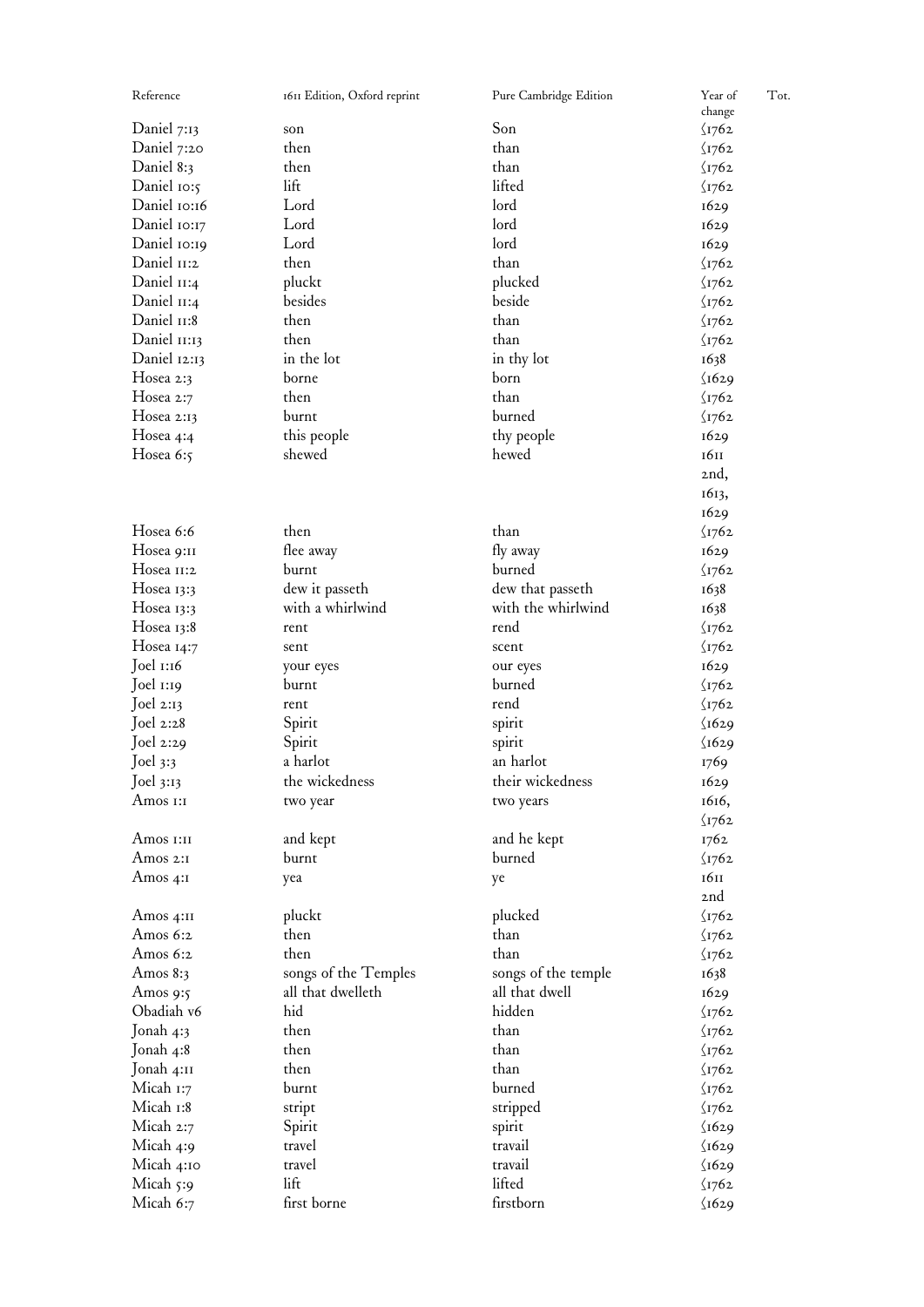| Reference                        | 1611 Edition, Oxford reprint | Pure Cambridge Edition | Year of<br>change             | Tot. |
|----------------------------------|------------------------------|------------------------|-------------------------------|------|
| Daniel $7:13$                    | son                          | Son                    | $\frac{1}{2}$ I762            |      |
| Daniel 7:20                      | then                         | than                   | $\frac{\sqrt{1762}}{}$        |      |
| Daniel 8:3                       | then                         | than                   | $\sqrt{1762}$                 |      |
| Daniel $\mathrm{IO:}\mathcal{S}$ | lift                         | lifted                 | $\langle$ 1762                |      |
| Daniel 10:16                     | Lord                         | lord                   | 1629                          |      |
|                                  |                              |                        |                               |      |
| Daniel IO:17                     | Lord                         | lord                   | 1629                          |      |
| Daniel 10:19                     | Lord                         | lord                   | 1629                          |      |
| Daniel II:2                      | then                         | than                   | $\frac{1}{2}$ <sub>1762</sub> |      |
| Daniel II:4                      | pluckt                       | plucked                | $\sqrt{1762}$                 |      |
| Daniel II:4                      | besides                      | beside                 | $\sqrt{1762}$                 |      |
| Daniel II:8                      | then                         | than                   | $\frac{1}{2}$ I762            |      |
| Daniel II:13                     | then                         | than                   | $\langle$ 1762                |      |
| Daniel $12:13$                   | in the lot                   | in thy lot             | 1638                          |      |
| Hosea 2:3                        | borne                        | born                   | $\sqrt{1629}$                 |      |
| Hosea 2:7                        | then                         | than                   | $\langle$ 1762                |      |
| Hosea 2:13                       | burnt                        | burned                 | $\sqrt{1762}$                 |      |
| Hosea 4:4                        | this people                  | thy people             | 1629                          |      |
| Hosea 6:5                        | shewed                       | hewed                  | 1611                          |      |
|                                  |                              |                        | 2nd,                          |      |
|                                  |                              |                        | 1613,                         |      |
|                                  |                              |                        | 1629                          |      |
| Hosea 6:6                        | then                         | than                   | $\sqrt{1762}$                 |      |
| Hosea 9:11                       | flee away                    | fly away               | 1629                          |      |
| Hosea II:2                       | burnt                        | burned                 | $\langle$ I762                |      |
| Hosea 13:3                       | dew it passeth               | dew that passeth       | 1638                          |      |
| Hosea 13:3                       | with a whirlwind             | with the whirlwind     | 1638                          |      |
| Hosea 13:8                       | rent                         | rend                   | $\sqrt{1762}$                 |      |
|                                  |                              |                        |                               |      |
| Hosea $14:7$                     | sent                         | scent                  | $\frac{1}{2}$ I762            |      |
| Joel 1:16                        | your eyes                    | our eyes<br>burned     | 1629                          |      |
| Joel 1:19                        | burnt                        |                        | $\sqrt{1762}$                 |      |
| Joel 2:13                        | rent                         | rend                   | $\sqrt{1762}$                 |      |
| Joel 2:28                        | Spirit                       | spirit                 | $\sqrt{1629}$                 |      |
| Joel 2:29                        | Spirit                       | spirit                 | $\sqrt{1629}$                 |      |
| Joel 3:3                         | a harlot                     | an harlot              | 1769                          |      |
| Joel 3:13                        | the wickedness               | their wickedness       | 1629                          |      |
| Amos 1:1                         | two year                     | two years              | 1616,                         |      |
|                                  |                              |                        | $\langle$ 1762                |      |
| Amos <sub>I</sub> :II            | and kept                     | and he kept            | 1762                          |      |
| Amos 2:1                         | burnt                        | burned                 | $\langle$ I762                |      |
| Amos 4:1                         | yea                          | ye                     | 1611                          |      |
|                                  |                              |                        | <sub>2</sub> nd               |      |
| Amos $4:II$                      | pluckt                       | plucked                | $\sqrt{1762}$                 |      |
| Amos $6:2$                       | then                         | than                   | $\frac{1}{2}$ I762            |      |
| Amos 6:2                         | then                         | than                   | $\frac{1}{2}$ I762            |      |
| Amos $8:3$                       | songs of the Temples         | songs of the temple    | 1638                          |      |
| Amos $9:5$                       | all that dwelleth            | all that dwell         | 1629                          |      |
| Obadiah v6                       | hid                          | hidden                 | $\frac{1}{2}$ I762            |      |
| Jonah 4:3                        | then                         | than                   | $\sqrt{1762}$                 |      |
| Jonah 4:8                        | then                         | than                   | $\langle$ 1762                |      |
| Jonah 4:11                       | then                         | than                   | $\sqrt{1762}$                 |      |
| Micah 1:7                        | burnt                        | burned                 | $\langle$ I762                |      |
| Micah 1:8                        | stript                       | stripped               | $\frac{1}{2}$ <sub>1762</sub> |      |
| Micah 2:7                        | Spirit                       | spirit                 | $\sqrt{1629}$                 |      |
| Micah 4:9                        | travel                       | travail                | $\sqrt{1629}$                 |      |
| Micah 4:10                       | travel                       | travail                | $\sqrt{1629}$                 |      |
| Micah $5:9$                      | lift                         | lifted                 | $\langle$ 1762                |      |
| Micah 6:7                        | first borne                  | firstborn              | $\sqrt{1629}$                 |      |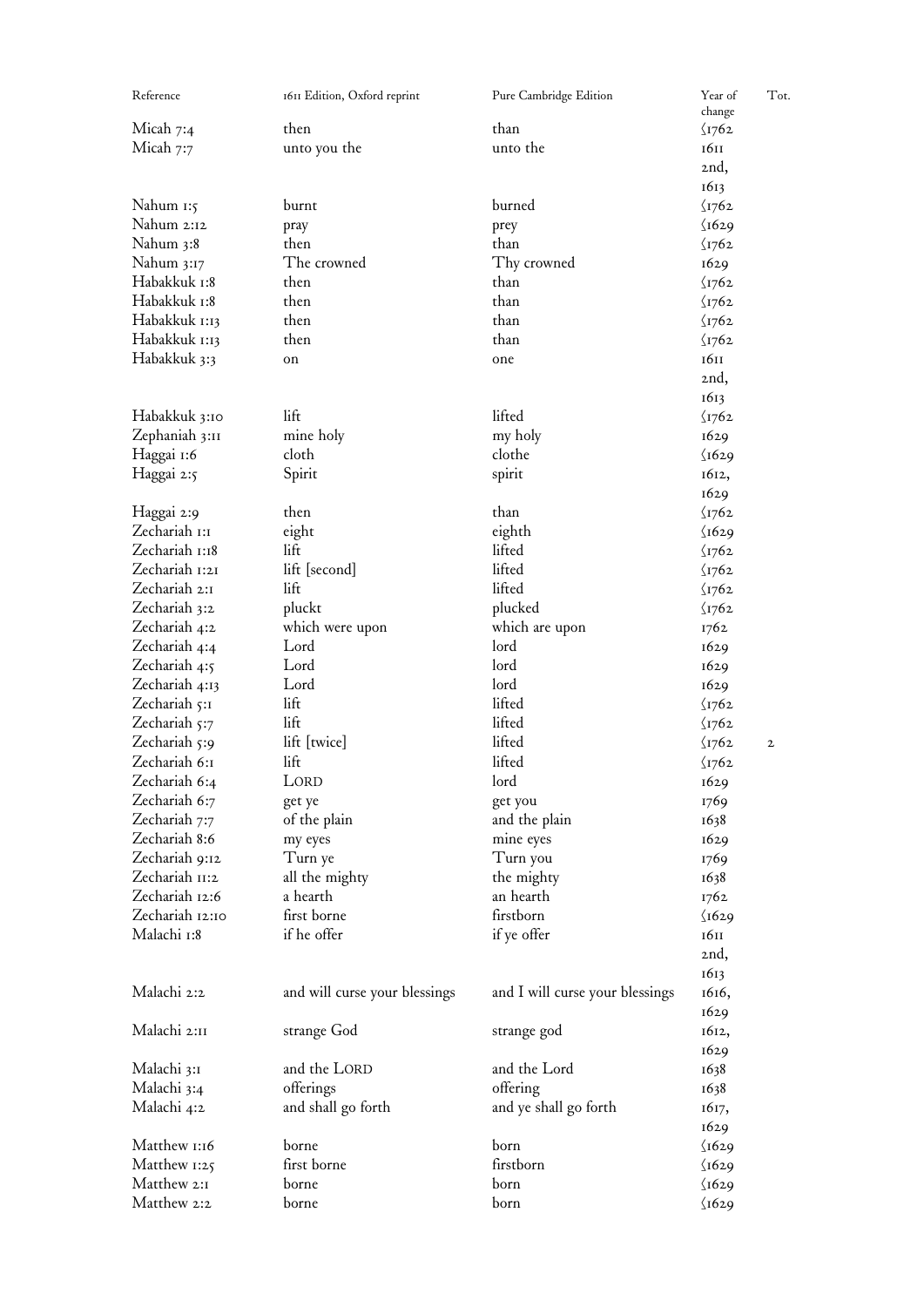| Reference                        | 1611 Edition, Oxford reprint  | Pure Cambridge Edition          | Year of<br>change | Tot.         |
|----------------------------------|-------------------------------|---------------------------------|-------------------|--------------|
| Micah 7:4                        | then                          | than                            | $\sqrt{1762}$     |              |
| Micah 7:7                        | unto you the                  | unto the                        | 1611              |              |
|                                  |                               |                                 | 2nd,              |              |
|                                  |                               |                                 | 1613              |              |
| Nahum 1:5                        | burnt                         | burned                          | $\sqrt{1762}$     |              |
| Nahum 2:12                       | pray                          |                                 | $\sqrt{1629}$     |              |
| Nahum 3:8                        | then                          | prey<br>than                    | $\sqrt{1762}$     |              |
| Nahum 3:17                       | The crowned                   | Thy crowned                     | 1629              |              |
| Habakkuk 1:8                     | then                          | than                            |                   |              |
| Habakkuk 1:8                     | then                          | than                            | $\sqrt{1762}$     |              |
|                                  | then                          |                                 | $\sqrt{1762}$     |              |
| Habakkuk 1:13                    |                               | than                            | $\frac{1762}{2}$  |              |
| Habakkuk 1:13                    | then                          | than                            | $\sqrt{1762}$     |              |
| Habakkuk 3:3                     | on                            | one                             | 1611              |              |
|                                  |                               |                                 | 2nd,              |              |
|                                  |                               |                                 | 1613              |              |
| Habakkuk 3:10                    | lift                          | lifted                          | $\sqrt{1762}$     |              |
| Zephaniah 3:11                   | mine holy                     | my holy                         | 1629              |              |
| Haggai 1:6                       | cloth                         | clothe                          | $\sqrt{1629}$     |              |
| Haggai 2:5                       | Spirit                        | spirit                          | 1612,             |              |
|                                  |                               |                                 | 1629              |              |
| Haggai 2:9                       | then                          | than                            | $\sqrt{1762}$     |              |
| Zechariah 1:1                    | eight                         | eighth                          | $\sqrt{1629}$     |              |
| Zechariah 1:18                   | lift                          | lifted                          | $\sqrt{1762}$     |              |
| Zechariah 1:21                   | lift [second]                 | lifted                          | $\sqrt{1762}$     |              |
| Zechariah 2:1                    | lift                          | lifted                          | $\sqrt{1762}$     |              |
| Zechariah 3:2                    | pluckt                        | plucked                         | $\frac{1762}{2}$  |              |
| Zechariah 4:2                    | which were upon               | which are upon                  | 1762              |              |
| Zechariah 4:4                    | Lord                          | lord                            | 1629              |              |
| Zechariah 4:5                    | Lord                          | lord                            | 1629              |              |
| Zechariah 4:13                   | Lord                          | lord                            | 1629              |              |
| Zechariah 5:1                    | lift                          | lifted                          | $\langle$ 1762    |              |
| Zechariah 5:7                    | lift                          | lifted                          | $\langle$ 1762    |              |
| Zechariah 5:9                    | lift [twice]                  | lifted                          | $\langle$ 1762    | $\mathbf{2}$ |
| Zechariah 6:1                    | lift                          | lifted                          | $\langle$ I762    |              |
| Zechariah 6:4                    | LORD                          | lord                            | 1629              |              |
| Zechariah 6:7                    | get ye                        | get you                         | 1769              |              |
| Zechariah 7:7                    | of the plain                  | and the plain                   | 1638              |              |
| Zechariah 8:6                    | my eyes                       | mine eyes                       | 1629              |              |
|                                  |                               | Turn you                        |                   |              |
| Zechariah 9:12<br>Zechariah 11:2 | Turn ye                       |                                 | 1769              |              |
| Zechariah 12:6                   | all the mighty<br>a hearth    | the mighty<br>an hearth         | 1638              |              |
| Zechariah 12:10                  | first borne                   | firstborn                       | 1762              |              |
|                                  |                               |                                 | $\sqrt{1629}$     |              |
| Malachi 1:8                      | if he offer                   | if ye offer                     | 1611              |              |
|                                  |                               |                                 | 2nd,              |              |
|                                  |                               |                                 | 1613              |              |
| Malachi 2:2                      | and will curse your blessings | and I will curse your blessings | 1616,             |              |
|                                  |                               |                                 | 1629              |              |
| Malachi 2:11                     | strange God                   | strange god                     | 1612,             |              |
|                                  |                               |                                 | 1629              |              |
| Malachi 3:1                      | and the LORD                  | and the Lord                    | 1638              |              |
| Malachi 3:4                      | offerings                     | offering                        | 1638              |              |
| Malachi 4:2                      | and shall go forth            | and ye shall go forth           | 1617,             |              |
|                                  |                               |                                 | 1629              |              |
| Matthew 1:16                     | borne                         | born                            | $\sqrt{1629}$     |              |
| Matthew 1:25                     | first borne                   | firstborn                       | $\sqrt{1629}$     |              |
| Matthew 2:1                      | borne                         | born                            | $\sqrt{1629}$     |              |
| Matthew 2:2                      | borne                         | born                            | $\sqrt{1629}$     |              |
|                                  |                               |                                 |                   |              |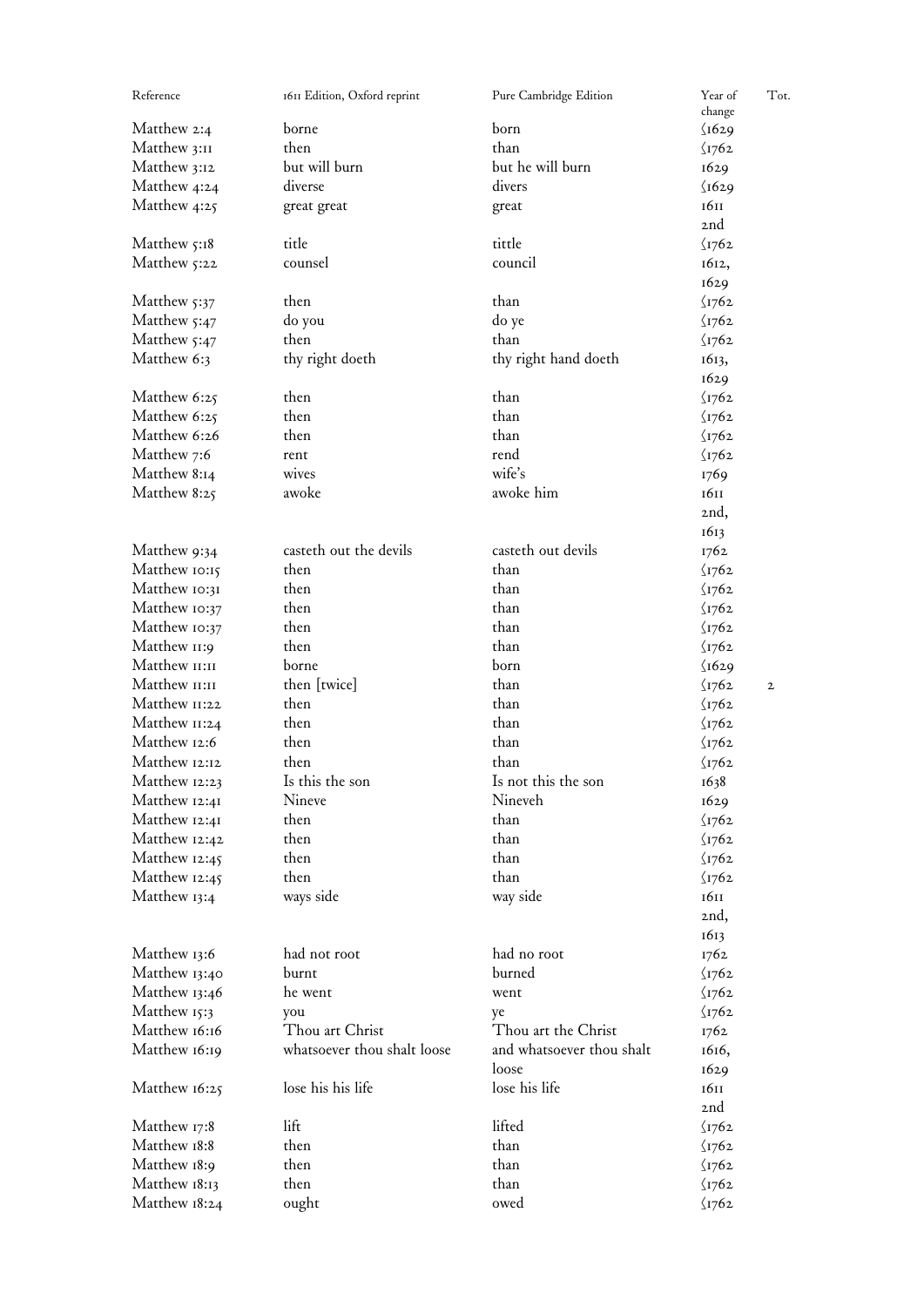| Reference      | 1611 Edition, Oxford reprint | Pure Cambridge Edition    | Year of<br>change | Tot.         |
|----------------|------------------------------|---------------------------|-------------------|--------------|
| Matthew 2:4    | borne                        | born                      | $\sqrt{1629}$     |              |
| Matthew 3:11   | then                         | than                      | $\sqrt{1762}$     |              |
| Matthew 3:12   | but will burn                | but he will burn          | 1629              |              |
| Matthew 4:24   | diverse                      | divers                    | $\sqrt{1629}$     |              |
|                |                              |                           |                   |              |
| Matthew 4:25   | great great                  | great                     | 1611              |              |
|                |                              |                           | <sub>2</sub> nd   |              |
| Matthew 5:18   | title                        | tittle                    | $\sqrt{1762}$     |              |
| Matthew 5:22   | counsel                      | council                   | 1612,             |              |
|                |                              |                           | 1629              |              |
| Matthew $5:37$ | then                         | than                      | $\sqrt{1762}$     |              |
| Matthew $5:47$ | do you                       | do ye                     | $\sqrt{1762}$     |              |
| Matthew 5:47   | then                         | than                      | $\sqrt{1762}$     |              |
| Matthew 6:3    | thy right doeth              | thy right hand doeth      | 1613,             |              |
|                |                              |                           | 1629              |              |
| Matthew 6:25   | then                         | than                      | $\sqrt{1762}$     |              |
| Matthew 6:25   | then                         | than                      | $\sqrt{1762}$     |              |
| Matthew 6:26   | then                         | than                      | $\sqrt{1762}$     |              |
| Matthew 7:6    | rent                         | rend                      | $\sqrt{1762}$     |              |
| Matthew 8:14   | wives                        | wife's                    | 1769              |              |
| Matthew 8:25   | awoke                        | awoke him                 | 1611              |              |
|                |                              |                           | 2nd,              |              |
|                |                              |                           | 1613              |              |
| Matthew 9:34   | casteth out the devils       | casteth out devils        | 1762              |              |
| Matthew 10:15  | then                         | than                      | $\sqrt{1762}$     |              |
| Matthew 10:31  | then                         | than                      | $\frac{1762}{2}$  |              |
| Matthew 10:37  | then                         | than                      | $\sqrt{1762}$     |              |
| Matthew 10:37  | then                         | than                      | $\sqrt{1762}$     |              |
| Matthew 11:9   | then                         | than                      | $\sqrt{1762}$     |              |
| Matthew II:II  | borne                        | born                      | $\sqrt{1629}$     |              |
| Matthew II:II  | then [twice]                 | than                      | $\sqrt{1762}$     | $\mathbf{2}$ |
| Matthew II:22  | then                         | than                      | $\sqrt{1762}$     |              |
| Matthew 11:24  | then                         | than                      | $\sqrt{1762}$     |              |
| Matthew 12:6   | then                         | than                      | $\sqrt{1762}$     |              |
| Matthew 12:12  | then                         | than                      | $\sqrt{1762}$     |              |
| Matthew 12:23  | Is this the son              | Is not this the son       | 1638              |              |
| Matthew 12:41  | Nineve                       | Nineveh                   | 1629              |              |
| Matthew 12:41  | then                         | than                      | $\sqrt{1762}$     |              |
| Matthew 12:42  | then                         | than                      | $\sqrt{1762}$     |              |
| Matthew 12:45  | then                         | than                      | $\sqrt{1762}$     |              |
| Matthew 12:45  | then                         | than                      | $\sqrt{1762}$     |              |
| Matthew 13:4   | ways side                    | way side                  | 1611              |              |
|                |                              |                           |                   |              |
|                |                              |                           | 2nd,              |              |
|                |                              |                           | 1613              |              |
| Matthew 13:6   | had not root                 | had no root               | 1762              |              |
| Matthew 13:40  | burnt                        | burned                    | $\sqrt{1762}$     |              |
| Matthew 13:46  | he went                      | went                      | $\sqrt{1762}$     |              |
| Matthew 15:3   | you                          | ye                        | $\sqrt{1762}$     |              |
| Matthew 16:16  | Thou art Christ              | Thou art the Christ       | 1762              |              |
| Matthew 16:19  | whatsoever thou shalt loose  | and whatsoever thou shalt | 1616,             |              |
|                |                              | loose                     | 1629              |              |
| Matthew 16:25  | lose his his life            | lose his life             | 1611              |              |
|                |                              |                           | 2nd               |              |
| Matthew 17:8   | lift                         | lifted                    | $\sqrt{1762}$     |              |
| Matthew 18:8   | then                         | than                      | $\sqrt{1762}$     |              |
| Matthew 18:9   | then                         | than                      | $\sqrt{1762}$     |              |
| Matthew 18:13  | then                         | than                      | $\sqrt{1762}$     |              |
| Matthew 18:24  | ought                        | owed                      | $\sqrt{1762}$     |              |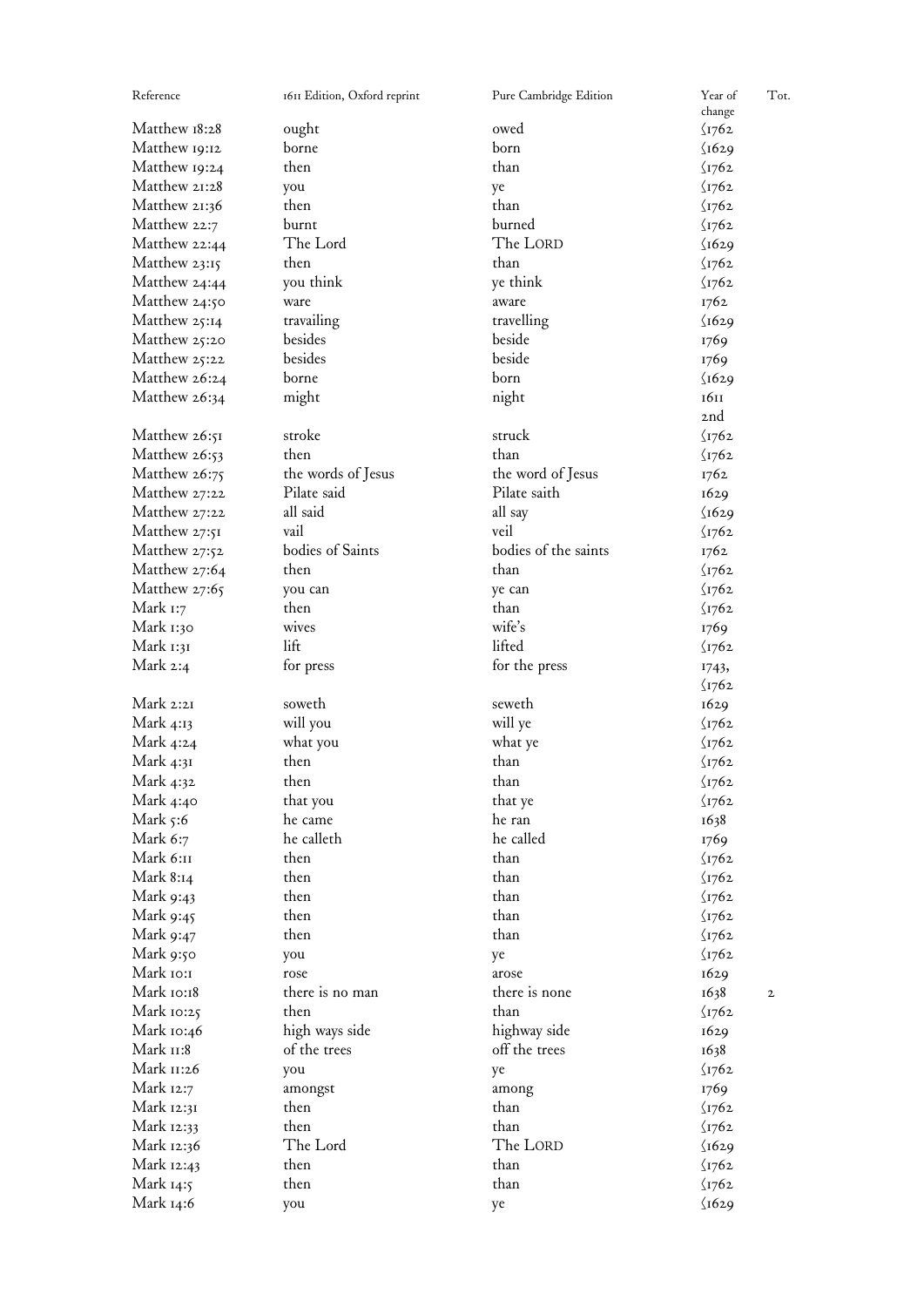| Reference     | 1611 Edition, Oxford reprint | Pure Cambridge Edition | Tot.<br>Year of<br>change |  |
|---------------|------------------------------|------------------------|---------------------------|--|
| Matthew 18:28 | ought                        | owed                   | $\frac{1762}{ }$          |  |
|               | borne                        | born                   | $\sqrt{1629}$             |  |
| Matthew 19:12 | then                         | than                   |                           |  |
| Matthew 19:24 |                              |                        | $\sqrt{1762}$             |  |
| Matthew 21:28 | you                          | ye                     | $\sqrt{1762}$             |  |
| Matthew 21:36 | then                         | than                   | $\sqrt{1762}$             |  |
| Matthew 22:7  | burnt                        | burned                 | $\sqrt{1762}$             |  |
| Matthew 22:44 | The Lord                     | The LORD               | $\sqrt{1629}$             |  |
| Matthew 23:15 | then                         | than                   | $\sqrt{1762}$             |  |
| Matthew 24:44 | you think                    | ye think               | $\frac{1762}{2}$          |  |
| Matthew 24:50 | ware                         | aware                  | 1762                      |  |
| Matthew 25:14 | travailing                   | travelling             | $\sqrt{1629}$             |  |
| Matthew 25:20 | besides                      | beside                 | 1769                      |  |
| Matthew 25:22 | besides                      | beside                 | 1769                      |  |
| Matthew 26:24 | borne                        | born                   | $\sqrt{1629}$             |  |
| Matthew 26:34 | might                        | night                  | 1611                      |  |
|               |                              |                        | 2nd                       |  |
| Matthew 26:51 | stroke                       | struck                 | $\langle$ 1762            |  |
| Matthew 26:53 | then                         | than                   |                           |  |
|               |                              |                        | $\frac{1762}{2}$          |  |
| Matthew 26:75 | the words of Jesus           | the word of Jesus      | 1762                      |  |
| Matthew 27:22 | Pilate said                  | Pilate saith           | 1629                      |  |
| Matthew 27:22 | all said                     | all say                | $\sqrt{1629}$             |  |
| Matthew 27:51 | vail                         | veil                   | $\frac{1762}{2}$          |  |
| Matthew 27:52 | bodies of Saints             | bodies of the saints   | 1762                      |  |
| Matthew 27:64 | then                         | than                   | $\frac{1762}{2}$          |  |
| Matthew 27:65 | you can                      | ye can                 | $\frac{1762}{2}$          |  |
| Mark 1:7      | then                         | than                   | $\frac{1762}{2}$          |  |
| Mark 1:30     | wives                        | wife's                 | 1769                      |  |
| Mark 1:31     | lift                         | lifted                 | $\sqrt{1762}$             |  |
| Mark $2:4$    | for press                    | for the press          | 1743,                     |  |
|               |                              |                        | $\frac{1762}{2}$          |  |
| Mark 2:21     | soweth                       | seweth                 | 1629                      |  |
| Mark $4:13$   | will you                     | will ye                | $\langle$ 1762            |  |
| Mark 4:24     | what you                     | what ye                | $\langle$ 1762            |  |
| Mark $4:3I$   | then                         | than                   | $\langle$ 1762            |  |
|               |                              |                        |                           |  |
| Mark 4:32     | then                         | than                   | $\frac{\zeta_{17}}{6}$    |  |
| Mark 4:40     | that you                     | that ye                | $\frac{\sqrt{1762}}{}$    |  |
| Mark $5:6$    | he came                      | he ran                 | 1638                      |  |
| Mark 6:7      | he calleth                   | he called              | 1769                      |  |
| Mark 6:11     | then                         | than                   | $\sqrt{1762}$             |  |
| Mark 8:14     | then                         | than                   | $\sqrt{1762}$             |  |
| Mark 9:43     | then                         | than                   | $\sqrt{1762}$             |  |
| Mark $9:45$   | then                         | than                   | $\sqrt{1762}$             |  |
| Mark 9:47     | then                         | than                   | $\langle$ 1762            |  |
| Mark 9:50     | you                          | ye                     | $\langle$ I762            |  |
| Mark 10:1     | rose                         | arose                  | 1629                      |  |
| Mark 10:18    | there is no man              | there is none          | 1638<br>$\mathbf{2}$      |  |
| Mark 10:25    | then                         | than                   | $\langle$ I762            |  |
| Mark 10:46    | high ways side               | highway side           | 1629                      |  |
| Mark 11:8     | of the trees                 | off the trees          | 1638                      |  |
| Mark 11:26    | you                          | ye                     | $\sqrt{1762}$             |  |
| Mark $12:7$   | amongst                      | among                  | 1769                      |  |
| Mark 12:31    |                              | than                   |                           |  |
|               | then                         |                        | $\langle$ 1762            |  |
| Mark 12:33    | then                         | than                   | $\sqrt{1762}$             |  |
| Mark 12:36    | The Lord                     | The LORD               | $\sqrt{1629}$             |  |
| Mark 12:43    | then                         | than                   | $\sqrt{1762}$             |  |
| Mark $14:5$   | then                         | than                   | $\sqrt{1762}$             |  |
| Mark 14:6     | you                          | ye                     | $\sqrt{1629}$             |  |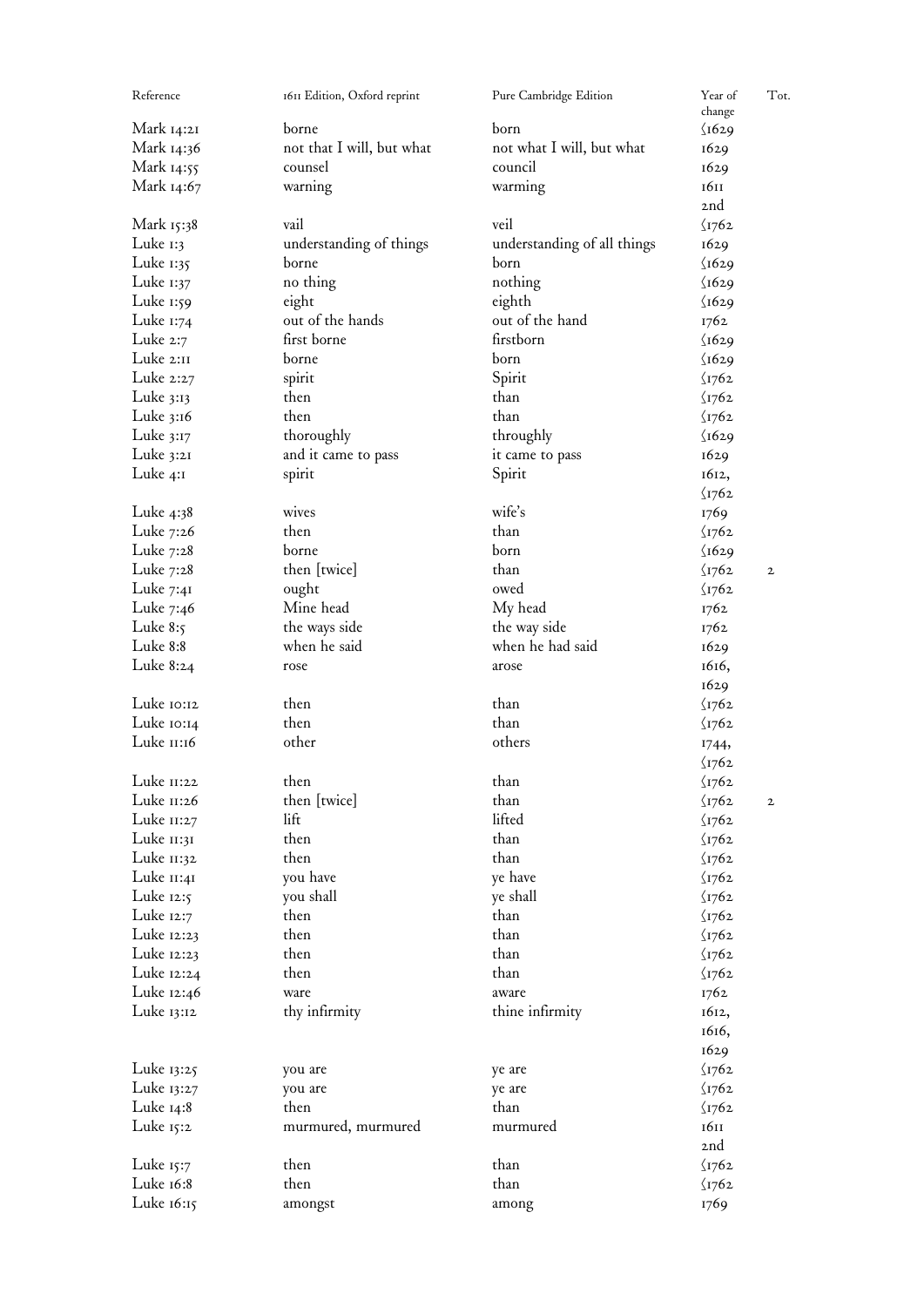| Reference    | 1611 Edition, Oxford reprint | Pure Cambridge Edition      | Year of<br>change       | Tot.         |
|--------------|------------------------------|-----------------------------|-------------------------|--------------|
| Mark 14:21   | borne                        | born                        | $\sqrt{1629}$           |              |
| Mark 14:36   | not that I will, but what    | not what I will, but what   | 1629                    |              |
| Mark 14:55   | counsel                      | council                     | 1629                    |              |
| Mark 14:67   | warning                      | warming                     | 1611                    |              |
|              |                              |                             | 2nd                     |              |
| Mark 15:38   | vail                         | veil                        | $\sqrt{1762}$           |              |
| Luke $1:3$   | understanding of things      | understanding of all things | 1629                    |              |
|              | borne                        | born                        |                         |              |
| Luke 1:35    |                              |                             | $\sqrt{1629}$           |              |
| Luke 1:37    | no thing                     | nothing                     | $\sqrt{1629}$           |              |
| Luke 1:59    | eight<br>out of the hands    | eighth<br>out of the hand   | $\sqrt{1629}$           |              |
| Luke 1:74    |                              |                             | 1762                    |              |
| Luke $2:7$   | first borne                  | firstborn                   | $\sqrt{1629}$           |              |
| Luke 2:11    | borne                        | born                        | $\sqrt{1629}$           |              |
| Luke $2:27$  | spirit                       | Spirit                      | $\sqrt{1762}$           |              |
| Luke 3:13    | then                         | than                        | $\sqrt{1762}$           |              |
| Luke 3:16    | then                         | than                        | $\langle$ 1762          |              |
| Luke $3:17$  | thoroughly                   | throughly                   | $\sqrt{1629}$           |              |
| Luke $3:2I$  | and it came to pass          | it came to pass             | 1629                    |              |
| Luke 4:1     | spirit                       | Spirit                      | 1612,                   |              |
|              |                              |                             | $\sqrt{1762}$           |              |
| Luke 4:38    | wives                        | wife's                      | 1769                    |              |
| Luke 7:26    | then                         | than                        | $\langle$ 1762          |              |
| Luke 7:28    | borne                        | born                        | $\sqrt{1629}$           |              |
| Luke 7:28    | then [twice]                 | than                        | $\langle$ 1762          | $\mathbf{2}$ |
| Luke $7:41$  | ought                        | owed                        | $\zeta$ <sub>1762</sub> |              |
| Luke 7:46    | Mine head                    | My head                     | 1762                    |              |
| Luke $8:5$   | the ways side                | the way side                | 1762                    |              |
| Luke 8:8     | when he said                 | when he had said            | 1629                    |              |
| Luke 8:24    | rose                         | arose                       | 1616,                   |              |
|              |                              |                             | 1629                    |              |
| Luke 10:12   | then                         | than                        | $\langle$ 1762          |              |
| Luke 10:14   | then                         | than                        | $\sqrt{1762}$           |              |
| Luke 11:16   | other                        | others                      | 1744,                   |              |
|              |                              |                             | $\sqrt{1762}$           |              |
| Luke $11:22$ | then                         | than                        | $\langle$ 1762          |              |
| Luke 11:26   | then [twice]                 | than                        | $\sqrt{1762}$           | $\mathbf{z}$ |
| Luke $11:27$ | lift                         | lifted                      | $\sqrt{1762}$           |              |
| Luke 11:31   | then                         | than                        | $\sqrt{1762}$           |              |
| Luke II:32   | then                         | than                        | $\frac{1}{2}$ I762      |              |
| Luke $II:4I$ | you have                     | ye have                     | $\langle$ 1762          |              |
| Luke $12:5$  | you shall                    | ye shall                    | $\langle$ 1762          |              |
| Luke 12:7    | then                         | than                        | $\langle$ 1762          |              |
| Luke 12:23   | then                         | than                        | $\sqrt{1762}$           |              |
| Luke 12:23   | then                         | than                        | $\sqrt{1762}$           |              |
| Luke $12:24$ | then                         | than                        | $\langle$ 1762          |              |
| Luke 12:46   | ware                         | aware                       | 1762                    |              |
| Luke 13:12   | thy infirmity                | thine infirmity             | 1612,                   |              |
|              |                              |                             | 1616,                   |              |
|              |                              |                             | 1629                    |              |
| Luke 13:25   | you are                      | ye are                      | $\langle$ 1762          |              |
| Luke 13:27   |                              |                             | $\langle$ 1762          |              |
|              | you are                      | ye are<br>than              |                         |              |
| Luke $14:8$  | then                         |                             | $\langle$ 1762          |              |
| Luke 15:2    | murmured, murmured           | murmured                    | 1611                    |              |
|              |                              |                             | 2nd                     |              |
| Luke $15:7$  | then                         | than                        | $\langle$ 1762          |              |
| Luke 16:8    | then                         | than                        | $\langle$ 1762          |              |
| Luke 16:15   | amongst                      | among                       | 1769                    |              |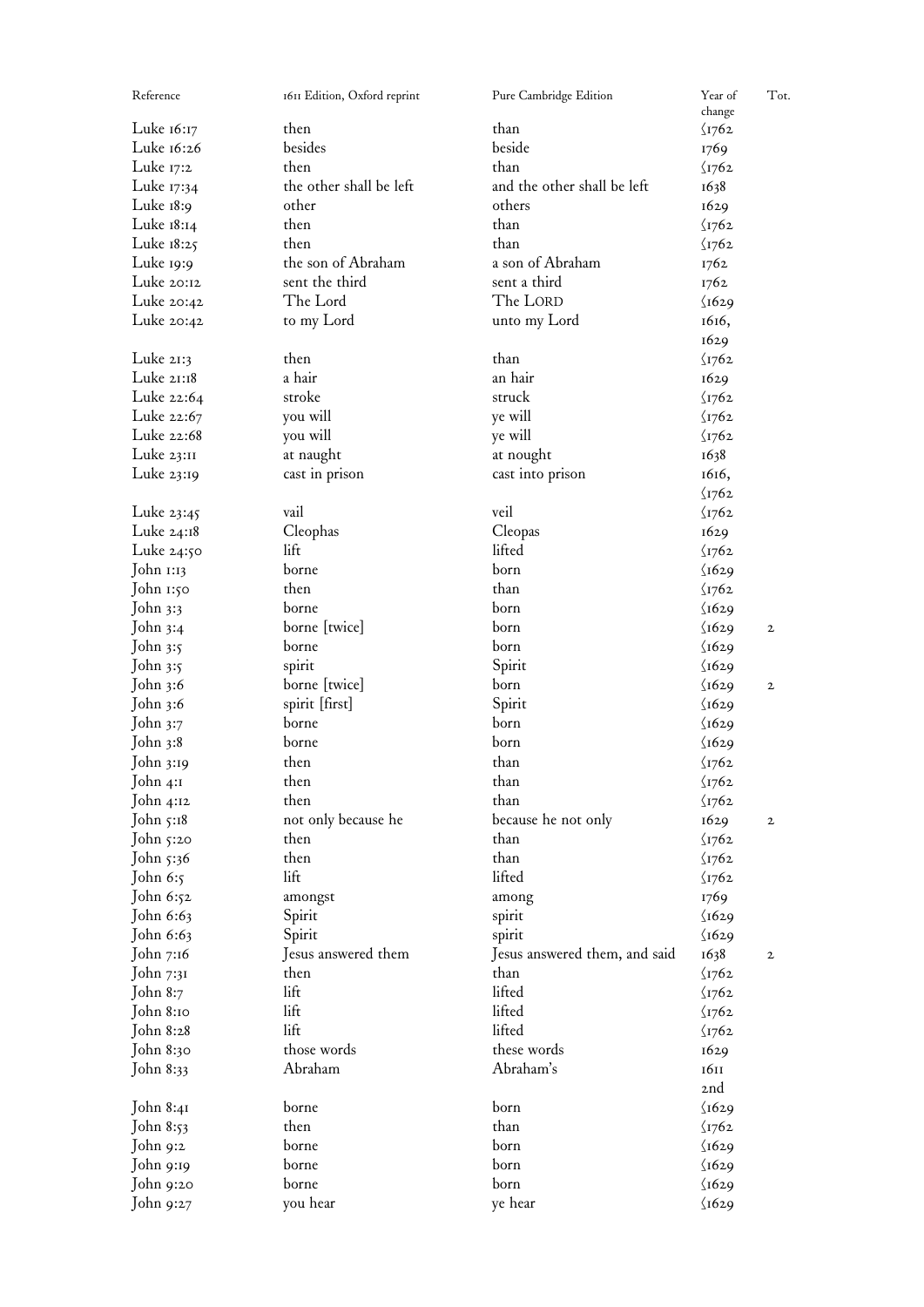| Reference                | 1611 Edition, Oxford reprint | Pure Cambridge Edition        | Year of<br>change      | Tot.         |
|--------------------------|------------------------------|-------------------------------|------------------------|--------------|
|                          | then                         | than                          |                        |              |
| Luke 16:17<br>Luke 16:26 | besides                      | beside                        | $\frac{\sqrt{1762}}{}$ |              |
|                          | then                         | than                          | 1769                   |              |
| Luke $17:2$              |                              |                               | $\sqrt{1762}$          |              |
| Luke 17:34               | the other shall be left      | and the other shall be left   | 1638                   |              |
| Luke $18:9$              | other                        | others                        | 1629                   |              |
| Luke 18:14               | then                         | than                          | $\sqrt{1762}$          |              |
| Luke $18:25$             | then                         | than                          | $\sqrt{1762}$          |              |
| Luke 19:9                | the son of Abraham           | a son of Abraham              | 1762                   |              |
| Luke 20:12               | sent the third               | sent a third                  | 1762                   |              |
| Luke $20:42$             | The Lord                     | The LORD                      | $\sqrt{1629}$          |              |
| Luke $20:42$             | to my Lord                   | unto my Lord                  | 1616,                  |              |
|                          |                              |                               | 1629                   |              |
| Luke $21:3$              | then                         | than                          | $\sqrt{1762}$          |              |
| Luke 21:18               | a hair                       | an hair                       | 1629                   |              |
| Luke 22:64               | stroke                       | struck                        | $\sqrt{1762}$          |              |
| Luke 22:67               | you will                     | ye will                       | $\sqrt{1762}$          |              |
| Luke 22:68               | you will                     | ye will                       | $\sqrt{1762}$          |              |
| Luke $23:II$             | at naught                    | at nought                     | 1638                   |              |
| Luke 23:19               | cast in prison               | cast into prison              | 1616,                  |              |
|                          |                              |                               | $\sqrt{1762}$          |              |
| Luke 23:45               | vail                         | veil                          | $\sqrt{1762}$          |              |
| Luke 24:18               | Cleophas                     | Cleopas                       | 1629                   |              |
| Luke $24:50$             | lift                         | lifted                        | $\sqrt{1762}$          |              |
| John 1:13                | borne                        | born                          | $\sqrt{1629}$          |              |
| John 1:50                | then                         | than                          | $\sqrt{1762}$          |              |
| John 3:3                 | borne                        | born                          | $\sqrt{1629}$          |              |
| John $3:4$               | borne [twice]                | born                          | $\sqrt{1629}$          | $\mathbf{2}$ |
| John $3:5$               | borne                        | born                          | $\sqrt{1629}$          |              |
| John $3:5$               | spirit                       | Spirit                        | $\sqrt{1629}$          |              |
| John 3:6                 | borne [twice]                | born                          | $\sqrt{1629}$          | $\mathbf{2}$ |
| John $3:6$               | spirit [first]               | Spirit                        | $\sqrt{1629}$          |              |
| John $3:7$               | borne                        | born                          | $\sqrt{1629}$          |              |
| John $3:8$               | borne                        | born                          | $\sqrt{1629}$          |              |
| John <sub>3:19</sub>     | then                         | than                          | $\langle$ I762         |              |
| John 4:1                 | then                         | than                          | $\frac{\sqrt{1762}}{}$ |              |
| John $4:12$              | then                         | than                          | $\frac{\sqrt{1762}}{}$ |              |
| John 5:18                | not only because he          | because he not only           | 1629                   | $\mathbf{2}$ |
| John $5:20$              | then                         | than                          | $\sqrt{1762}$          |              |
| John $5:36$              | then                         | than                          | $\sqrt{1762}$          |              |
| John $6:5$               | lift                         | lifted                        | $\sqrt{1762}$          |              |
| John 6:52                |                              |                               | 1769                   |              |
| John 6:63                | amongst<br>Spirit            | among<br>spirit               | $\sqrt{1629}$          |              |
|                          |                              |                               |                        |              |
| John 6:63                | Spirit                       | spirit                        | $\sqrt{1629}$          |              |
| John 7:16                | Jesus answered them          | Jesus answered them, and said | 1638                   | $\mathbf{2}$ |
| John 7:31                | then                         | than                          | $\langle$ I762         |              |
| John 8:7                 | lift                         | lifted                        | $\sqrt{1762}$          |              |
| John 8:10                | lift                         | lifted                        | $\langle$ I762         |              |
| John 8:28                | lift                         | lifted                        | $\langle$ I762         |              |
| John 8:30                | those words                  | these words                   | 1629                   |              |
| John 8:33                | Abraham                      | Abraham's                     | 1611                   |              |
|                          |                              |                               | 2nd                    |              |
| John 8:41                | borne                        | born                          | $\sqrt{1629}$          |              |
| John 8:53                | then                         | than                          | $\langle$ 1762         |              |
| John 9:2                 | borne                        | born                          | $\sqrt{1629}$          |              |
| John 9:19                | borne                        | born                          | $\sqrt{1629}$          |              |
| John 9:20                | borne                        | born                          | $\sqrt{1629}$          |              |
| John 9:27                | you hear                     | ye hear                       | $\sqrt{1629}$          |              |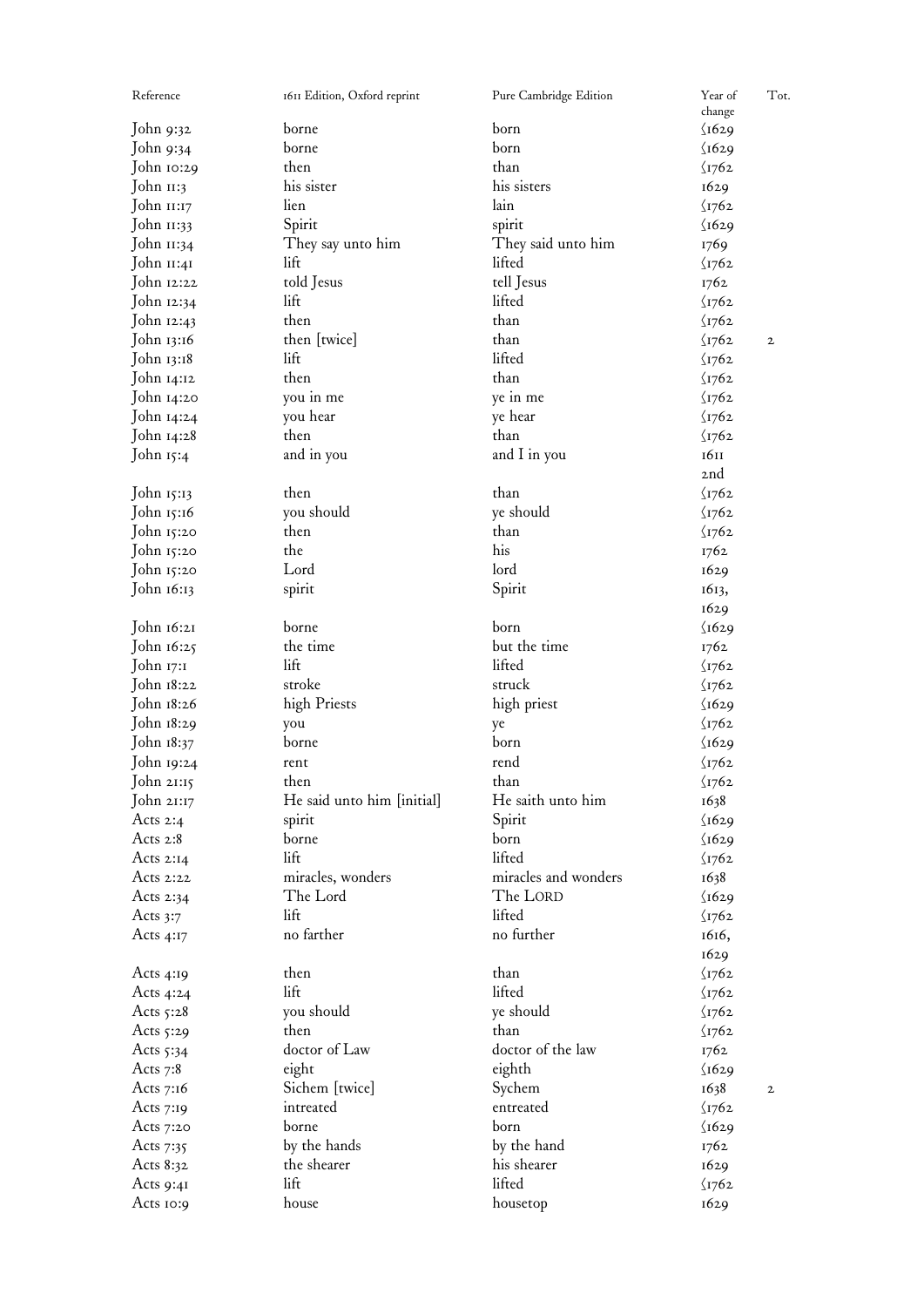| Reference    | 1611 Edition, Oxford reprint | Pure Cambridge Edition | Year of<br>change      | Tot.         |
|--------------|------------------------------|------------------------|------------------------|--------------|
| John 9:32    | borne                        | born                   | $\sqrt{1629}$          |              |
| John 9:34    | borne                        | born                   | $\sqrt{1629}$          |              |
|              | then                         | than                   |                        |              |
| John 10:29   |                              |                        | $\sqrt{1762}$          |              |
| John II:3    | his sister                   | his sisters            | 1629                   |              |
| John II:17   | lien                         | lain                   | $\sqrt{1762}$          |              |
| John 11:33   | Spirit                       | spirit                 | $\sqrt{1629}$          |              |
| John 11:34   | They say unto him            | They said unto him     | 1769                   |              |
| John 11:41   | lift                         | lifted                 | $\sqrt{1762}$          |              |
| John 12:22   | told Jesus                   | tell Jesus             | 1762                   |              |
| John 12:34   | lift                         | lifted                 | $\frac{1762}{2}$       |              |
| John 12:43   | then                         | than                   | $\langle$ 1762         |              |
| John 13:16   | then [twice]                 | than                   | $\sqrt{1762}$          | $\mathbf{z}$ |
| John 13:18   | lift                         | lifted                 | $\langle$ 1762         |              |
| John 14:12   | then                         | than                   | $\sqrt{1762}$          |              |
| John 14:20   | you in me                    | ye in me               | $\frac{1762}{2}$       |              |
| John 14:24   | you hear                     | ye hear                | $\sqrt{1762}$          |              |
| John 14:28   | then                         | than                   | $\sqrt{1762}$          |              |
| John $15:4$  | and in you                   | and I in you           | 1611                   |              |
|              |                              |                        | 2nd                    |              |
|              |                              | than                   |                        |              |
| John $15:13$ | then                         |                        | $\sqrt{1762}$          |              |
| John 15:16   | you should                   | ye should              | $\sqrt{1762}$          |              |
| John 15:20   | then                         | than                   | $\sqrt{1762}$          |              |
| John 15:20   | the                          | his                    | 1762                   |              |
| John 15:20   | Lord                         | lord                   | 1629                   |              |
| John 16:13   | spirit                       | Spirit                 | 1613,                  |              |
|              |                              |                        | 1629                   |              |
| John 16:21   | borne                        | born                   | $\sqrt{1629}$          |              |
| John $16:25$ | the time                     | but the time           | 1762                   |              |
| John 17:1    | lift                         | lifted                 | $\frac{1762}{2}$       |              |
| John 18:22   | stroke                       | struck                 | $\sqrt{1762}$          |              |
| John 18:26   | high Priests                 | high priest            | $\sqrt{1629}$          |              |
| John 18:29   | you                          | ye                     | $\sqrt{1762}$          |              |
| John 18:37   | borne                        | born                   | $\sqrt{1629}$          |              |
| John 19:24   | rent                         | rend                   | $\sqrt{1762}$          |              |
| John 21:15   | then                         | than                   | $\frac{\sqrt{1762}}{}$ |              |
| John $21:17$ | He said unto him [initial]   | He saith unto him      | 1638                   |              |
| Acts 2:4     | spirit                       | Spirit                 | $\sqrt{1629}$          |              |
| Acts $2:8$   | borne                        | born                   |                        |              |
|              | lift                         | lifted                 | $\sqrt{1629}$          |              |
| Acts $2:14$  |                              |                        | $\sqrt{1762}$          |              |
| Acts $2:22$  | miracles, wonders            | miracles and wonders   | 1638                   |              |
| Acts $2:34$  | The Lord                     | The LORD               | $\sqrt{1629}$          |              |
| Acts $3:7$   | lift                         | lifted                 | $\sqrt{1762}$          |              |
| Acts $4:17$  | no farther                   | no further             | 1616,                  |              |
|              |                              |                        | 1629                   |              |
| Acts $4:19$  | then                         | than                   | $\sqrt{1762}$          |              |
| Acts $4:24$  | lift                         | lifted                 | $\langle$ 1762         |              |
| Acts $5:28$  | you should                   | ye should              | $\langle$ 1762         |              |
| Acts $5:29$  | then                         | than                   | $\langle$ 1762         |              |
| Acts $5:34$  | doctor of Law                | doctor of the law      | 1762                   |              |
| Acts $7:8$   | eight                        | eighth                 | $\sqrt{1629}$          |              |
| Acts $7:16$  | Sichem [twice]               | Sychem                 | 1638                   | $\mathbf{2}$ |
| Acts $7:19$  | intreated                    | entreated              | $\sqrt{1762}$          |              |
| Acts 7:20    | borne                        | born                   | $\sqrt{1629}$          |              |
| Acts $7:35$  | by the hands                 | by the hand            | 1762                   |              |
| Acts 8:32    | the shearer                  | his shearer            | 1629                   |              |
| Acts $9:41$  | lift                         | lifted                 | $\langle$ 1762         |              |
|              |                              |                        |                        |              |
| Acts 10:9    | house                        | housetop               | 1629                   |              |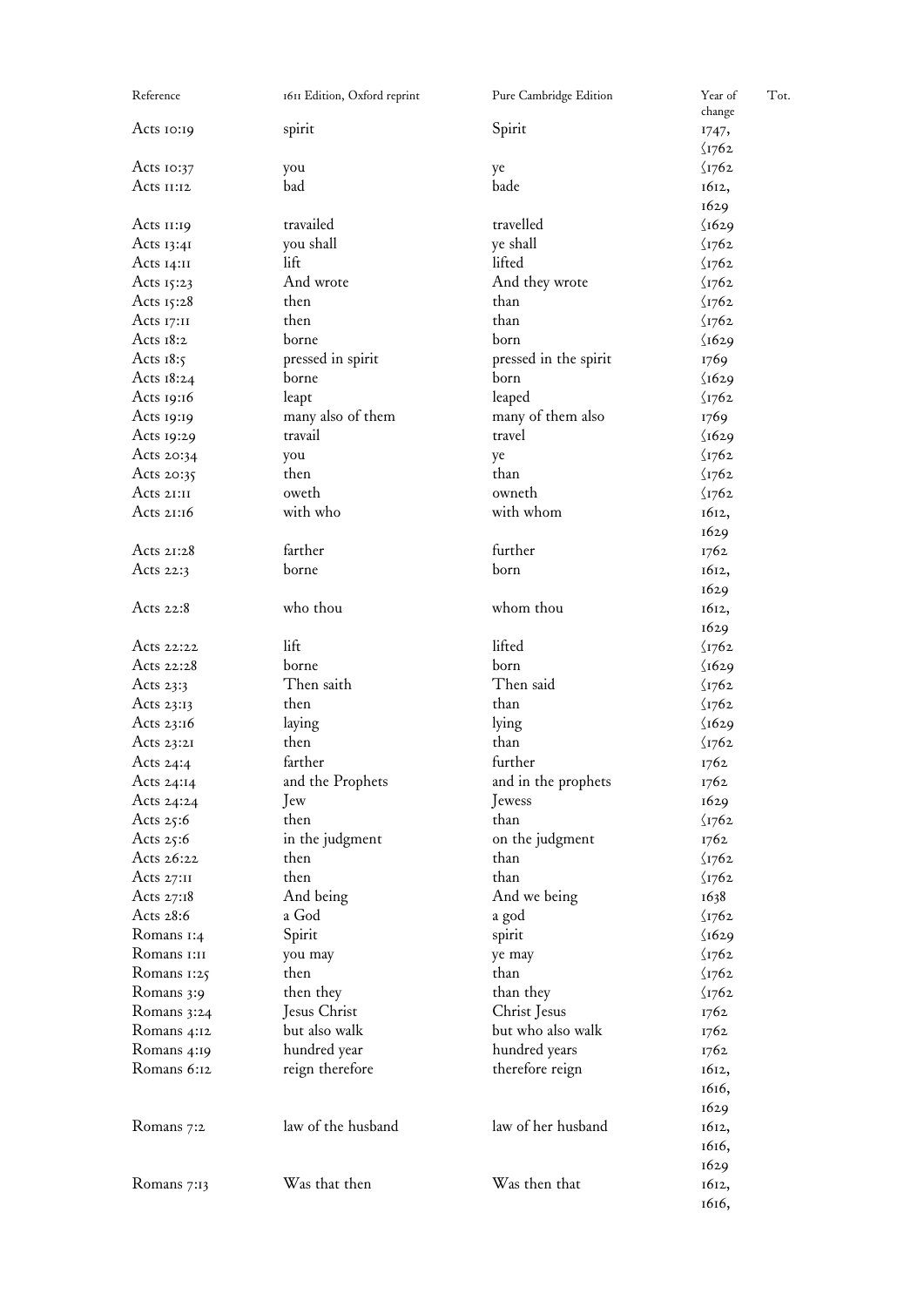| Reference     | 1611 Edition, Oxford reprint | Pure Cambridge Edition | Year of<br>change  | Tot. |
|---------------|------------------------------|------------------------|--------------------|------|
| Acts 10:19    | spirit                       | Spirit                 | 1747,              |      |
|               |                              |                        | $\frac{1}{2}$ I762 |      |
| Acts 10:37    |                              |                        | $\zeta$ I762       |      |
| Acts 11:12    | you<br>bad                   | ye<br>bade             | 1612,              |      |
|               |                              |                        |                    |      |
|               |                              | travelled              | 1629               |      |
| Acts 11:19    | travailed                    |                        | $\sqrt{1629}$      |      |
| Acts 13:41    | you shall                    | ye shall               | $\sqrt{1762}$      |      |
| Acts 14:11    | lift                         | lifted                 | $\sqrt{1762}$      |      |
| Acts 15:23    | And wrote                    | And they wrote         | $\sqrt{1762}$      |      |
| Acts 15:28    | then                         | than                   | $\sqrt{1762}$      |      |
| Acts 17:11    | then                         | than                   | $\sqrt{1762}$      |      |
| Acts 18:2     | borne                        | born                   | $\sqrt{1629}$      |      |
| Acts $18:5$   | pressed in spirit            | pressed in the spirit  | 1769               |      |
| Acts 18:24    | borne                        | born                   | $\sqrt{1629}$      |      |
| Acts 19:16    | leapt                        | leaped                 | $\sqrt{1762}$      |      |
| Acts 19:19    | many also of them            | many of them also      | 1769               |      |
| Acts 19:29    | travail                      | travel                 | $\sqrt{1629}$      |      |
| Acts 20:34    | you                          | ye                     | $\sqrt{1762}$      |      |
| Acts 20:35    | then                         | than                   | $\sqrt{1762}$      |      |
| Acts 21:11    | oweth                        | owneth                 | $\sqrt{1762}$      |      |
| Acts $21:16$  | with who                     | with whom              | 1612,              |      |
|               |                              |                        | 1629               |      |
| Acts 21:28    | farther                      | further                | 1762               |      |
| Acts 22:3     | borne                        | born                   | 1612,              |      |
|               |                              |                        | 1629               |      |
| Acts 22:8     | who thou                     | whom thou              | 1612,              |      |
|               |                              |                        | 1629               |      |
| Acts 22:22    | lift                         | lifted                 | $\frac{1}{2}$ I762 |      |
| Acts 22:28    | borne                        | born                   | $\sqrt{1629}$      |      |
| Acts 23:3     | Then saith                   | Then said              | $\sqrt{1762}$      |      |
| Acts 23:13    | then                         | than                   | $\sqrt{1762}$      |      |
| Acts 23:16    | laying                       | lying                  | $\sqrt{1629}$      |      |
| Acts 23:21    | then                         | than                   | $\sqrt{1762}$      |      |
| Acts 24:4     | farther                      | further                | 1762               |      |
| Acts 24:14    | and the Prophets             | and in the prophets    | 1762               |      |
| Acts 24:24    | $\mathsf{ew}$                | Jewess                 | 1629               |      |
| Acts $25:6$   | then                         | than                   | $\sqrt{1762}$      |      |
| Acts $25:6$   | in the judgment              | on the judgment        | 1762               |      |
| Acts 26:22    | then                         | than                   | $\sqrt{1762}$      |      |
| Acts $27:II$  | then                         | than                   | $\sqrt{1762}$      |      |
| Acts 27:18    | And being                    | And we being           | 1638               |      |
| Acts 28:6     | a God                        |                        | $\sqrt{1762}$      |      |
|               | Spirit                       | a god                  |                    |      |
| Romans 1:4    |                              | spirit                 | $\sqrt{1629}$      |      |
| Romans 1:11   | you may                      | ye may<br>than         | $\sqrt{1762}$      |      |
| Romans $1:25$ | then                         |                        | $\sqrt{1762}$      |      |
| Romans 3:9    | then they                    | than they              | $\sqrt{1762}$      |      |
| Romans 3:24   | Jesus Christ                 | Christ Jesus           | 1762               |      |
| Romans 4:12   | but also walk                | but who also walk      | 1762               |      |
| Romans 4:19   | hundred year                 | hundred years          | 1762               |      |
| Romans 6:12   | reign therefore              | therefore reign        | 1612,              |      |
|               |                              |                        | 1616,              |      |
|               |                              |                        | 1629               |      |
| Romans 7:2    | law of the husband           | law of her husband     | 1612,              |      |
|               |                              |                        | 1616,              |      |
|               |                              |                        | 1629               |      |
| Romans 7:13   | Was that then                | Was then that          | 1612,              |      |
|               |                              |                        | 1616,              |      |
|               |                              |                        |                    |      |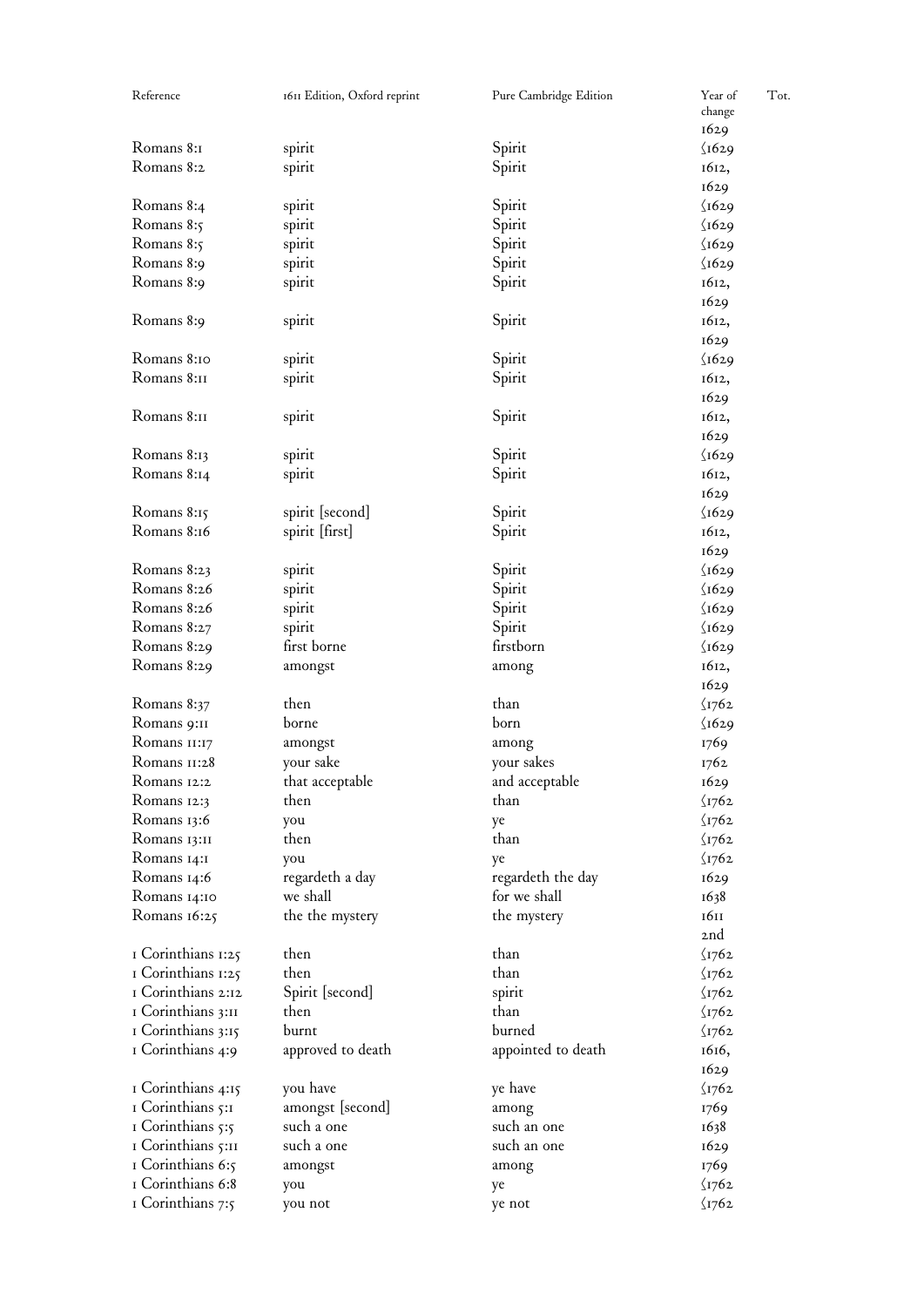| Reference          | 1611 Edition, Oxford reprint | Pure Cambridge Edition | Year of<br>Tot.<br>change |
|--------------------|------------------------------|------------------------|---------------------------|
|                    |                              |                        | 1629                      |
| Romans 8:1         | spirit                       | Spirit                 | $\sqrt{1629}$             |
| Romans 8:2         | spirit                       | Spirit                 | 1612,                     |
|                    |                              |                        | 1629                      |
| Romans 8:4         | spirit                       | Spirit                 | $\sqrt{1629}$             |
| Romans 8:5         | spirit                       | Spirit                 | $\sqrt{1629}$             |
| Romans 8:5         | spirit                       | Spirit                 | $\sqrt{1629}$             |
| Romans 8:9         | spirit                       | Spirit                 | $\sqrt{1629}$             |
| Romans 8:9         | spirit                       | Spirit                 | 1612,                     |
|                    |                              |                        | 1629                      |
|                    |                              | Spirit                 |                           |
| Romans 8:9         | spirit                       |                        | 1612,<br>1629             |
| Romans 8:10        |                              | Spirit                 |                           |
|                    | spirit                       |                        | $\sqrt{1629}$             |
| Romans 8:11        | spirit                       | Spirit                 | 1612,                     |
|                    |                              |                        | 1629                      |
| Romans 8:11        | spirit                       | Spirit                 | 1612,                     |
|                    |                              |                        | 1629                      |
| Romans 8:13        | spirit                       | Spirit                 | $\sqrt{1629}$             |
| Romans 8:14        | spirit                       | Spirit                 | 1612,                     |
|                    |                              |                        | 1629                      |
| Romans 8:15        | spirit [second]              | Spirit                 | $\sqrt{1629}$             |
| Romans 8:16        | spirit [first]               | Spirit                 | 1612,                     |
|                    |                              |                        | 1629                      |
| Romans 8:23        | spirit                       | Spirit                 | $\sqrt{1629}$             |
| Romans 8:26        | spirit                       | Spirit                 | $\sqrt{1629}$             |
| Romans 8:26        | spirit                       | Spirit                 | $\sqrt{1629}$             |
| Romans 8:27        | spirit                       | Spirit                 | $\sqrt{1629}$             |
| Romans 8:29        | first borne                  | firstborn              | $\sqrt{1629}$             |
| Romans 8:29        | amongst                      | among                  | 1612,                     |
|                    |                              |                        | 1629                      |
| Romans 8:37        | then                         | than                   | $\sqrt{1762}$             |
| Romans 9:11        | borne                        | born                   | $\sqrt{1629}$             |
| Romans 11:17       | amongst                      | among                  | 1769                      |
| Romans 11:28       | your sake                    | your sakes             | 1762                      |
| Romans 12:2        | that acceptable              | and acceptable         | 1629                      |
| Romans 12:3        | then                         | than                   | $\sqrt{1762}$             |
| Romans 13:6        | you                          | ye                     | $\sqrt{1762}$             |
| Romans 13:11       | then                         | than                   | $\sqrt{1762}$             |
| Romans 14:1        | you                          | ye                     | $\frac{1762}{2}$          |
| Romans 14:6        | regardeth a day              | regardeth the day      | 1629                      |
| Romans 14:10       | we shall                     | for we shall           | 1638                      |
| Romans 16:25       | the the mystery              | the mystery            | 1611                      |
|                    |                              |                        | 2nd                       |
| I Corinthians 1:25 | then                         | than                   | $\sqrt{1762}$             |
| I Corinthians 1:25 | then                         | than                   | $\zeta$ 1762              |
| I Corinthians 2:12 | Spirit [second]              | spirit                 | $\sqrt{1762}$             |
| I Corinthians 3:II | then                         | than                   | $\sqrt{1762}$             |
| I Corinthians 3:15 | burnt                        | burned                 | $\langle$ 1762            |
| I Corinthians 4:9  | approved to death            | appointed to death     | 1616,                     |
|                    |                              |                        | 1629                      |
| I Corinthians 4:15 | you have                     | ye have                | $\sqrt{1762}$             |
| I Corinthians 5:1  | amongst [second]             | among                  | 1769                      |
| I Corinthians 5:5  | such a one                   | such an one            | 1638                      |
| I Corinthians 5:11 | such a one                   | such an one            | 1629                      |
| I Corinthians 6:5  |                              | among                  | 1769                      |
| I Corinthians 6:8  | amongst                      |                        | $\langle$ I762            |
| I Corinthians 7:5  | you                          | ye                     |                           |
|                    | you not                      | ye not                 | $\langle$ I762            |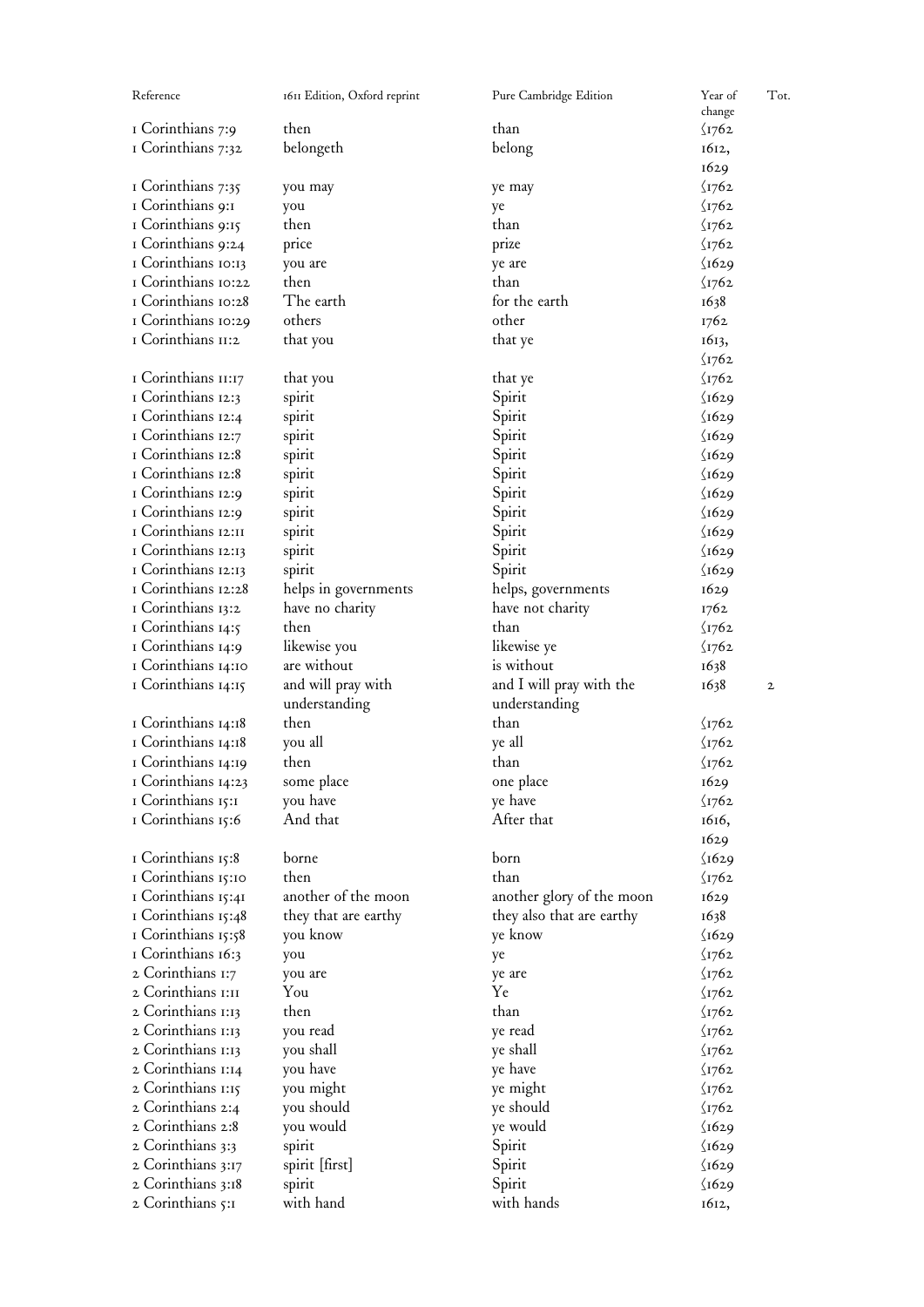| Reference           | 1611 Edition, Oxford reprint | Pure Cambridge Edition    | Year of<br>change      | Tot.         |
|---------------------|------------------------------|---------------------------|------------------------|--------------|
| I Corinthians 7:9   | then                         | than                      | $\sqrt{1762}$          |              |
| I Corinthians 7:32  | belongeth                    | belong                    | 1612,                  |              |
|                     |                              |                           | 1629                   |              |
| I Corinthians 7:35  | you may                      | ye may                    | $\frac{1762}{ }$       |              |
| I Corinthians 9:1   |                              |                           | $\sqrt{1762}$          |              |
|                     | you                          | ye                        |                        |              |
| I Corinthians 9:15  | then                         | than                      | $\sqrt{1762}$          |              |
| I Corinthians 9:24  | price                        | prize                     | $\langle$ 1762         |              |
| I Corinthians 10:13 | you are                      | ye are                    | $\sqrt{1629}$          |              |
| I Corinthians IO:22 | then                         | than                      | $\sqrt{1762}$          |              |
| I Corinthians 10:28 | The earth                    | for the earth             | 1638                   |              |
| I Corinthians 10:29 | others                       | other                     | 1762                   |              |
| I Corinthians II:2  | that you                     | that ye                   | 1613,                  |              |
|                     |                              |                           | $\frac{1762}{ }$       |              |
| I Corinthians II:17 | that you                     | that ye                   | $\sqrt{1762}$          |              |
| I Corinthians 12:3  | spirit                       | Spirit                    | $\sqrt{1629}$          |              |
| I Corinthians 12:4  | spirit                       | Spirit                    | $\sqrt{1629}$          |              |
| I Corinthians 12:7  | spirit                       | Spirit                    | $\sqrt{1629}$          |              |
| I Corinthians 12:8  | spirit                       | Spirit                    | $\sqrt{1629}$          |              |
| I Corinthians 12:8  | spirit                       | Spirit                    | $\sqrt{1629}$          |              |
| I Corinthians 12:9  | spirit                       | Spirit                    | $\sqrt{1629}$          |              |
| I Corinthians 12:9  | spirit                       | Spirit                    | $\sqrt{1629}$          |              |
| I Corinthians I2:II | spirit                       | Spirit                    | $\sqrt{1629}$          |              |
| I Corinthians 12:13 | spirit                       | Spirit                    | $\sqrt{1629}$          |              |
| I Corinthians 12:13 | spirit                       | Spirit                    | $\sqrt{1629}$          |              |
| I Corinthians 12:28 | helps in governments         | helps, governments        | 1629                   |              |
| I Corinthians 13:2  | have no charity              | have not charity          |                        |              |
|                     |                              | than                      | 1762                   |              |
| I Corinthians 14:5  | then                         |                           | $\frac{\sqrt{1762}}{}$ |              |
| I Corinthians 14:9  | likewise you                 | likewise ye               | $\frac{\sqrt{1762}}{}$ |              |
| I Corinthians 14:10 | are without                  | is without                | 1638                   |              |
| I Corinthians 14:15 | and will pray with           | and I will pray with the  | 1638                   | $\mathbf{2}$ |
|                     | understanding                | understanding             |                        |              |
| I Corinthians 14:18 | then                         | than                      | $\frac{\sqrt{1762}}{}$ |              |
| I Corinthians 14:18 | you all                      | ye all                    | $\frac{\sqrt{1762}}{}$ |              |
| I Corinthians 14:19 | then                         | than                      | $\frac{1762}{2}$       |              |
| I Corinthians 14:23 | some place                   | one place                 | 1629                   |              |
| I Corinthians 15:1  | you have                     | ye have                   | $\sqrt{1762}$          |              |
| I Corinthians 15:6  | And that                     | After that                | 1616,                  |              |
|                     |                              |                           | 1629                   |              |
| I Corinthians 15:8  | borne                        | born                      | $\sqrt{1629}$          |              |
| I Corinthians 15:10 | then                         | than                      | $\frac{\sqrt{1762}}{}$ |              |
| I Corinthians 15:41 | another of the moon          | another glory of the moon | 1629                   |              |
| I Corinthians 15:48 | they that are earthy         | they also that are earthy | 1638                   |              |
| I Corinthians 15:58 | you know                     | ye know                   | $\sqrt{1629}$          |              |
| I Corinthians 16:3  | you                          | ye                        | $\sqrt{1762}$          |              |
| 2 Corinthians 1:7   | you are                      | ye are                    | $\sqrt{1762}$          |              |
| 2 Corinthians 1:11  | You                          | Ye                        | $\sqrt{1762}$          |              |
| 2 Corinthians 1:13  | then                         | than                      | $\sqrt{1762}$          |              |
| 2 Corinthians 1:13  | you read                     | ye read                   | $\sqrt{1762}$          |              |
| 2 Corinthians 1:13  | you shall                    | ye shall                  | $\sqrt{1762}$          |              |
| 2 Corinthians 1:14  | you have                     | ye have                   | $\sqrt{1762}$          |              |
| 2 Corinthians 1:15  | you might                    | ye might                  | $\sqrt{1762}$          |              |
| 2 Corinthians 2:4   | you should                   | ye should                 | $\sqrt{1762}$          |              |
| 2 Corinthians 2:8   |                              |                           |                        |              |
|                     | you would                    | ye would                  | $\sqrt{1629}$          |              |
| 2 Corinthians 3:3   | spirit                       | Spirit                    | $\sqrt{1629}$          |              |
| 2 Corinthians 3:17  | spirit [first]               | Spirit                    | $\sqrt{1629}$          |              |
| 2 Corinthians 3:18  | spirit                       | Spirit                    | $\sqrt{1629}$          |              |
| 2 Corinthians 5:1   | with hand                    | with hands                | 1612,                  |              |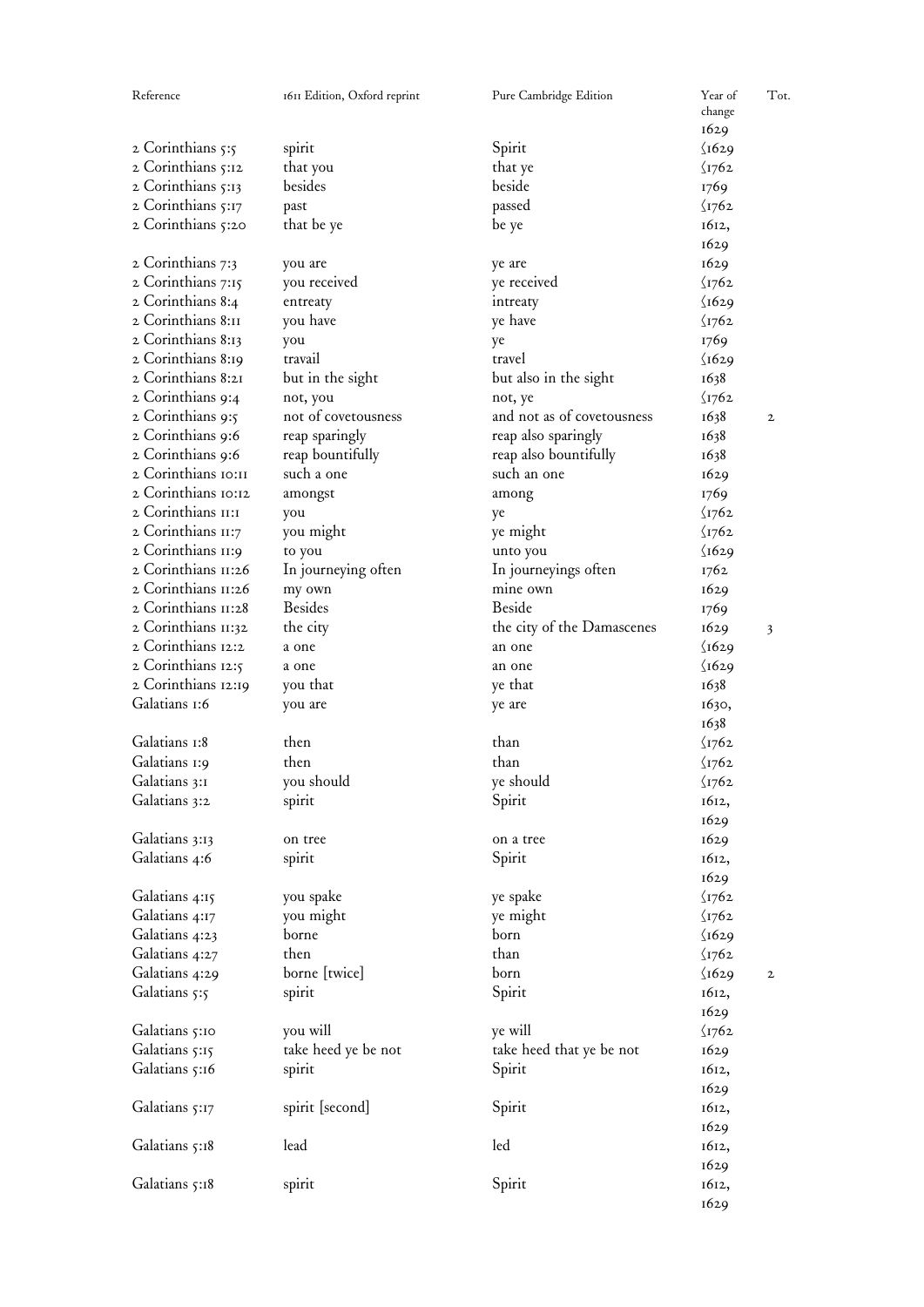| Reference                        | 1611 Edition, Oxford reprint  | Pure Cambridge Edition             | Year of<br>change      | Tot.         |
|----------------------------------|-------------------------------|------------------------------------|------------------------|--------------|
|                                  |                               |                                    | 1629                   |              |
| 2 Corinthians 5:5                | spirit                        | Spirit                             | $\sqrt{1629}$          |              |
| 2 Corinthians 5:12               | that you                      | that ye                            | $\sqrt{1762}$          |              |
| 2 Corinthians 5:13               | besides                       | beside                             | 1769                   |              |
| 2 Corinthians 5:17               | past                          | passed                             | $\frac{1762}{ }$       |              |
| 2 Corinthians 5:20               | that be ye                    | be ye                              | 1612,                  |              |
|                                  |                               |                                    | 1629                   |              |
| 2 Corinthians 7:3                | you are                       | ye are                             | 1629                   |              |
| 2 Corinthians 7:15               | you received                  | ye received                        | $\sqrt{1762}$          |              |
| 2 Corinthians 8:4                | entreaty                      | intreaty                           | $\sqrt{1629}$          |              |
| 2 Corinthians 8:11               | you have                      | ye have                            | $\langle$ 1762         |              |
| 2 Corinthians 8:13               | you                           | ye                                 | 1769                   |              |
| 2 Corinthians 8:19               | travail                       | travel                             | $\sqrt{1629}$          |              |
| 2 Corinthians 8:21               | but in the sight              | but also in the sight              | 1638                   |              |
| 2 Corinthians 9:4                | not, you                      | not, ye                            | $\langle$ 1762         |              |
| 2 Corinthians 9:5                | not of covetousness           | and not as of covetousness         | 1638                   | $\mathbf{2}$ |
| 2 Corinthians 9:6                | reap sparingly                | reap also sparingly                | 1638                   |              |
| 2 Corinthians 9:6                | reap bountifully              | reap also bountifully              | 1638                   |              |
| 2 Corinthians IO:II              | such a one                    | such an one                        | 1629                   |              |
| 2 Corinthians IO:I2              | amongst                       | among                              | 1769                   |              |
| 2 Corinthians II:I               | you                           | ye                                 | $\sqrt{1762}$          |              |
| 2 Corinthians II:7               | you might                     | ye might                           | $\frac{\sqrt{1762}}{}$ |              |
| 2 Corinthians II:9               | to you                        | unto you                           | $\sqrt{1629}$          |              |
| 2 Corinthians II:26              | In journeying often           | In journeyings often               | 1762                   |              |
| 2 Corinthians II:26              | my own                        | mine own                           | 1629                   |              |
| 2 Corinthians II:28              | <b>Besides</b>                | Beside                             | 1769                   |              |
| 2 Corinthians 11:32              | the city                      | the city of the Damascenes         | 1629                   | 3            |
| 2 Corinthians 12:2               | a one                         | an one                             | $\sqrt{1629}$          |              |
| 2 Corinthians 12:5               | a one                         | an one                             | $\sqrt{1629}$          |              |
| 2 Corinthians 12:19              | you that                      | ye that                            | 1638                   |              |
| Galatians 1:6                    | you are                       | ye are                             | 1630,                  |              |
|                                  |                               |                                    | 1638                   |              |
| Galatians 1:8                    | then                          | than                               | $\frac{\sqrt{1762}}{}$ |              |
| Galatians 1:9                    | then                          | than                               | $\frac{\sqrt{1762}}{}$ |              |
| Galatians 3:1                    | you should                    | ye should                          | $\sqrt{1762}$          |              |
| Galatians 3:2                    | spirit                        | Spirit                             | 1612,                  |              |
|                                  |                               |                                    | 1629                   |              |
| Galatians 3:13                   | on tree                       | on a tree                          | 1629                   |              |
| Galatians 4:6                    | spirit                        | Spirit                             | 1612,                  |              |
|                                  |                               |                                    | 1629                   |              |
| Galatians 4:15                   | you spake                     | ye spake                           | $\sqrt{1762}$          |              |
| Galatians 4:17                   | you might                     | ye might                           | $\sqrt{1762}$          |              |
| Galatians 4:23                   | borne                         | born                               | $\sqrt{1629}$          |              |
| Galatians 4:27                   | then                          | than                               | $\sqrt{1762}$          |              |
| Galatians 4:29                   | borne [twice]                 | born                               | $\sqrt{1629}$          | $\mathbf 2$  |
| Galatians 5:5                    | spirit                        | Spirit                             | 1612,                  |              |
|                                  |                               |                                    | 1629                   |              |
| Galatians 5:10                   | you will                      | ye will                            | $\sqrt{1762}$          |              |
|                                  |                               |                                    |                        |              |
| Galatians 5:15<br>Galatians 5:16 | take heed ye be not<br>spirit | take heed that ye be not<br>Spirit | 1629<br>1612,          |              |
|                                  |                               |                                    |                        |              |
|                                  |                               |                                    | 1629                   |              |
| Galatians 5:17                   | spirit [second]               | Spirit                             | 1612,                  |              |
|                                  |                               |                                    | 1629                   |              |
| Galatians 5:18                   | lead                          | led                                | 1612,                  |              |
|                                  |                               |                                    | 1629                   |              |
| Galatians 5:18                   | spirit                        | Spirit                             | 1612,                  |              |
|                                  |                               |                                    | 1629                   |              |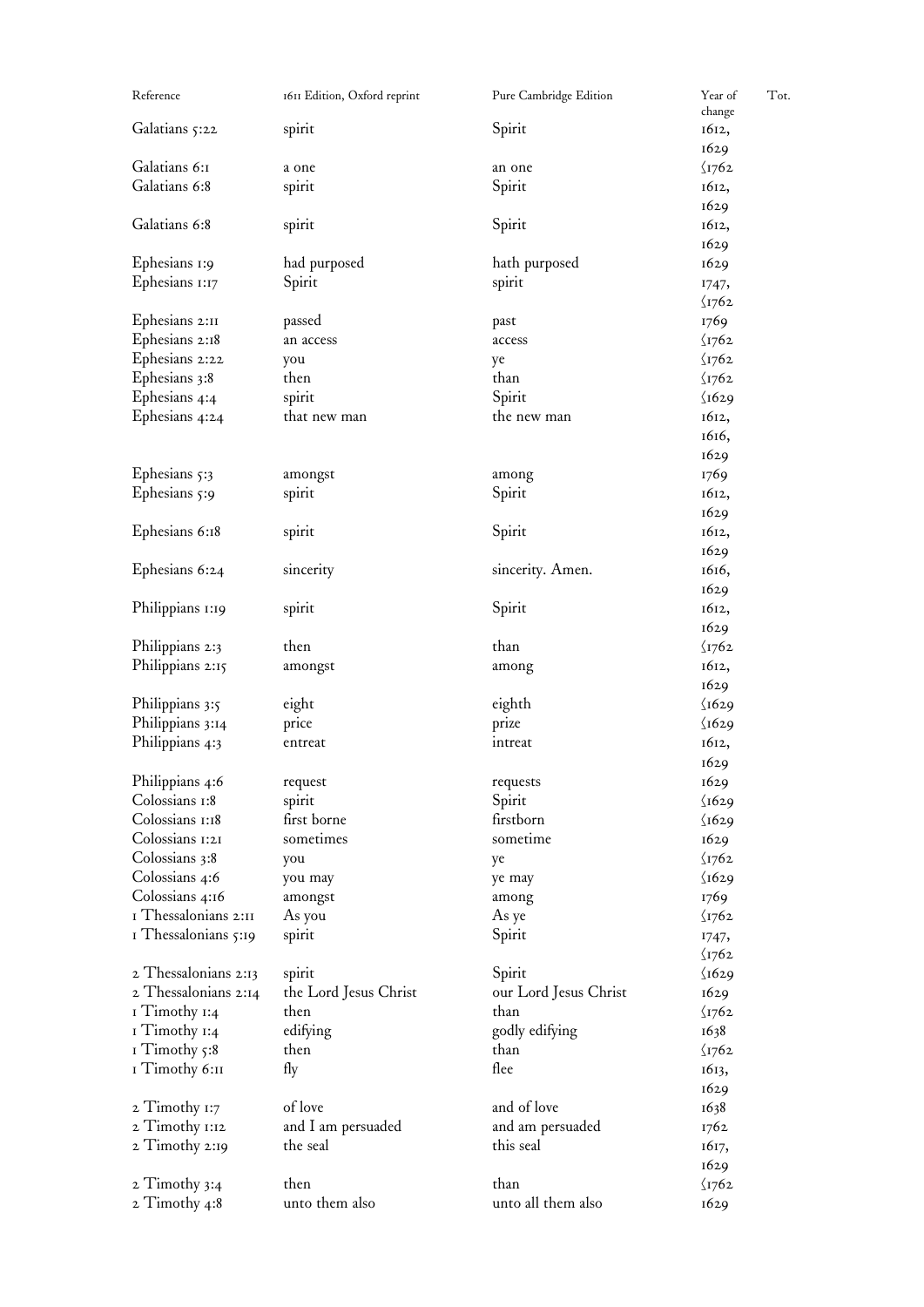| Reference                      | 1611 Edition, Oxford reprint   | Pure Cambridge Edition        | Year of         | Tot. |
|--------------------------------|--------------------------------|-------------------------------|-----------------|------|
| Galatians 5:22                 | spirit                         | Spirit                        | change<br>1612, |      |
|                                |                                |                               | 1629            |      |
| Galatians 6:1                  | a one                          | an one                        | $\sqrt{1762}$   |      |
| Galatians 6:8                  | spirit                         | Spirit                        | 1612,           |      |
|                                |                                |                               | 1629            |      |
| Galatians 6:8                  | spirit                         | Spirit                        | 1612,           |      |
|                                |                                |                               | 1629            |      |
| Ephesians 1:9                  | had purposed                   | hath purposed                 | 1629            |      |
| Ephesians 1:17                 | Spirit                         | spirit                        | 1747,           |      |
|                                |                                |                               | $\sqrt{1762}$   |      |
| Ephesians 2:11                 | passed                         | past                          | 1769            |      |
| Ephesians 2:18                 | an access                      | access                        | $\sqrt{1762}$   |      |
| Ephesians 2:22                 | you                            | ye                            | $\sqrt{1762}$   |      |
| Ephesians 3:8                  | then                           | than                          | $\sqrt{1762}$   |      |
| Ephesians 4:4                  | spirit                         | Spirit                        | $\sqrt{1629}$   |      |
| Ephesians 4:24                 | that new man                   | the new man                   | 1612,           |      |
|                                |                                |                               | 1616,           |      |
|                                |                                |                               | 1629            |      |
| Ephesians $5:3$                | amongst                        | among                         | 1769            |      |
| Ephesians 5:9                  | spirit                         | Spirit                        | 1612,           |      |
|                                |                                |                               | 1629            |      |
| Ephesians 6:18                 | spirit                         | Spirit                        | 1612,           |      |
|                                |                                |                               | 1629            |      |
| Ephesians 6:24                 | sincerity                      | sincerity. Amen.              | 1616,           |      |
|                                |                                |                               | 1629            |      |
| Philippians 1:19               | spirit                         | Spirit                        | 1612,           |      |
|                                |                                |                               | 1629            |      |
| Philippians 2:3                | then                           | than                          | $\sqrt{1762}$   |      |
| Philippians 2:15               | amongst                        | among                         | 1612,           |      |
|                                |                                |                               | 1629            |      |
| Philippians 3:5                | eight                          | eighth                        | $\sqrt{1629}$   |      |
| Philippians 3:14               | price                          | prize                         | $\sqrt{1629}$   |      |
| Philippians 4:3                | entreat                        | intreat                       | 1612,           |      |
|                                |                                |                               | 1629            |      |
| Philippians 4:6                | request                        | requests                      | 1629            |      |
| Colossians 1:8                 | spirit                         | Spirit                        | $\sqrt{1629}$   |      |
| Colossians 1:18                | first borne                    | firstborn                     | $\sqrt{1629}$   |      |
| Colossians 1:21                | sometimes                      | sometime                      | 1629            |      |
| Colossians 3:8                 | you                            | ye                            | $\sqrt{1762}$   |      |
| Colossians 4:6                 | you may                        | ye may                        | $\sqrt{1629}$   |      |
| Colossians 4:16                | amongst                        | among                         | 1769            |      |
| I Thessalonians 2:11           | As you                         | As ye                         | $\sqrt{1762}$   |      |
| I Thessalonians 5:19           | spirit                         | Spirit                        | 1747,           |      |
|                                |                                |                               | $\sqrt{1762}$   |      |
| $2$ Thessalonians $2:13$       | spirit                         | Spirit                        | $\sqrt{1629}$   |      |
| $2$ Thessalonians $2:14$       | the Lord Jesus Christ          | our Lord Jesus Christ         | 1629            |      |
| I Timothy 1:4                  | then                           | than                          | $\sqrt{1762}$   |      |
| I Timothy 1:4                  | edifying                       | godly edifying<br>than        | 1638            |      |
| I Timothy 5:8                  | then                           | flee                          | $\sqrt{1762}$   |      |
| I Timothy 6:II                 | fly                            |                               | 1613,           |      |
|                                | of love                        | and of love                   | 1629            |      |
| 2 Timothy 1:7                  |                                |                               | 1638            |      |
| 2 Timothy 1:12                 | and I am persuaded<br>the seal | and am persuaded<br>this seal | 1762            |      |
| 2 Timothy 2:19                 |                                |                               | 1617,           |      |
|                                | then                           | than                          | 1629            |      |
| 2 Timothy 3:4<br>2 Timothy 4:8 | unto them also                 | unto all them also            | $\sqrt{1762}$   |      |
|                                |                                |                               | 1629            |      |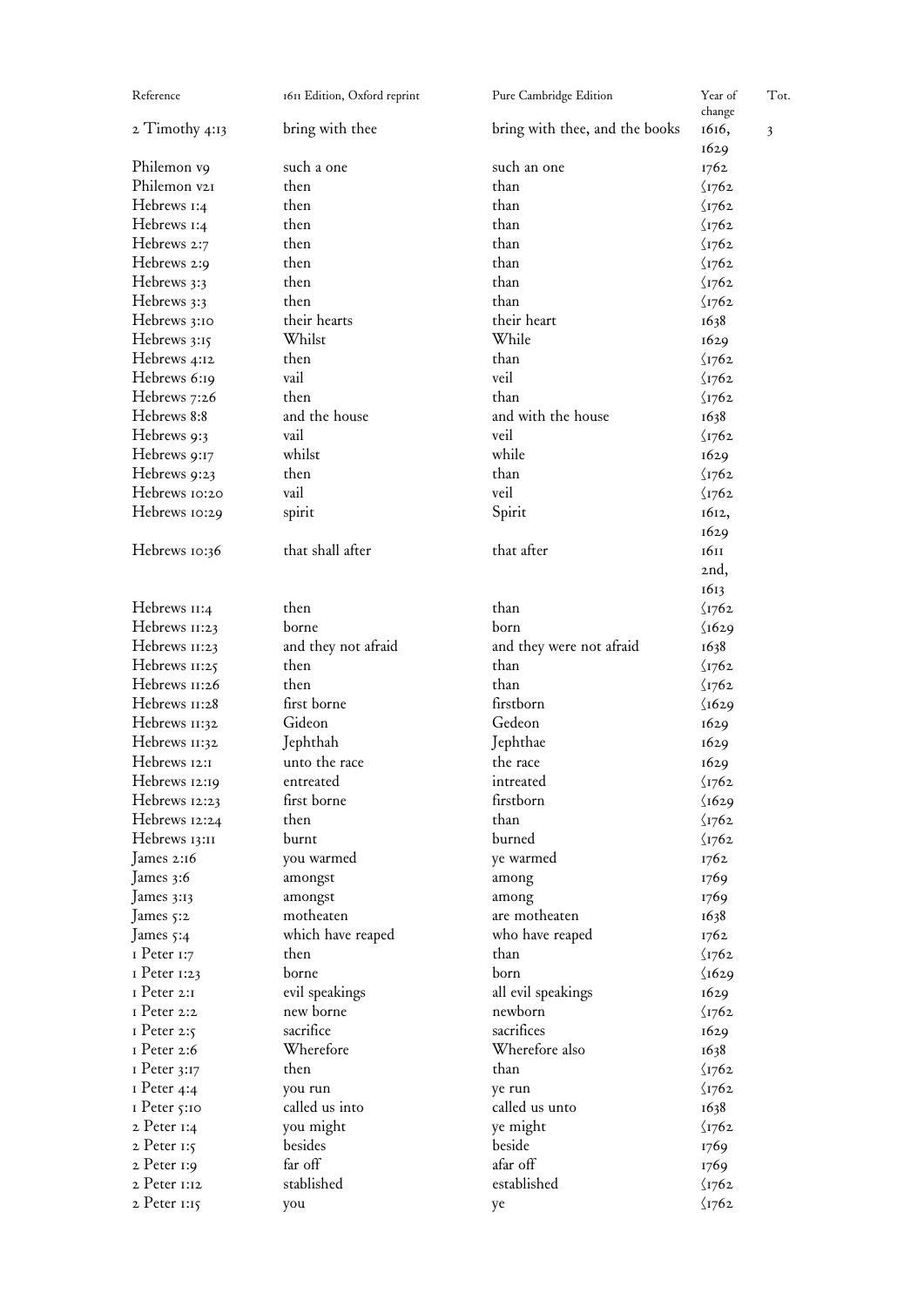| Reference                   | 1611 Edition, Oxford reprint | Pure Cambridge Edition         | Year of<br>change | Tot. |
|-----------------------------|------------------------------|--------------------------------|-------------------|------|
| 2 Timothy 4:13              | bring with thee              | bring with thee, and the books | 1616,             | 3    |
|                             | such a one                   | such an one                    | 1629              |      |
| Philemon v9<br>Philemon v21 | then                         | than                           | 1762              |      |
|                             |                              |                                | $\sqrt{1762}$     |      |
| Hebrews 1:4                 | then                         | than                           | $\sqrt{1762}$     |      |
| Hebrews 1:4                 | then                         | than                           | $\sqrt{1762}$     |      |
| Hebrews 2:7                 | then                         | than                           | $\sqrt{1762}$     |      |
| Hebrews 2:9                 | then                         | than                           | $\sqrt{1762}$     |      |
| Hebrews 3:3                 | then                         | than                           | $\sqrt{1762}$     |      |
| Hebrews 3:3                 | then                         | than                           | $\sqrt{1762}$     |      |
| Hebrews 3:10                | their hearts                 | their heart                    | 1638              |      |
| Hebrews 3:15                | Whilst                       | While                          | 1629              |      |
| Hebrews 4:12                | then                         | than                           | $\sqrt{1762}$     |      |
| Hebrews 6:19                | vail                         | veil                           | $\sqrt{1762}$     |      |
| Hebrews 7:26                | then                         | than                           | $\sqrt{1762}$     |      |
| Hebrews 8:8                 | and the house                | and with the house             | 1638              |      |
| Hebrews 9:3                 | vail                         | veil                           | $\sqrt{1762}$     |      |
| Hebrews 9:17                | whilst                       | while                          | 1629              |      |
| Hebrews 9:23                | then                         | than                           | $\sqrt{1762}$     |      |
| Hebrews 10:20               | vail                         | veil                           | $\sqrt{1762}$     |      |
| Hebrews 10:29               | spirit                       | Spirit                         | 1612,             |      |
|                             |                              |                                | 1629              |      |
| Hebrews 10:36               | that shall after             | that after                     | 1611              |      |
|                             |                              |                                | 2nd,              |      |
|                             |                              |                                | 1613              |      |
| Hebrews II:4                | then                         | than                           | $\sqrt{1762}$     |      |
| Hebrews II:23               | borne                        | born                           | $\sqrt{1629}$     |      |
| Hebrews II:23               | and they not afraid          | and they were not afraid       | 1638              |      |
| Hebrews 11:25               | then                         | than                           | $\sqrt{1762}$     |      |
| Hebrews II:26               | then                         | than                           | $\sqrt{1762}$     |      |
| Hebrews II:28               | first borne                  | firstborn                      | $\sqrt{1629}$     |      |
| Hebrews 11:32               | Gideon                       | Gedeon                         | 1629              |      |
| Hebrews II:32               | Jephthah                     | Jephthae                       | 1629              |      |
| Hebrews 12:1                | unto the race                | the race                       | 1629              |      |
| Hebrews 12:19               | entreated                    | intreated                      | $\sqrt{1762}$     |      |
| Hebrews $12:23$             | first borne                  | firstborn                      | $\sqrt{1629}$     |      |
| Hebrews 12:24               | then                         | than                           | $\sqrt{1762}$     |      |
| Hebrews 13:11               | burnt                        | burned                         | $\sqrt{1762}$     |      |
| James $2:16$                | you warmed                   | ye warmed                      | 1762              |      |
| James 3:6                   | amongst                      | among                          | 1769              |      |
| James 3:13                  | amongst                      | among                          | 1769              |      |
| James 5:2                   | motheaten                    | are motheaten                  | 1638              |      |
| James 5:4                   | which have reaped            | who have reaped                | 1762              |      |
| $I$ Peter $I:7$             | then                         | than                           | $\sqrt{1762}$     |      |
| I Peter 1:23                | borne                        | born                           | $\sqrt{1629}$     |      |
| I Peter 2:1                 | evil speakings               | all evil speakings             | 1629              |      |
| I Peter 2:2                 | new borne                    | newborn                        | $\langle$ 1762    |      |
| $I$ Peter 2:5               | sacrifice                    | sacrifices                     | 1629              |      |
| I Peter 2:6                 | Wherefore                    | Wherefore also                 | 1638              |      |
| I Peter 3:17                | then                         | than                           | $\sqrt{1762}$     |      |
| $I$ Peter 4:4               | you run                      | ye run                         | $\sqrt{1762}$     |      |
| I Peter 5:10                | called us into               | called us unto                 | 1638              |      |
| $2$ Peter $1:4$             | you might                    | ye might                       | $\sqrt{1762}$     |      |
| $2$ Peter $1:5$             | besides                      | beside                         | 1769              |      |
| 2 Peter 1:9                 | far off                      | afar off                       | 1769              |      |
| 2 Peter 1:12                | stablished                   | established                    | $\sqrt{1762}$     |      |
| $2$ Peter $1:15$            | you                          |                                | $\sqrt{1762}$     |      |
|                             |                              | ye                             |                   |      |